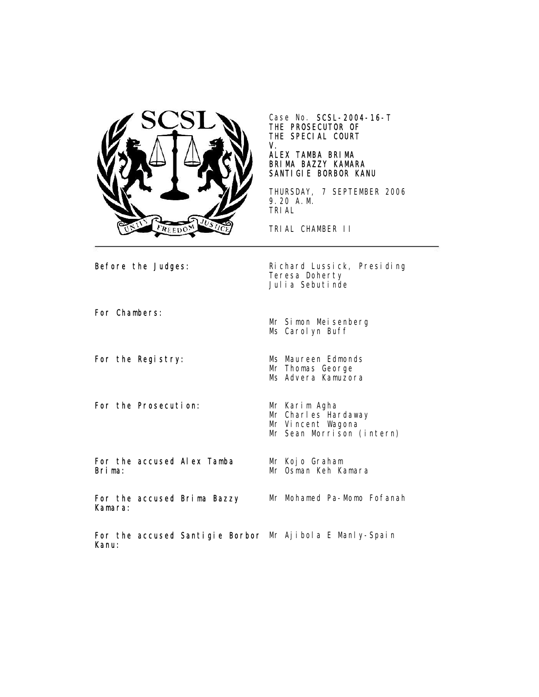

Case No. SCSL-2004-16-T THE PROSECUTOR OF THE SPECIAL COURT V.

## ALEX TAMBA BRIMA BRIMA BAZZY KAMARA SANTIGIE BORBOR KANU

THURSDAY, 7 SEPTEMBER 2006 9.20 A.M. TRIAL

TRIAL CHAMBER II

Before the Judges: Richard Lussick, Presiding Teresa Doherty Julia Sebutinde

For Chambers:

For the Registry: Ms Maureen Edmonds

For the Prosecution: Mr Karim Agha

Ms Advera Kamuzora

Mr Charles Hardaway Mr Vincent Wagona

Mr Kojo Graham Mr Osman Keh Kamara

Mr Thomas George

Mr Simon Meisenberg Ms Carolyn Buff

Mr Sean Morrison (intern)

For the accused Alex Tamba Brima:

For the accused Brima Bazzy Kamara:

Mr Mohamed Pa-Momo Fofanah

For the accused Santigie Borbor Mr Ajibola E Manly-SpainKanu: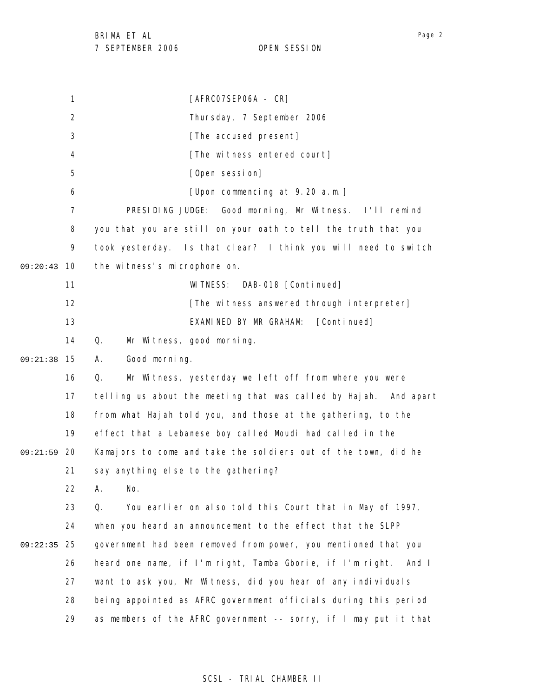1 2 3 4 5 6 7 8 9 09:20:43 10 11 12 13 14 15 09:21:38 16 17 18 19 09:21:59 20 21 22 23 24 25 09:22:35 26 27 28 29 [AFRC07SEP06A - CR] Thursday, 7 September 2006 [The accused present] [The witness entered court] [Open session] [Upon commencing at 9.20 a.m.] PRESIDING JUDGE: Good morning, Mr Witness. I'll remind you that you are still on your oath to tell the truth that you took yesterday. Is that clear? I think you will need to switch the witness's microphone on. WITNESS: DAB-018 [Continued] [The witness answered through interpreter] EXAMINED BY MR GRAHAM: [Continued] Q. Mr Witness, good morning. A. Good morning. Q. Mr Witness, yesterday we left off from where you were telling us about the meeting that was called by Hajah. And apart from what Hajah told you, and those at the gathering, to the effect that a Lebanese boy called Moudi had called in the Kamajors to come and take the soldiers out of the town, did he say anything else to the gathering? A. No. Q. You earlier on also told this Court that in May of 1997, when you heard an announcement to the effect that the SLPP government had been removed from power, you mentioned that you heard one name, if I'm right, Tamba Gborie, if I'm right. And I want to ask you, Mr Witness, did you hear of any individuals being appointed as AFRC government officials during this period as members of the AFRC government -- sorry, if I may put it that

## Page 2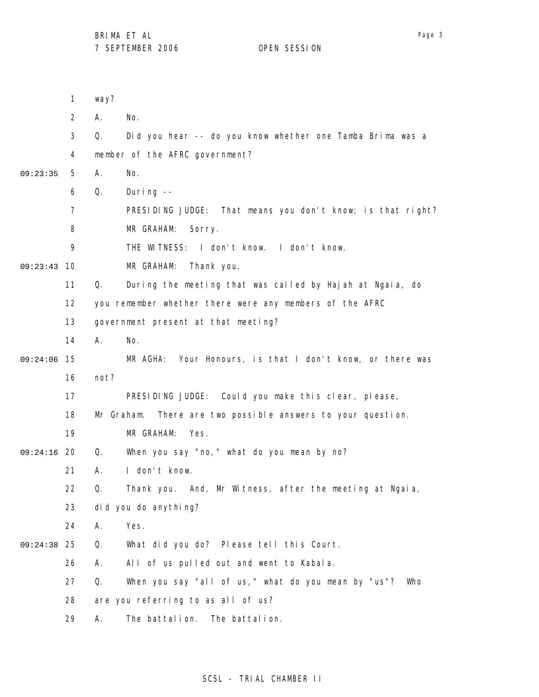1 2 3 4 5 6 7 8 9 09:23:43 10 11 12 13 14 09:24:06 15 16 17 18 19 09:24:16 20 21 22 23 24 25 09:24:38 26 27 28 29 09:23:35 way? A. No. Q. Did you hear -- do you know whether one Tamba Brima was a member of the AFRC government? A. No. Q. During -- PRESIDING JUDGE: That means you don't know; is that right? MR GRAHAM: Sorry. THE WITNESS: I don't know. I don't know. MR GRAHAM: Thank you. Q. During the meeting that was called by Hajah at Ngaia, do you remember whether there were any members of the AFRC government present at that meeting? A. No. MR AGHA: Your Honours, is that I don't know, or there was not? PRESIDING JUDGE: Could you make this clear, please, Mr Graham. There are two possible answers to your question. MR GRAHAM: Yes. Q. When you say "no," what do you mean by no? A. I don't know. Q. Thank you. And, Mr Witness, after the meeting at Ngaia, did you do anything? A. Yes. Q. What did you do? Please tell this Court. A. All of us pulled out and went to Kabala. Q. When you say "all of us," what do you mean by "us"? Who are you referring to as all of us? A. The battalion. The battalion.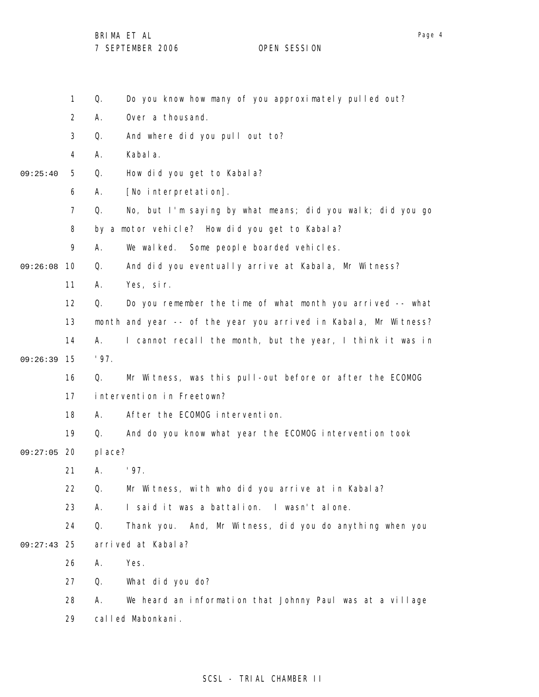1 2 3 4 5 6 7 8 9 09:26:08 10 11 12 13 14 15 09:26:39 16 17 18 19 09:27:05 20 21 22 23 24 25 09:27:43 26 27 28 29 09:25:40 Q. Do you know how many of you approximately pulled out? A. Over a thousand. Q. And where did you pull out to? A. Kabala. Q. How did you get to Kabala? A. [No interpretation]. Q. No, but I'm saying by what means; did you walk; did you go by a motor vehicle? How did you get to Kabala? A. We walked. Some people boarded vehicles. Q. And did you eventually arrive at Kabala, Mr Witness? A. Yes, sir. Q. Do you remember the time of what month you arrived -- what month and year -- of the year you arrived in Kabala, Mr Witness? A. I cannot recall the month, but the year, I think it was in '97. Q. Mr Witness, was this pull-out before or after the ECOMOG intervention in Freetown? A. After the ECOMOG intervention. Q. And do you know what year the ECOMOG intervention took place? A. '97. Q. Mr Witness, with who did you arrive at in Kabala? A. I said it was a battalion. I wasn't alone. Q. Thank you. And, Mr Witness, did you do anything when you arrived at Kabala? A. Yes. Q. What did you do? A. We heard an information that Johnny Paul was at a village called Mabonkani.

## SCSL - TRIAL CHAMBER II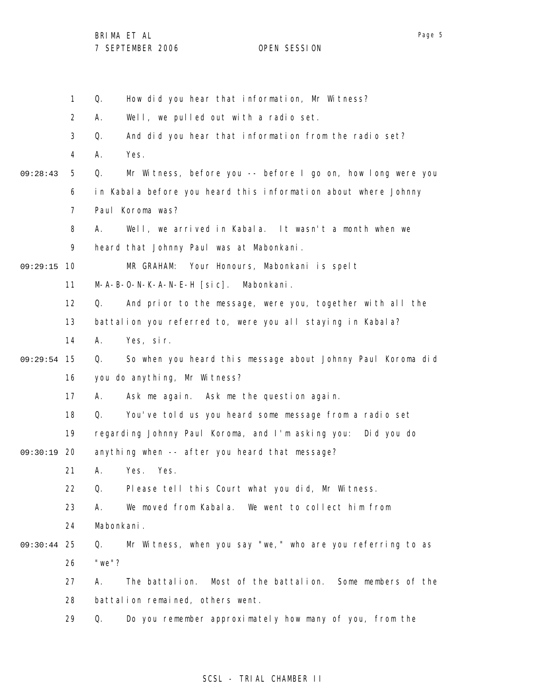1 2 3 4 5 6 7 8 9 09:29:15 10 11 12 13 14 09:29:54 15 16 17 18 19 09:30:19 20 21 22 23 24 25 09:30:44 26 27 28 29 09:28:43 Q. How did you hear that information, Mr Witness? A. Well, we pulled out with a radio set. Q. And did you hear that information from the radio set? A. Yes. Q. Mr Witness, before you -- before I go on, how long were you in Kabala before you heard this information about where Johnny Paul Koroma was? A. Well, we arrived in Kabala. It wasn't a month when we heard that Johnny Paul was at Mabonkani. MR GRAHAM: Your Honours, Mabonkani is spelt M-A-B-O-N-K-A-N-E-H [sic]. Mabonkani. Q. And prior to the message, were you, together with all the battalion you referred to, were you all staying in Kabala? A. Yes, sir. Q. So when you heard this message about Johnny Paul Koroma did you do anything, Mr Witness? A. Ask me again. Ask me the question again. Q. You've told us you heard some message from a radio set regarding Johnny Paul Koroma, and I'm asking you: Did you do anything when -- after you heard that message? A. Yes. Yes. Q. Please tell this Court what you did, Mr Witness. A. We moved from Kabala. We went to collect him from Mabonkani. Q. Mr Witness, when you say "we," who are you referring to as "we"? A. The battalion. Most of the battalion. Some members of the battalion remained, others went. Q. Do you remember approximately how many of you, from the

### SCSL - TRIAL CHAMBER II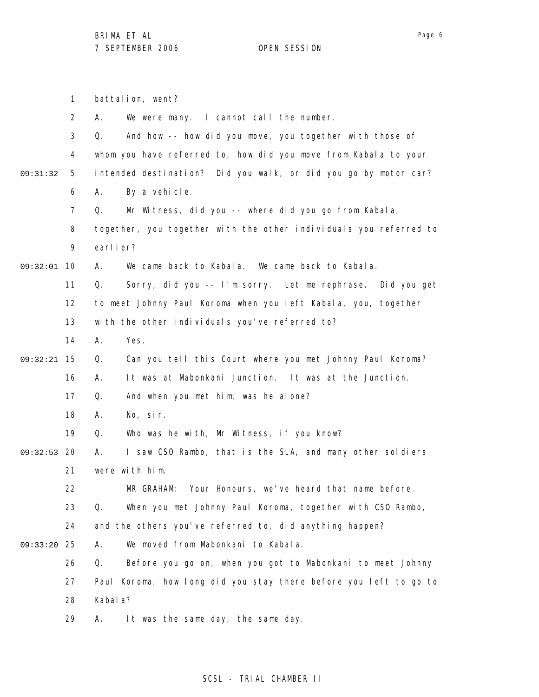Page 6

|          | $\mathbf{1}$   | battalion, went?                                                  |
|----------|----------------|-------------------------------------------------------------------|
|          | $\overline{2}$ | We were many. I cannot call the number.<br>А.                     |
|          | 3              | And how -- how did you move, you together with those of<br>Q.     |
|          | 4              | whom you have referred to, how did you move from Kabala to your   |
| 09:31:32 | 5              | intended destination? Did you walk, or did you go by motor car?   |
|          | 6              | By a vehicle.<br>А.                                               |
|          | 7              | Mr Witness, did you -- where did you go from Kabala,<br>Q.        |
|          | 8              | together, you together with the other individuals you referred to |
|          | 9              | earlier?                                                          |
| 09:32:01 | 10             | We came back to Kabala. We came back to Kabala.<br>А.             |
|          | 11             | Sorry, did you -- I'm sorry. Let me rephrase. Did you get<br>Q.   |
|          | 12             | to meet Johnny Paul Koroma when you left Kabala, you, together    |
|          | 13             | with the other individuals you've referred to?                    |
|          | 14             | Yes.<br>А.                                                        |
| 09:32:21 | 15             | Can you tell this Court where you met Johnny Paul Koroma?<br>Q.   |
|          | 16             | It was at Mabonkani Junction. It was at the Junction.<br>Α.       |
|          | 17             | And when you met him, was he alone?<br>Q.                         |
|          | 18             | No, sir.<br>А.                                                    |
|          | 19             | Q.<br>Who was he with, Mr Witness, if you know?                   |
| 09:32:53 | 20             | I saw CSO Rambo, that is the SLA, and many other soldiers<br>А.   |
|          | 21             | were with him.                                                    |
|          | 22             | Your Honours, we've heard that name before.<br>MR GRAHAM:         |
|          | 23             | Q.<br>When you met Johnny Paul Koroma, together with CSO Rambo,   |
|          | 24             | and the others you've referred to, did anything happen?           |
| 09:33:20 | 25             | We moved from Mabonkani to Kabala.<br>А.                          |
|          | 26             | Q.<br>Before you go on, when you got to Mabonkani to meet Johnny  |
|          | 27             | Paul Koroma, how long did you stay there before you left to go to |
|          | 28             | Kabal a?                                                          |
|          | 29             | It was the same day, the same day.<br>Α.                          |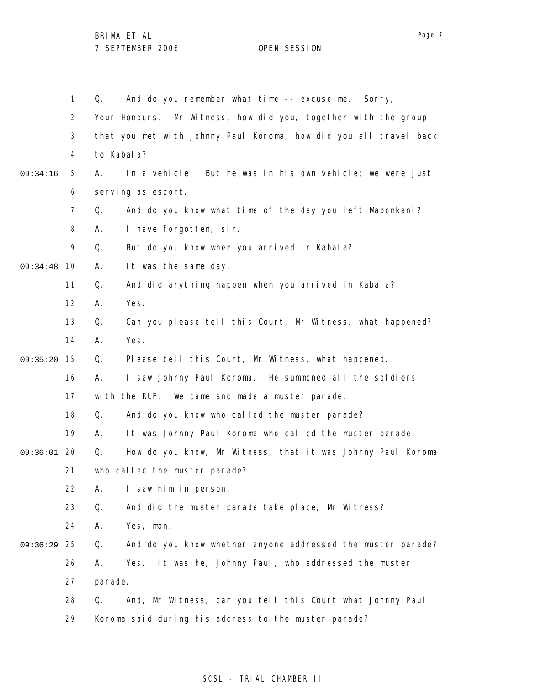|          | 1  | And do you remember what time -- excuse me. Sorry,<br>Q.          |
|----------|----|-------------------------------------------------------------------|
|          | 2  | Your Honours. Mr Witness, how did you, together with the group    |
|          | 3  | that you met with Johnny Paul Koroma, how did you all travel back |
|          | 4  | to Kabal a?                                                       |
| 09:34:16 | 5  | In a vehicle. But he was in his own vehicle; we were just<br>А.   |
|          | 6  | serving as escort.                                                |
|          | 7  | Q.<br>And do you know what time of the day you left Mabonkani?    |
|          | 8  | I have forgotten, sir.<br>А.                                      |
|          | 9  | Q.<br>But do you know when you arrived in Kabala?                 |
| 09:34:48 | 10 | It was the same day.<br>А.                                        |
|          | 11 | And did anything happen when you arrived in Kabala?<br>Q.         |
|          | 12 | Yes.<br>Α.                                                        |
|          | 13 | Q.<br>Can you please tell this Court, Mr Witness, what happened?  |
|          | 14 | Yes.<br>Α.                                                        |
| 09:35:20 | 15 | Please tell this Court, Mr Witness, what happened.<br>Q.          |
|          | 16 | I saw Johnny Paul Koroma. He summoned all the soldiers<br>А.      |
|          | 17 | with the RUF. We came and made a muster parade.                   |
|          | 18 | And do you know who called the muster parade?<br>Q.               |
|          | 19 | It was Johnny Paul Koroma who called the muster parade.<br>А.     |
| 09:36:01 | 20 | How do you know, Mr Witness, that it was Johnny Paul Koroma<br>Q. |
|          | 21 | who called the muster parade?                                     |
|          | 22 | I saw him in person.<br>Α.                                        |
|          | 23 | Q.<br>And did the muster parade take place, Mr Witness?           |
|          | 24 | Yes, man.<br>А.                                                   |
| 09:36:29 | 25 | And do you know whether anyone addressed the muster parade?<br>Q. |
|          | 26 | It was he, Johnny Paul, who addressed the muster<br>А.<br>Yes.    |
|          | 27 | parade.                                                           |
|          | 28 | And, Mr Witness, can you tell this Court what Johnny Paul<br>Q.   |
|          | 29 | Koroma said during his address to the muster parade?              |

# Page 7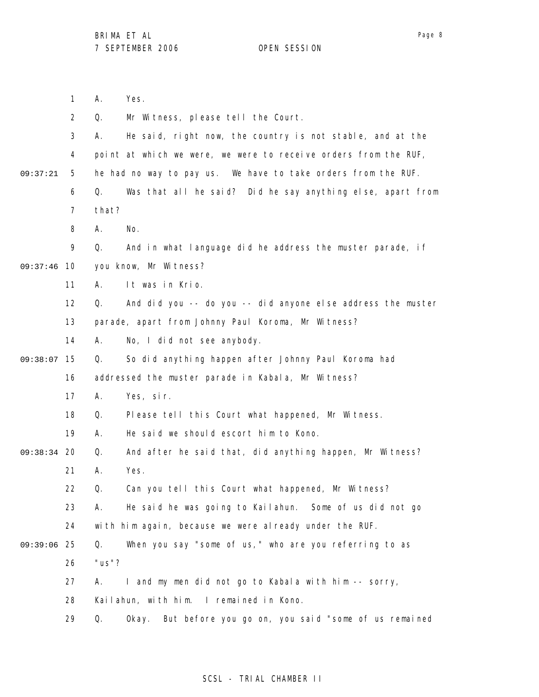A. Yes.

1

Page 8

|          | $\overline{2}$ | Q.        | Mr Witness, please tell the Court.                              |
|----------|----------------|-----------|-----------------------------------------------------------------|
|          | 3              | А.        | He said, right now, the country is not stable, and at the       |
|          | 4              |           | point at which we were, we were to receive orders from the RUF, |
| 09:37:21 | 5              |           | he had no way to pay us. We have to take orders from the RUF.   |
|          | 6              | Q.        | Was that all he said? Did he say anything else, apart from      |
|          | $\overline{7}$ | that?     |                                                                 |
|          | 8              | Α.        | No.                                                             |
|          | 9              | Q.        | And in what language did he address the muster parade, if       |
| 09:37:46 | 10             |           | you know, Mr Witness?                                           |
|          | 11             | А.        | It was in Krio.                                                 |
|          | 12             | Q.        | And did you -- do you -- did anyone else address the muster     |
|          | 13             |           | parade, apart from Johnny Paul Koroma, Mr Witness?              |
|          | 14             | А.        | No, I did not see anybody.                                      |
| 09:38:07 | 15             | Q.        | So did anything happen after Johnny Paul Koroma had             |
|          | 16             |           | addressed the muster parade in Kabala, Mr Witness?              |
|          | 17             | Α.        | Yes, sir.                                                       |
|          | 18             | Q.        | Please tell this Court what happened, Mr Witness.               |
|          | 19             | А.        | He said we should escort him to Kono.                           |
| 09:38:34 | 20             | Q.        | And after he said that, did anything happen, Mr Witness?        |
|          | 21             | Α.        | Yes.                                                            |
|          | 22             | Q.        | Can you tell this Court what happened, Mr Witness?              |
|          | 23             | А.        | He said he was going to Kailahun. Some of us did not go         |
|          | 24             |           | with him again, because we were already under the RUF.          |
| 09:39:06 | 25             | Q.        | When you say "some of us," who are you referring to as          |
|          | 26             | " $us$ "? |                                                                 |
|          | 27             | А.        | I and my men did not go to Kabala with him -- sorry,            |
|          | 28             |           | Kailahun, with him. I remained in Kono.                         |
|          | 29             | Q.        | But before you go on, you said "some of us remained<br>0kay.    |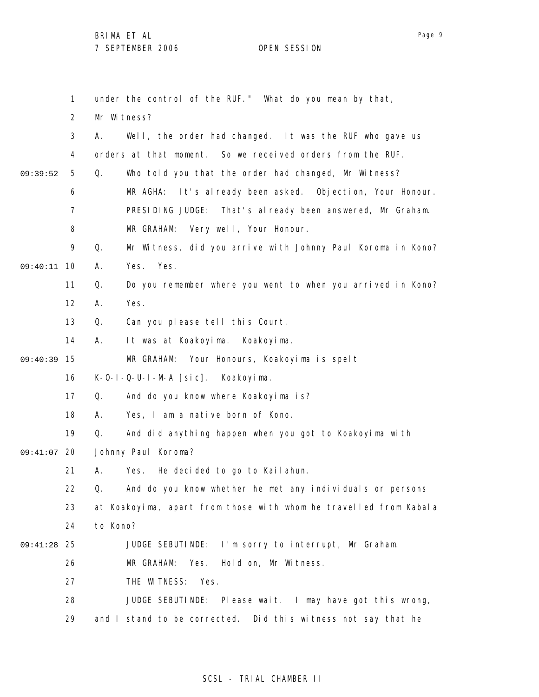BRIMA ET AL

Mr Witness?

A. Yes. Yes.

A. Yes.

1

2

3

4

5

6 7

8

9

11

12

13

14

16

17

18

19

09:40:11 10

09:39:52

15 09:40:39

7 SEPTEMBER 2006 OPEN SESSION

under the control of the RUF." What do you mean by that, A. Well, the order had changed. It was the RUF who gave us orders at that moment. So we received orders from the RUF. Q. Who told you that the order had changed, Mr Witness? MR AGHA: It's already been asked. Objection, Your Honour. PRESIDING JUDGE: That's already been answered, Mr Graham. MR GRAHAM: Very well, Your Honour. Q. Mr Witness, did you arrive with Johnny Paul Koroma in Kono? Q. Do you remember where you went to when you arrived in Kono? Q. Can you please tell this Court. A. It was at Koakoyima. Koakoyima. MR GRAHAM: Your Honours, Koakoyima is spelt K-O-I-Q-U-I-M-A [sic]. Koakoyima. Q. And do you know where Koakoyima is? A. Yes, I am a native born of Kono. Q. And did anything happen when you got to Koakoyima with

- 09:41:07 20 Johnny Paul Koroma?
	- 21 A. Yes. He decided to go to Kailahun.
	- 22 Q. And do you know whether he met any individuals or persons
	- 23 at Koakoyima, apart from those with whom he travelled from Kabala
	- 24 to Kono?
- 25 09:41:28 JUDGE SEBUTINDE: I'm sorry to interrupt, Mr Graham.
	- 26 MR GRAHAM: Yes. Hold on, Mr Witness.
		- 27 THE WITNESS: Yes.
		- 28 29 JUDGE SEBUTINDE: Please wait. I may have got this wrong, and I stand to be corrected. Did this witness not say that he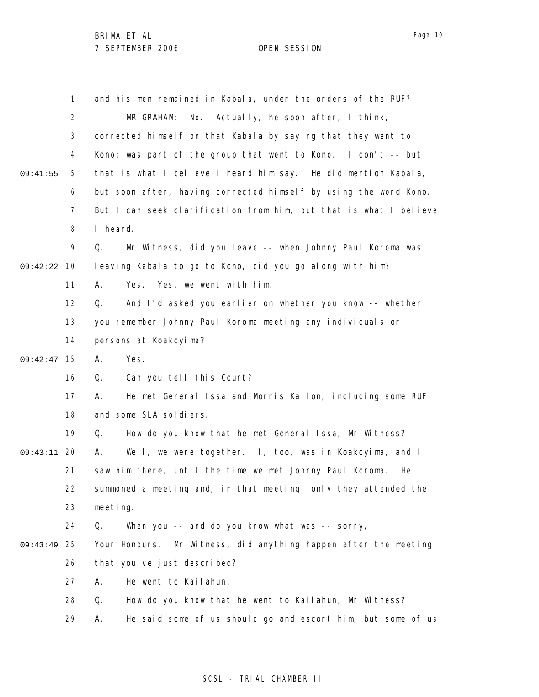|          | $\mathbf{1}$   | and his men remained in Kabala, under the orders of the RUF?       |
|----------|----------------|--------------------------------------------------------------------|
|          | 2              | Actually, he soon after, I think,<br>MR GRAHAM:<br>No.             |
|          | 3              | corrected himself on that Kabala by saying that they went to       |
|          | 4              | Kono; was part of the group that went to Kono. I don't -- but      |
| 09:41:55 | 5              | that is what I believe I heard him say. He did mention Kabala,     |
|          | 6              | but soon after, having corrected himself by using the word Kono.   |
|          | $\overline{7}$ | But I can seek clarification from him, but that is what I believe  |
|          | 8              | I heard.                                                           |
|          | 9              | Mr Witness, did you leave -- when Johnny Paul Koroma was<br>Q.     |
| 09:42:22 | 10             | leaving Kabala to go to Kono, did you go along with him?           |
|          | 11             | Yes, we went with him.<br>Yes.<br>А.                               |
|          | 12             | And I'd asked you earlier on whether you know -- whether<br>Q.     |
|          | 13             | you remember Johnny Paul Koroma meeting any individuals or         |
|          | 14             | persons at Koakoyima?                                              |
| 09:42:47 | 15             | Yes.<br>А.                                                         |
|          | 16             | Can you tell this Court?<br>Q.                                     |
|          | 17             | He met General Issa and Morris Kallon, including some RUF<br>А.    |
|          | 18             | and some SLA soldiers.                                             |
|          | 19             | How do you know that he met General Issa, Mr Witness?<br>Q.        |
| 09:43:11 | 20             | Well, we were together. I, too, was in Koakoyima, and I<br>А.      |
|          | 21             | saw him there, until the time we met Johnny Paul Koroma.<br>He     |
|          | 22             | summoned a meeting and, in that meeting, only they attended the    |
|          | 23             | meeting.                                                           |
|          | 24             | Q.<br>When you -- and do you know what was -- sorry,               |
| 09:43:49 | 25             | Mr Witness, did anything happen after the meeting<br>Your Honours. |
|          | 26             | that you've just described?                                        |
|          | 27             | He went to Kailahun.<br>Α.                                         |
|          | 28             | Q.<br>How do you know that he went to Kailahun, Mr Witness?        |
|          | 29             | He said some of us should go and escort him, but some of us<br>Α.  |

## SCSL - TRIAL CHAMBER II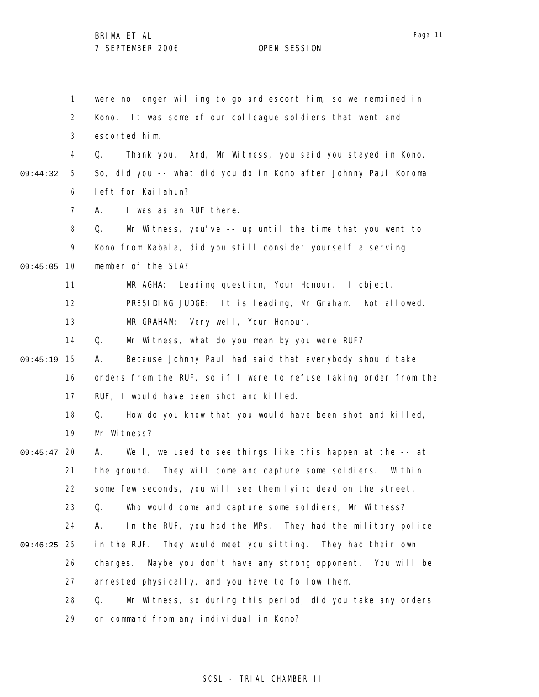1 2 3 4 5 6 7 8 9 09:45:05 10 11 12 13 14 15 09:45:19 16 17 18 19 09:45:47 20 21 22 23 24 25 09:46:25 26 27 28 29 09:44:32 were no longer willing to go and escort him, so we remained in Kono. It was some of our colleague soldiers that went and escorted him. Q. Thank you. And, Mr Witness, you said you stayed in Kono. So, did you -- what did you do in Kono after Johnny Paul Koroma left for Kailahun? A. I was as an RUF there. Q. Mr Witness, you've -- up until the time that you went to Kono from Kabala, did you still consider yourself a serving member of the SLA? MR AGHA: Leading question, Your Honour. I object. PRESIDING JUDGE: It is leading, Mr Graham. Not allowed. MR GRAHAM: Very well, Your Honour. Q. Mr Witness, what do you mean by you were RUF? A. Because Johnny Paul had said that everybody should take orders from the RUF, so if I were to refuse taking order from the RUF, I would have been shot and killed. Q. How do you know that you would have been shot and killed, Mr Witness? A. Well, we used to see things like this happen at the -- at the ground. They will come and capture some soldiers. Within some few seconds, you will see them lying dead on the street. Q. Who would come and capture some soldiers, Mr Witness? A. In the RUF, you had the MPs. They had the military police in the RUF. They would meet you sitting. They had their own charges. Maybe you don't have any strong opponent. You will be arrested physically, and you have to follow them. Q. Mr Witness, so during this period, did you take any orders or command from any individual in Kono?

### SCSL - TRIAL CHAMBER II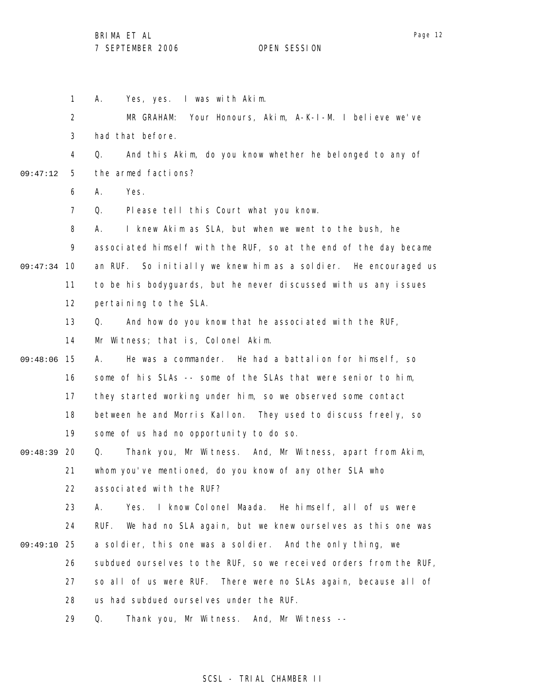1 2 3 4 5 6 7 8 9 09:47:34 10 11 12 13 14 09:48:06 15 16 17 18 19 09:48:39 20 21 22 23 24 25 09:49:10 26 27 28 29 09:47:12 A. Yes, yes. I was with Akim. MR GRAHAM: Your Honours, Akim, A-K-I-M. I believe we've had that before. Q. And this Akim, do you know whether he belonged to any of the armed factions? A. Yes. Q. Please tell this Court what you know. A. I knew Akim as SLA, but when we went to the bush, he associated himself with the RUF, so at the end of the day became an RUF. So initially we knew him as a soldier. He encouraged us to be his bodyguards, but he never discussed with us any issues pertaining to the SLA. Q. And how do you know that he associated with the RUF, Mr Witness; that is, Colonel Akim. A. He was a commander. He had a battalion for himself, so some of his SLAs -- some of the SLAs that were senior to him, they started working under him, so we observed some contact between he and Morris Kallon. They used to discuss freely, so some of us had no opportunity to do so. Q. Thank you, Mr Witness. And, Mr Witness, apart from Akim, whom you've mentioned, do you know of any other SLA who associated with the RUF? A. Yes. I know Colonel Maada. He himself, all of us were RUF. We had no SLA again, but we knew ourselves as this one was a soldier, this one was a soldier. And the only thing, we subdued ourselves to the RUF, so we received orders from the RUF, so all of us were RUF. There were no SLAs again, because all of us had subdued ourselves under the RUF. Q. Thank you, Mr Witness. And, Mr Witness --

### SCSL - TRIAL CHAMBER II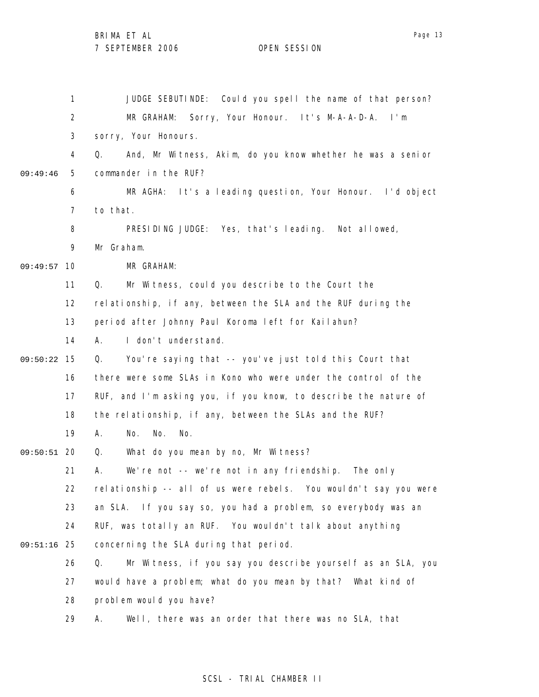BRIMA ET AL

7 SEPTEMBER 2006 OPEN SESSION

1 2 3 4 5 6 7 8 9 09:49:57 10 11 12 13 14 15 09:50:22 16 17 18 19 09:50:51 20 21 22 23 24 25 09:51:16 26 27 28 29 09:49:46 JUDGE SEBUTINDE: Could you spell the name of that person? MR GRAHAM: Sorry, Your Honour. It's M-A-A-D-A. I'm sorry, Your Honours. Q. And, Mr Witness, Akim, do you know whether he was a senior commander in the RUF? MR AGHA: It's a leading question, Your Honour. I'd object to that. PRESIDING JUDGE: Yes, that's leading. Not allowed, Mr Graham. MR GRAHAM: Q. Mr Witness, could you describe to the Court the relationship, if any, between the SLA and the RUF during the period after Johnny Paul Koroma left for Kailahun? A. I don't understand. Q. You're saying that -- you've just told this Court that there were some SLAs in Kono who were under the control of the RUF, and I'm asking you, if you know, to describe the nature of the relationship, if any, between the SLAs and the RUF? A. No. No. No. Q. What do you mean by no, Mr Witness? A. We're not -- we're not in any friendship. The only relationship -- all of us were rebels. You wouldn't say you were an SLA. If you say so, you had a problem, so everybody was an RUF, was totally an RUF. You wouldn't talk about anything concerning the SLA during that period. Q. Mr Witness, if you say you describe yourself as an SLA, you would have a problem; what do you mean by that? What kind of problem would you have? A. Well, there was an order that there was no SLA, that

#### SCSL - TRIAL CHAMBER II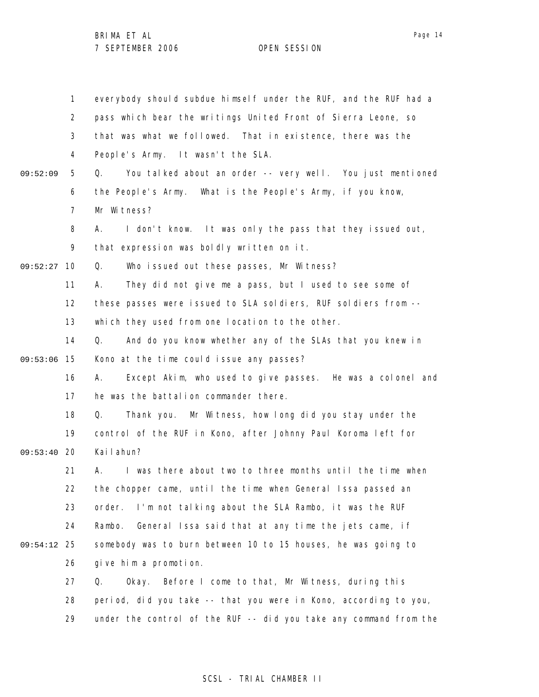1 2 3 4 5 6 7 8 9 09:52:27 10 11 12 13 14 09:53:06 15 16 17 18 19 09:53:40 20 21 22 23 24 25 09:54:12 26 27 28 29 09:52:09 everybody should subdue himself under the RUF, and the RUF had a pass which bear the writings United Front of Sierra Leone, so that was what we followed. That in existence, there was the People's Army. It wasn't the SLA. Q. You talked about an order -- very well. You just mentioned the People's Army. What is the People's Army, if you know, Mr Witness? A. I don't know. It was only the pass that they issued out, that expression was boldly written on it. Q. Who issued out these passes, Mr Witness? A. They did not give me a pass, but I used to see some of these passes were issued to SLA soldiers, RUF soldiers from - which they used from one location to the other. Q. And do you know whether any of the SLAs that you knew in Kono at the time could issue any passes? A. Except Akim, who used to give passes. He was a colonel and he was the battalion commander there. Q. Thank you. Mr Witness, how long did you stay under the control of the RUF in Kono, after Johnny Paul Koroma left for Kailahun? A. I was there about two to three months until the time when the chopper came, until the time when General Issa passed an order. I'm not talking about the SLA Rambo, it was the RUF Rambo. General Issa said that at any time the jets came, if somebody was to burn between 10 to 15 houses, he was going to give him a promotion. Q. Okay. Before I come to that, Mr Witness, during this period, did you take -- that you were in Kono, according to you, under the control of the RUF -- did you take any command from the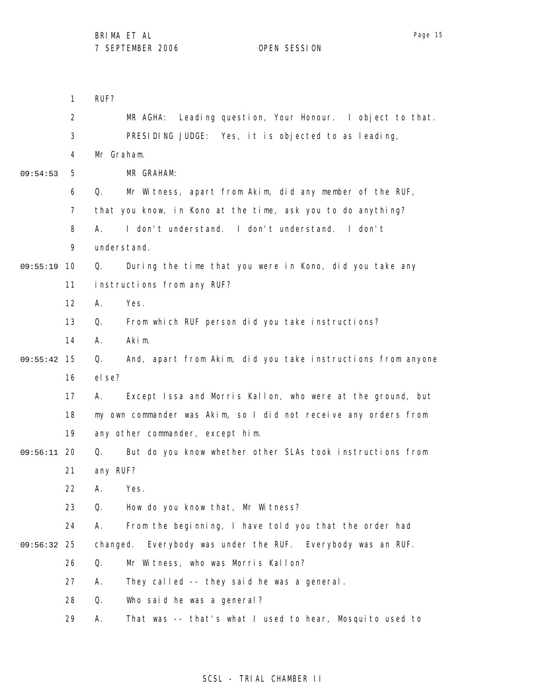|             | 1              | RUF?                                                              |
|-------------|----------------|-------------------------------------------------------------------|
|             | $\overline{2}$ | MR AGHA:<br>Leading question, Your Honour. I object to that.      |
|             | 3              | PRESIDING JUDGE: Yes, it is objected to as leading,               |
|             | 4              | Mr Graham.                                                        |
| 09:54:53    | 5              | MR GRAHAM:                                                        |
|             | 6              | Mr Witness, apart from Akim, did any member of the RUF,<br>Q.     |
|             | $\overline{7}$ | that you know, in Kono at the time, ask you to do anything?       |
|             | 8              | I don't understand. I don't understand. I don't<br>А.             |
|             | 9              | understand.                                                       |
| 09:55:19    | 10             | During the time that you were in Kono, did you take any<br>Q.     |
|             | 11             | instructions from any RUF?                                        |
|             | 12             | Yes.<br>А.                                                        |
|             | 13             | From which RUF person did you take instructions?<br>Q.            |
|             | 14             | Akim.<br>А.                                                       |
| 09:55:42    | 15             | And, apart from Akim, did you take instructions from anyone<br>Q. |
|             | 16             | el se?                                                            |
|             | 17             | Except Issa and Morris Kallon, who were at the ground, but<br>А.  |
|             | 18             | my own commander was Akim, so I did not receive any orders from   |
|             | 19             | any other commander, except him.                                  |
| 09:56:11 20 |                | But do you know whether other SLAs took instructions from<br>Q.   |
|             | 21             | any RUF?                                                          |
|             | 22             | A. Yes                                                            |
|             | 23             | How do you know that, Mr Witness?<br>Q.                           |
|             | 24             | From the beginning, I have told you that the order had<br>А.      |
| 09:56:32    | 25             | changed.<br>Everybody was under the RUF. Everybody was an RUF.    |
|             | 26             | Mr Witness, who was Morris Kallon?<br>Q.                          |
|             | 27             | They called -- they said he was a general.<br>А.                  |
|             | 28             | Who said he was a general?<br>Q.                                  |
|             | 29             | That was -- that's what I used to hear, Mosquito used to<br>А.    |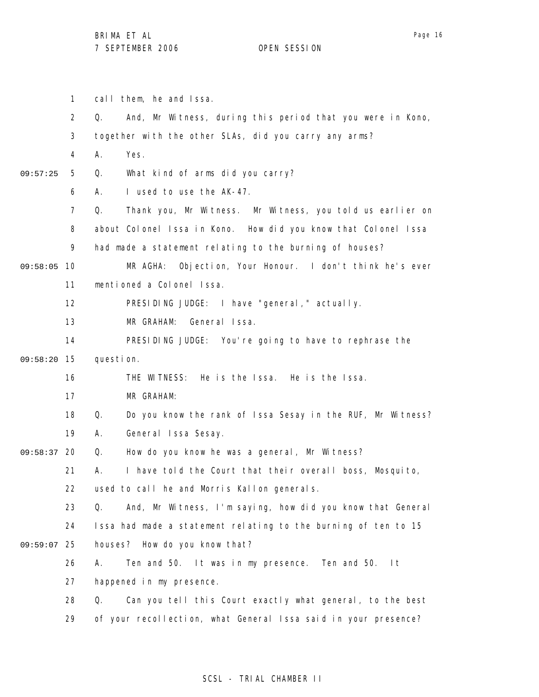1 call them, he and Issa.

|          | $\overline{2}$ | Q.        | And, Mr Witness, during this period that you were in Kono,     |
|----------|----------------|-----------|----------------------------------------------------------------|
|          | 3              |           | together with the other SLAs, did you carry any arms?          |
|          | 4              | А.        | Yes.                                                           |
| 09:57:25 | 5              | Q.        | What kind of arms did you carry?                               |
|          | 6              | А.        | I used to use the AK-47.                                       |
|          | $\overline{7}$ | Q.        | Thank you, Mr Witness. Mr Witness, you told us earlier on      |
|          | 8              |           | about Colonel Issa in Kono. How did you know that Colonel Issa |
|          | 9              |           | had made a statement relating to the burning of houses?        |
| 09:58:05 | 10             |           | Objection, Your Honour. I don't think he's ever<br>MR AGHA:    |
|          | 11             |           | mentioned a Colonel Issa.                                      |
|          | 12             |           | PRESIDING JUDGE: I have "general, " actually.                  |
|          | 13             |           | MR GRAHAM:<br>General Issa.                                    |
|          | 14             |           | PRESIDING JUDGE: You're going to have to rephrase the          |
| 09:58:20 | 15             | question. |                                                                |
|          | 16             |           | THE WITNESS:<br>He is the Issa. He is the Issa.                |
|          | 17             |           | MR GRAHAM:                                                     |
|          | 18             | Q.        | Do you know the rank of Issa Sesay in the RUF, Mr Witness?     |
|          | 19             | А.        | General Issa Sesay.                                            |
| 09:58:37 | 20             | Q.        | How do you know he was a general, Mr Witness?                  |
|          | 21             | А.        | I have told the Court that their overall boss, Mosquito,       |
|          | 22             |           | used to call he and Morris Kallon generals.                    |
|          | 23             | Q.        | And, Mr Witness, I'm saying, how did you know that General     |
|          | 24             |           | Issa had made a statement relating to the burning of ten to 15 |
| 09:59:07 | 25             |           | houses? How do you know that?                                  |
|          | 26             | Α.        | Ten and 50. It was in my presence. Ten and 50.<br>l t          |
|          | 27             |           | happened in my presence.                                       |
|          | 28             | Q.        | Can you tell this Court exactly what general, to the best      |
|          | 29             |           | of your recollection, what General Issa said in your presence? |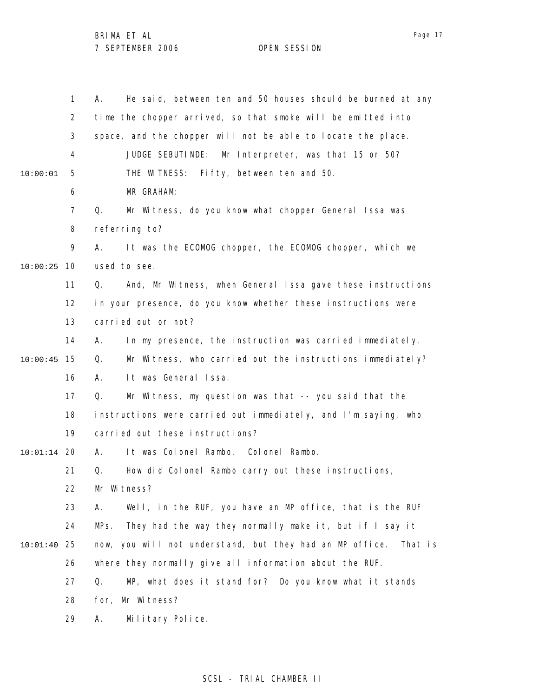1 2 3 4 5 6 7 8 9 10 10:00:25 11 12 13 14 15 10:00:45 16 17 18 19 20 10:01:14 21 22 23 24 25 10:01:40 26 27 28 29 10:00:01 A. He said, between ten and 50 houses should be burned at any time the chopper arrived, so that smoke will be emitted into space, and the chopper will not be able to locate the place. JUDGE SEBUTINDE: Mr Interpreter, was that 15 or 50? THE WITNESS: Fifty, between ten and 50. MR GRAHAM: Q. Mr Witness, do you know what chopper General Issa was referring to? A. It was the ECOMOG chopper, the ECOMOG chopper, which we used to see. Q. And, Mr Witness, when General Issa gave these instructions in your presence, do you know whether these instructions were carried out or not? A. In my presence, the instruction was carried immediately. Q. Mr Witness, who carried out the instructions immediately? A. It was General Issa. Q. Mr Witness, my question was that -- you said that the instructions were carried out immediately, and I'm saying, who carried out these instructions? A. It was Colonel Rambo. Colonel Rambo. Q. How did Colonel Rambo carry out these instructions, Mr Witness? A. Well, in the RUF, you have an MP office, that is the RUF MPs. They had the way they normally make it, but if I say it now, you will not understand, but they had an MP office. That is where they normally give all information about the RUF. Q. MP, what does it stand for? Do you know what it stands for, Mr Witness? A. Military Police.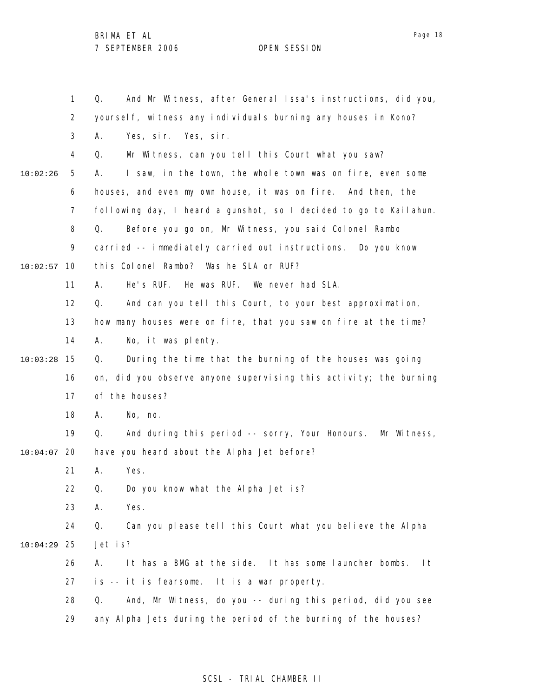1 2 3 4 5 6 7 8 9 10 10:02:57 11 12 13 14 15 10:03:28 16 17 18 19 20 10:04:07 21 22 23 24 25 10:04:29 26 27 28 29 10:02:26 Q. And Mr Witness, after General Issa's instructions, did you, yoursel f, witness any individuals burning any houses in Kono? A. Yes, sir. Yes, sir. Q. Mr Witness, can you tell this Court what you saw? A. I saw, in the town, the whole town was on fire, even some houses, and even my own house, it was on fire. And then, the following day, I heard a gunshot, so I decided to go to Kailahun. Q. Before you go on, Mr Witness, you said Colonel Rambo carried -- immediately carried out instructions. Do you know this Colonel Rambo? Was he SLA or RUF? A. He's RUF. He was RUF. We never had SLA. Q. And can you tell this Court, to your best approximation, how many houses were on fire, that you saw on fire at the time? A. No, it was plenty. Q. During the time that the burning of the houses was going on, did you observe anyone supervising this activity; the burning of the houses? A. No, no. Q. And during this period -- sorry, Your Honours. Mr Witness, have you heard about the Alpha Jet before? A. Yes. Q. Do you know what the Alpha Jet is? A. Yes. Q. Can you please tell this Court what you believe the Alpha Jet is? A. It has a BMG at the side. It has some launcher bombs. It is -- it is fearsome. It is a war property. Q. And, Mr Witness, do you -- during this period, did you see any Alpha Jets during the period of the burning of the houses?

### SCSL - TRIAL CHAMBER II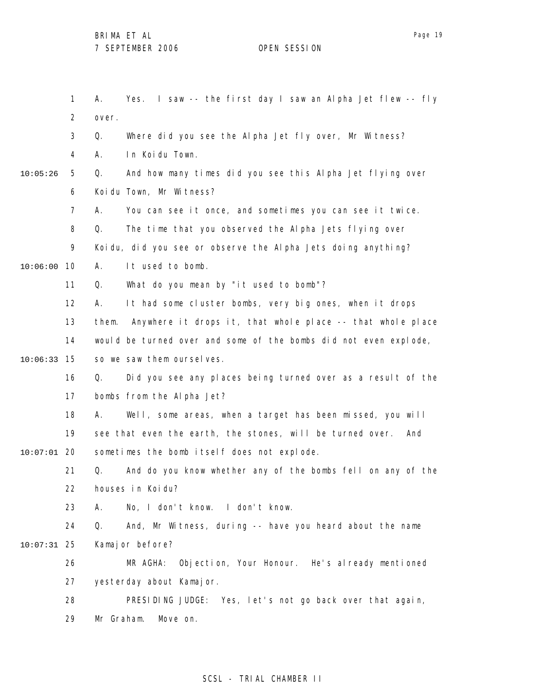1 2 3 4 5 6 7 8 9 10 10:06:00 11 12 13 14 15 10:06:33 16 17 18 19 20 10:07:01 21 22 23 24 25 10:07:31 26 27 28 29 10:05:26 A. Yes. I saw -- the first day I saw an Alpha Jet flew -- fly over. Q. Where did you see the Alpha Jet fly over, Mr Witness? A. In Koidu Town. Q. And how many times did you see this Alpha Jet flying over Koidu Town, Mr Witness? A. You can see it once, and sometimes you can see it twice. Q. The time that you observed the Alpha Jets flying over Koidu, did you see or observe the Alpha Jets doing anything? A. It used to bomb. Q. What do you mean by "it used to bomb"? A. It had some cluster bombs, very big ones, when it drops them. Anywhere it drops it, that whole place -- that whole place would be turned over and some of the bombs did not even explode, so we saw them ourselves. Q. Did you see any places being turned over as a result of the bombs from the Alpha Jet? A. Well, some areas, when a target has been missed, you will see that even the earth, the stones, will be turned over. And sometimes the bomb itself does not explode. Q. And do you know whether any of the bombs fell on any of the houses in Koidu? A. No, I don't know. I don't know. Q. And, Mr Witness, during -- have you heard about the name Kamajor before? MR AGHA: Objection, Your Honour. He's already mentioned yesterday about Kamajor. PRESIDING JUDGE: Yes, let's not go back over that again, Mr Graham. Move on.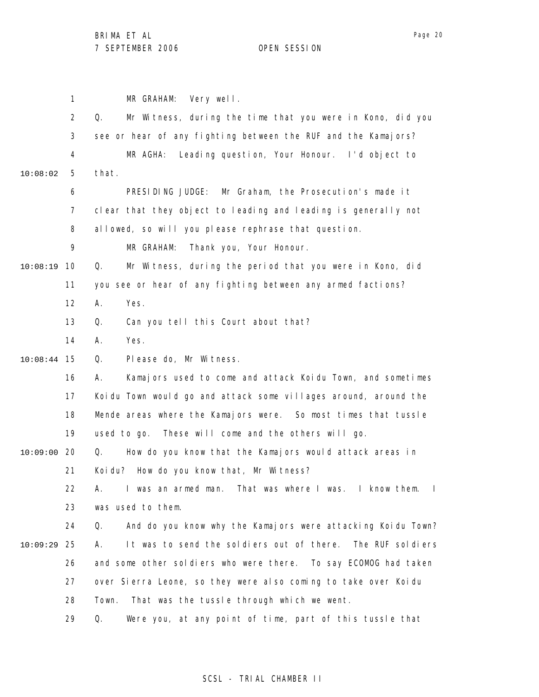1 2 3 4 5 6 7 8 9 10 10:08:19 11 12 13 14 15 10:08:44 16 17 18 19 20 10:09:00 21 22 23 24 25 10:09:29 26 27 28 29 10:08:02 MR GRAHAM: Very well. Q. Mr Witness, during the time that you were in Kono, did you see or hear of any fighting between the RUF and the Kamajors? MR AGHA: Leading question, Your Honour. I'd object to that. PRESIDING JUDGE: Mr Graham, the Prosecution's made it clear that they object to leading and leading is generally not allowed, so will you please rephrase that question. MR GRAHAM: Thank you, Your Honour. Q. Mr Witness, during the period that you were in Kono, did you see or hear of any fighting between any armed factions? A. Yes. Q. Can you tell this Court about that? A. Yes. Q. Please do, Mr Witness. A. Kamajors used to come and attack Koidu Town, and sometimes Koidu Town would go and attack some villages around, around the Mende areas where the Kamajors were. So most times that tussle used to go. These will come and the others will go. Q. How do you know that the Kamajors would attack areas in Koidu? How do you know that, Mr Witness? A. I was an armed man. That was where I was. I know them. I was used to them. Q. And do you know why the Kamajors were attacking Koidu Town? A. It was to send the soldiers out of there. The RUF soldiers and some other soldiers who were there. To say ECOMOG had taken over Sierra Leone, so they were also coming to take over Koidu Town. That was the tussle through which we went. Q. Were you, at any point of time, part of this tussle that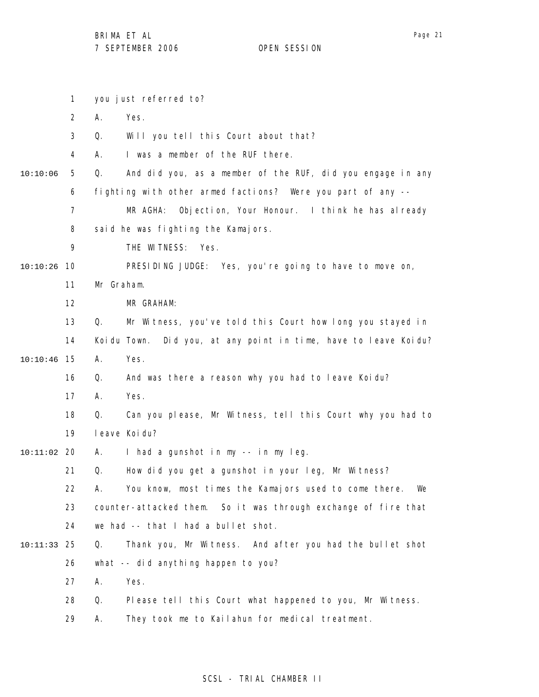1 2 3 4 5 6 7 8 9 10 10:10:26 11 12 13 14 15 10:10:46 16 17 18 19 20 10:11:02 21 22 23 24 25 10:11:33 26 27 28 29 10:10:06 you just referred to? A. Yes. Q. Will you tell this Court about that? A. I was a member of the RUF there. Q. And did you, as a member of the RUF, did you engage in any fighting with other armed factions? Were you part of any -- MR AGHA: Objection, Your Honour. I think he has already said he was fighting the Kamajors. THE WITNESS: Yes. PRESIDING JUDGE: Yes, you're going to have to move on, Mr Graham. MR GRAHAM: Q. Mr Witness, you've told this Court how long you stayed in Koidu Town. Did you, at any point in time, have to leave Koidu? A. Yes. Q. And was there a reason why you had to leave Koidu? A. Yes. Q. Can you please, Mr Witness, tell this Court why you had to leave Koidu? A. I had a gunshot in my -- in my leg. Q. How did you get a gunshot in your leg, Mr Witness? A. You know, most times the Kamajors used to come there. We counter-attacked them. So it was through exchange of fire that we had -- that I had a bullet shot. Q. Thank you, Mr Witness. And after you had the bullet shot what -- did anything happen to you? A. Yes. Q. Please tell this Court what happened to you, Mr Witness. A. They took me to Kailahun for medical treatment.

## Page 21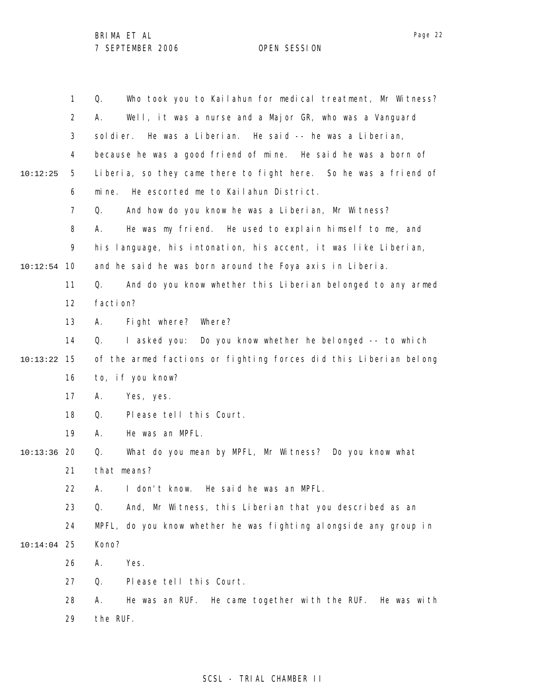|          | $\mathbf{1}$   | Who took you to Kailahun for medical treatment, Mr Witness?<br>Q. |
|----------|----------------|-------------------------------------------------------------------|
|          | $\overline{2}$ | Well, it was a nurse and a Major GR, who was a Vanguard<br>А.     |
|          | 3              | He was a Liberian. He said -- he was a Liberian,<br>sol di er.    |
|          | 4              | because he was a good friend of mine. He said he was a born of    |
| 10:12:25 | 5              | Liberia, so they came there to fight here. So he was a friend of  |
|          | 6              | He escorted me to Kailahun District.<br>mi ne.                    |
|          | $\overline{7}$ | And how do you know he was a Liberian, Mr Witness?<br>Q.          |
|          | 8              | He was my friend. He used to explain himself to me, and<br>А.     |
|          | 9              | his language, his intonation, his accent, it was like Liberian,   |
| 10:12:54 | 10             | and he said he was born around the Foya axis in Liberia.          |
|          | 11             | And do you know whether this Liberian belonged to any armed<br>Q. |
|          | 12             | facti on?                                                         |
|          | 13             | Fight where?<br>Where?<br>А.                                      |
|          | 14             | I asked you:<br>Do you know whether he belonged -- to which<br>Q. |
| 10:13:22 | 15             | of the armed factions or fighting forces did this Liberian belong |
|          | 16             | to, if you know?                                                  |
|          | 17             | Yes, yes.<br>Α.                                                   |
|          | 18             | Please tell this Court.<br>Q.                                     |
|          | 19             | He was an MPFL.<br>А.                                             |
| 10:13:36 | 20             | What do you mean by MPFL, Mr Witness? Do you know what<br>Q.      |
|          | 21             | that means?                                                       |
|          | 22             | I don't know.<br>He said he was an MPFL.<br>Α.                    |
|          | 23             | And, Mr Witness, this Liberian that you described as an<br>Q.     |
|          | 24             | MPFL, do you know whether he was fighting alongside any group in  |
| 10:14:04 | 25             | Kono?                                                             |
|          | 26             | Yes.<br>Α.                                                        |
|          | 27             | Please tell this Court.<br>Q.                                     |
|          | 28             | He was an RUF. He came together with the RUF. He was with<br>А.   |
|          | 29             | the RUF.                                                          |

## SCSL - TRIAL CHAMBER II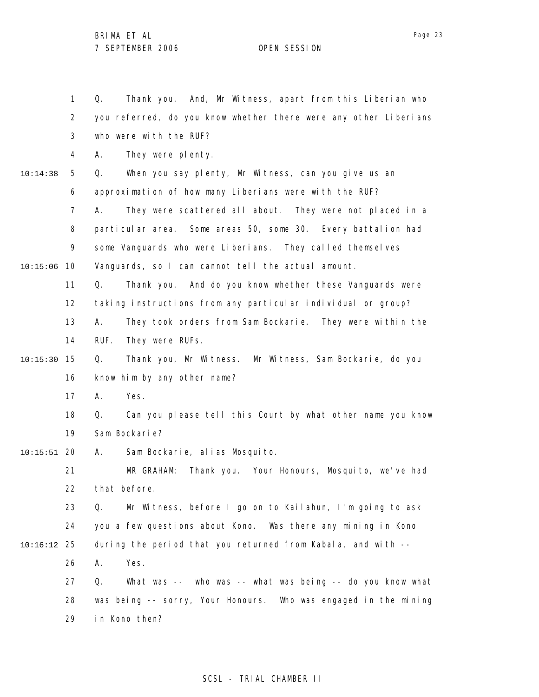1 2 3 4 5 6 7 8 9 10 10:15:06 11 12 13 14 15 10:15:30 16 17 18 19 20 10:15:51 21 22 23 24 25 10:16:12 26 27 28 29 10:14:38 Q. Thank you. And, Mr Witness, apart from this Liberian who you referred, do you know whether there were any other Liberians who were with the RUF? A. They were plenty. Q. When you say plenty, Mr Witness, can you give us an approximation of how many Liberians were with the RUF? A. They were scattered all about. They were not placed in a particular area. Some areas 50, some 30. Every battalion had some Vanguards who were Liberians. They called themselves Vanguards, so I can cannot tell the actual amount. Q. Thank you. And do you know whether these Vanguards were taking instructions from any particular individual or group? A. They took orders from Sam Bockarie. They were within the RUF. They were RUFs. Q. Thank you, Mr Witness. Mr Witness, Sam Bockarie, do you know him by any other name? A. Yes. Q. Can you please tell this Court by what other name you know Sam Bockarie? A. Sam Bockarie, alias Mosquito. MR GRAHAM: Thank you. Your Honours, Mosquito, we've had that before. Q. Mr Witness, before I go on to Kailahun, I'm going to ask you a few questions about Kono. Was there any mining in Kono during the period that you returned from Kabala, and with -- A. Yes. Q. What was -- who was -- what was being -- do you know what was being -- sorry, Your Honours. Who was engaged in the mining in Kono then?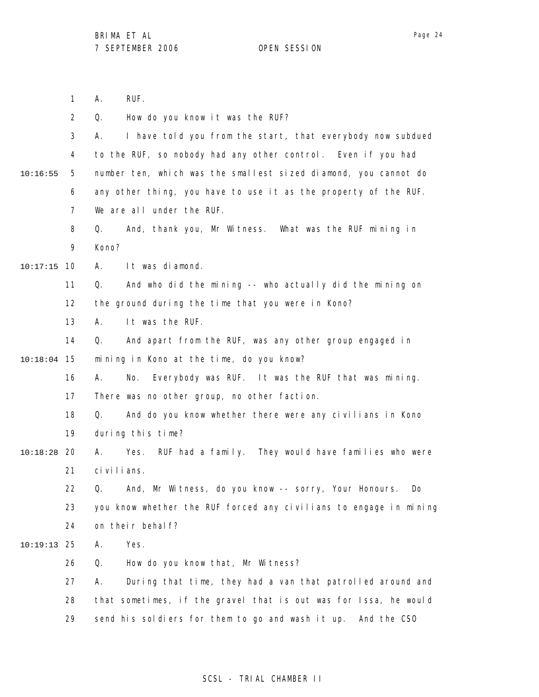|               | $\mathbf{1}$   | RUF.<br>Α.                                                        |
|---------------|----------------|-------------------------------------------------------------------|
|               | $\overline{2}$ | Q.<br>How do you know it was the RUF?                             |
|               | 3              | I have told you from the start, that everybody now subdued<br>А.  |
|               | 4              | to the RUF, so nobody had any other control. Even if you had      |
| 10:16:55      | 5              | number ten, which was the smallest sized diamond, you cannot do   |
|               | 6              | any other thing, you have to use it as the property of the RUF.   |
|               | $\overline{7}$ | We are all under the RUF.                                         |
|               | 8              | And, thank you, Mr Witness. What was the RUF mining in<br>Q.      |
|               | 9              | Kono?                                                             |
| $10:17:15$ 10 |                | A.<br>It was diamond.                                             |
|               | 11             | And who did the mining -- who actually did the mining on<br>Q.    |
|               | 12             | the ground during the time that you were in Kono?                 |
|               | 13             | It was the RUF.<br>А.                                             |
|               | 14             | And apart from the RUF, was any other group engaged in<br>Q.      |
| $10:18:04$ 15 |                | mining in Kono at the time, do you know?                          |
|               | 16             | Everybody was RUF. It was the RUF that was mining.<br>А.<br>No.   |
|               | 17             | There was no other group, no other faction.                       |
|               | 18             | And do you know whether there were any civilians in Kono<br>Q.    |
|               | 19             | during this time?                                                 |
| $10:18:28$ 20 |                | RUF had a family. They would have families who were<br>А.<br>Yes. |
|               | 21             | ci vi l i ans.                                                    |
|               | 22.            | Q. And, Mr Witness, do you know -- sorry, Your Honours.<br>Do.    |
|               | 23             | you know whether the RUF forced any civilians to engage in mining |
|               | 24             | on their behalf?                                                  |
| $10:19:13$ 25 |                | Yes.<br>Α.                                                        |
|               | 26             | How do you know that, Mr Witness?<br>Q.                           |
|               | 27             | During that time, they had a van that patrolled around and<br>А.  |
|               | 28             | that sometimes, if the gravel that is out was for Issa, he would  |
|               | 29             | send his soldiers for them to go and wash it up. And the CSO      |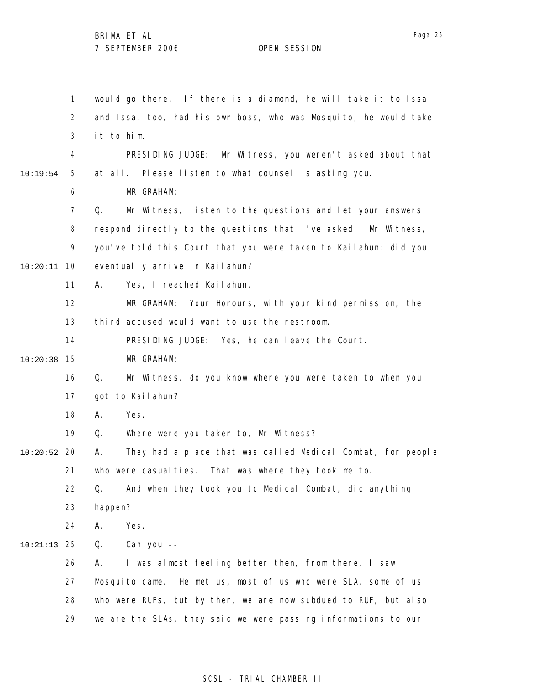1 2 3 4 5 6 7 8 9 10 10:20:11 11 12 13 14 15 10:20:38 16 17 18 19 20 10:20:52 21 22 23 24 25 10:21:13 26 27 28 29 10:19:54 would go there. If there is a diamond, he will take it to Issa and Issa, too, had his own boss, who was Mosquito, he would take it to him. PRESIDING JUDGE: Mr Witness, you weren't asked about that at all. Please listen to what counsel is asking you. MR GRAHAM: Q. Mr Witness, listen to the questions and let your answers respond directly to the questions that I've asked. Mr Witness, you've told this Court that you were taken to Kailahun; did you eventually arrive in Kailahun? A. Yes, I reached Kailahun. MR GRAHAM: Your Honours, with your kind permission, the third accused would want to use the restroom. PRESIDING JUDGE: Yes, he can leave the Court. MR GRAHAM: Q. Mr Witness, do you know where you were taken to when you got to Kailahun? A. Yes. Q. Where were you taken to, Mr Witness? A. They had a place that was called Medical Combat, for people who were casualties. That was where they took me to. Q. And when they took you to Medical Combat, did anything happen? A. Yes. Q. Can you -- A. I was almost feeling better then, from there, I saw Mosquito came. He met us, most of us who were SLA, some of us who were RUFs, but by then, we are now subdued to RUF, but also we are the SLAs, they said we were passing informations to our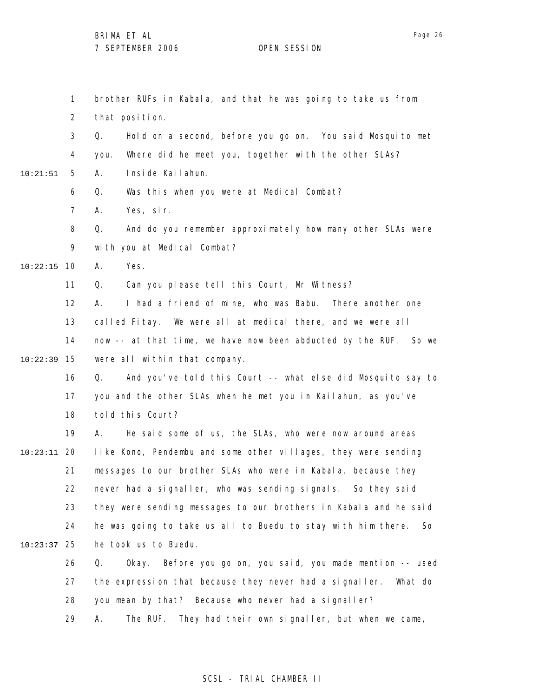1 2 3 4 5 6 7 8 9 10 10:22:15 11 12 13 14 15 10:22:39 16 17 18 19 20 10:23:11 21 22 23 24 25 10:23:37 26 27 28 29 10:21:51 brother RUFs in Kabala, and that he was going to take us from that position. Q. Hold on a second, before you go on. You said Mosquito met you. Where did he meet you, together with the other SLAs? A. Inside Kailahun. Q. Was this when you were at Medical Combat? A. Yes, sir. Q. And do you remember approximately how many other SLAs were with you at Medical Combat? A. Yes. Q. Can you please tell this Court, Mr Witness? A. I had a friend of mine, who was Babu. There another one called Fitay. We were all at medical there, and we were all now -- at that time, we have now been abducted by the RUF. So we were all within that company. Q. And you've told this Court -- what else did Mosquito say to you and the other SLAs when he met you in Kailahun, as you've told this Court? A. He said some of us, the SLAs, who were now around areas like Kono, Pendembu and some other villages, they were sending messages to our brother SLAs who were in Kabala, because they never had a signaller, who was sending signals. So they said they were sending messages to our brothers in Kabala and he said he was going to take us all to Buedu to stay with him there. So he took us to Buedu. Q. Okay. Before you go on, you said, you made mention -- used the expression that because they never had a signaller. What do you mean by that? Because who never had a signaller? A. The RUF. They had their own signaller, but when we came,

### SCSL - TRIAL CHAMBER II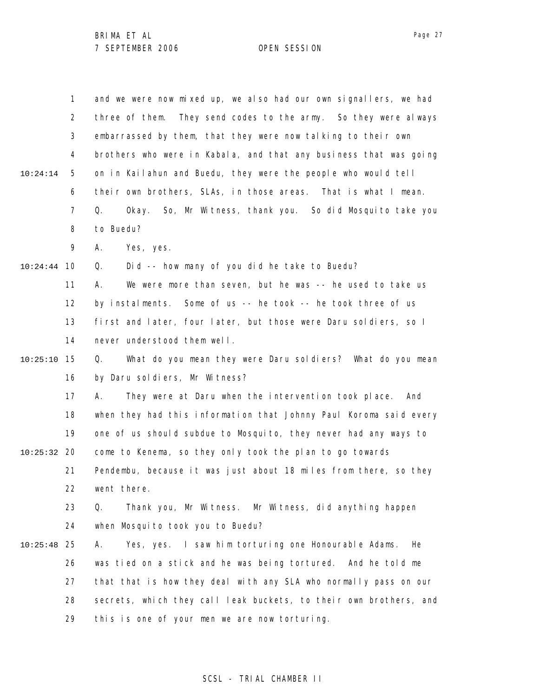|               | 1              | and we were now mixed up, we also had our own signallers, we had   |
|---------------|----------------|--------------------------------------------------------------------|
|               | $\overline{2}$ | They send codes to the army. So they were always<br>three of them. |
|               | 3              | embarrassed by them, that they were now talking to their own       |
|               | 4              | brothers who were in Kabala, and that any business that was going  |
| 10:24:14      | 5              | on in Kailahun and Buedu, they were the people who would tell      |
|               | 6              | their own brothers, SLAs, in those areas. That is what I mean.     |
|               | 7              | Okay. So, Mr Witness, thank you. So did Mosquito take you<br>Q.    |
|               | 8              | to Buedu?                                                          |
|               | 9              | Yes, yes.<br>А.                                                    |
| 10:24:44      | 10             | Did -- how many of you did he take to Buedu?<br>Q.                 |
|               | 11             | We were more than seven, but he was -- he used to take us<br>А.    |
|               | 12             | by instalments. Some of us -- he took -- he took three of us       |
|               | 13             | first and later, four later, but those were Daru soldiers, so I    |
|               | 14             | never understood them well.                                        |
| 10:25:10      | 15             | What do you mean they were Daru soldiers? What do you mean<br>Q.   |
|               | 16             | by Daru soldiers, Mr Witness?                                      |
|               | 17             | They were at Daru when the intervention took place. And<br>А.      |
|               | 18             | when they had this information that Johnny Paul Koroma said every  |
|               | 19             | one of us should subdue to Mosquito, they never had any ways to    |
| $10:25:32$ 20 |                | come to Kenema, so they only took the plan to go towards           |
|               | 21             | Pendembu, because it was just about 18 miles from there, so they   |
|               | 22             | went there.                                                        |
|               | 23             | Thank you, Mr Witness. Mr Witness, did anything happen<br>Q.       |
|               | 24             | when Mosquito took you to Buedu?                                   |
| 10:25:48      | 25             | Yes, yes. I saw him torturing one Honourable Adams.<br>He<br>Α.    |
|               | 26             | was tied on a stick and he was being tortured. And he told me      |
|               | 27             | that that is how they deal with any SLA who normally pass on our   |
|               | 28             | secrets, which they call leak buckets, to their own brothers, and  |
|               | 29             | this is one of your men we are now torturing.                      |
|               |                |                                                                    |

## SCSL - TRIAL CHAMBER II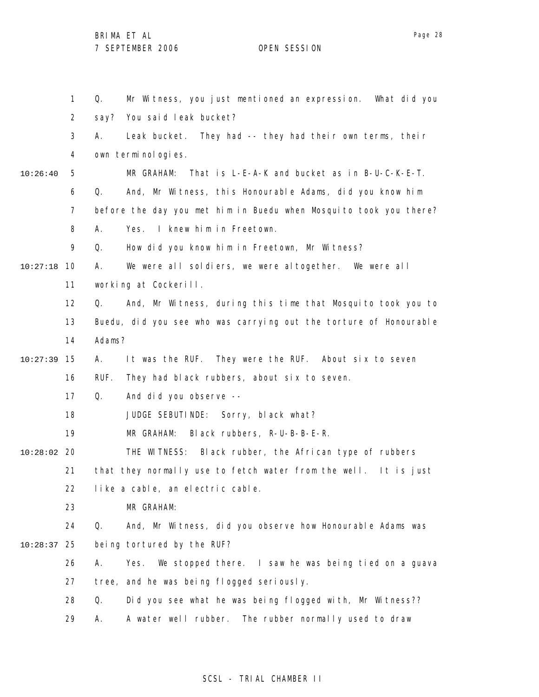1 2 3 4 5 6 7 8 9 10 10:27:18 11 12 13 14 15 10:27:39 16 17 18 19 20 10:28:02 21 22 23 24 25 10:28:37 26 27 28 29 10:26:40 Q. Mr Witness, you just mentioned an expression. What did you say? You said leak bucket? A. Leak bucket. They had -- they had their own terms, their own terminologies. MR GRAHAM: That is L-E-A-K and bucket as in B-U-C-K-E-T. Q. And, Mr Witness, this Honourable Adams, did you know him before the day you met him in Buedu when Mosquito took you there? A. Yes. I knew him in Freetown. Q. How did you know him in Freetown, Mr Witness? A. We were all soldiers, we were altogether. We were all working at Cockerill. Q. And, Mr Witness, during this time that Mosquito took you to Buedu, did you see who was carrying out the torture of Honourable Adams? A. It was the RUF. They were the RUF. About six to seven RUF. They had black rubbers, about six to seven. Q. And did you observe -- JUDGE SEBUTINDE: Sorry, black what? MR GRAHAM: Black rubbers, R-U-B-B-E-R. THE WITNESS: Black rubber, the African type of rubbers that they normally use to fetch water from the well. It is just like a cable, an electric cable. MR GRAHAM: Q. And, Mr Witness, did you observe how Honourable Adams was being tortured by the RUF? A. Yes. We stopped there. I saw he was being tied on a guava tree, and he was being flogged seriously. Q. Did you see what he was being flogged with, Mr Witness?? A. A water well rubber. The rubber normally used to draw

### SCSL - TRIAL CHAMBER II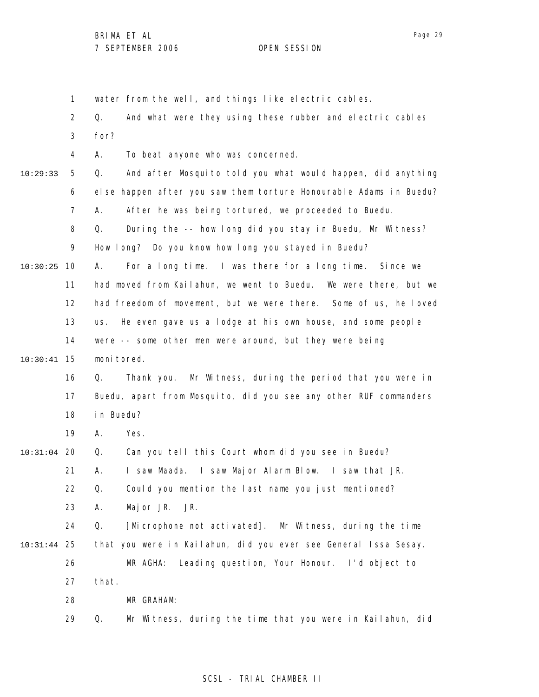1 2 3 4 5 6 7 8 9 10 10:30:25 11 12 13 14 15 10:30:41 16 17 18 19 20 10:31:04 21 22 23 24 25 10:31:44 26 27 28 29 10:29:33 water from the well, and things like electric cables. Q. And what were they using these rubber and electric cables for? A. To beat anyone who was concerned. Q. And after Mosquito told you what would happen, did anything else happen after you saw them torture Honourable Adams in Buedu? A. After he was being tortured, we proceeded to Buedu. Q. During the -- how long did you stay in Buedu, Mr Witness? How long? Do you know how long you stayed in Buedu? A. For a long time. I was there for a long time. Since we had moved from Kailahun, we went to Buedu. We were there, but we had freedom of movement, but we were there. Some of us, he loved us. He even gave us a lodge at his own house, and some people were -- some other men were around, but they were being moni tored. Q. Thank you. Mr Witness, during the period that you were in Buedu, apart from Mosquito, did you see any other RUF commanders in Buedu? A. Yes. Q. Can you tell this Court whom did you see in Buedu? A. I saw Maada. I saw Major Alarm Blow. I saw that JR. Q. Could you mention the last name you just mentioned? A. Major JR. JR. Q. [Microphone not activated]. Mr Witness, during the time that you were in Kailahun, did you ever see General Issa Sesay. MR AGHA: Leading question, Your Honour. I'd object to that. MR GRAHAM: Q. Mr Witness, during the time that you were in Kailahun, did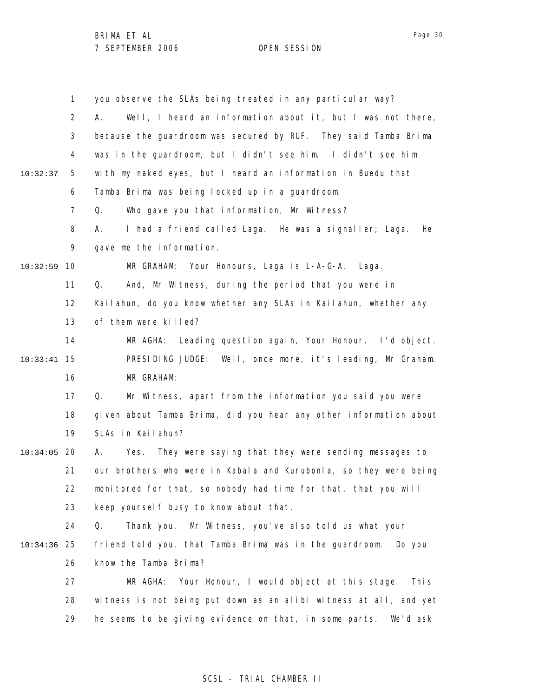|          | $\mathbf{1}$ | you observe the SLAs being treated in any particular way?         |
|----------|--------------|-------------------------------------------------------------------|
|          | 2            | Well, I heard an information about it, but I was not there,<br>А. |
|          | 3            | because the guardroom was secured by RUF. They said Tamba Brima   |
|          | 4            | was in the guardroom, but I didn't see him. I didn't see him      |
| 10:32:37 | 5            | with my naked eyes, but I heard an information in Buedu that      |
|          | 6            | Tamba Brima was being locked up in a guardroom.                   |
|          | 7            | Who gave you that information, Mr Witness?<br>Q.                  |
|          | 8            | I had a friend called Laga. He was a signaller; Laga.<br>А.<br>He |
|          | 9            | gave me the information.                                          |
| 10:32:59 | 10           | MR GRAHAM: Your Honours, Laga is L-A-G-A.<br>Laga.                |
|          | 11           | And, Mr Witness, during the period that you were in<br>Q.         |
|          | 12           | Kailahun, do you know whether any SLAs in Kailahun, whether any   |
|          | 13           | of them were killed?                                              |
|          | 14           | MR AGHA:<br>Leading question again, Your Honour. I'd object.      |
| 10:33:41 | 15           | PRESIDING JUDGE: Well, once more, it's leading, Mr Graham.        |
|          | 16           | MR GRAHAM:                                                        |
|          | 17           | Mr Witness, apart from the information you said you were<br>Q.    |
|          | 18           | given about Tamba Brima, did you hear any other information about |
|          | 19           | SLAs in Kailahun?                                                 |
| 10:34:05 | 20           | They were saying that they were sending messages to<br>А.<br>Yes. |
|          | 21           | our brothers who were in Kabala and Kurubonla, so they were being |
|          | 22           | monitored for that, so nobody had time for that, that you will    |
|          | 23           | keep yourself busy to know about that.                            |
|          | 24           | Thank you. Mr Witness, you've also told us what your<br>Q.        |
| 10:34:36 | 25           | friend told you, that Tamba Brima was in the guardroom.<br>Do you |
|          | 26           | know the Tamba Brima?                                             |
|          | 27           | MR AGHA:<br>Your Honour, I would object at this stage.<br>Thi s   |
|          | 28           | witness is not being put down as an alibi witness at all, and yet |
|          | 29           | he seems to be giving evidence on that, in some parts. We'd ask   |

## SCSL - TRIAL CHAMBER II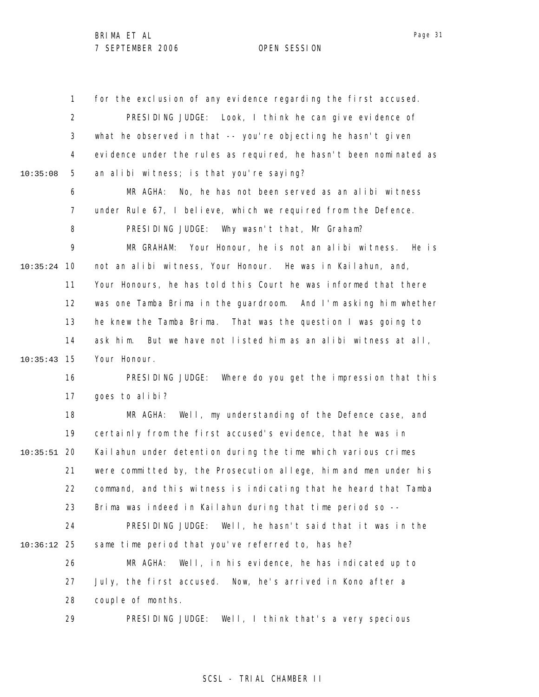1 2 3 4 5 6 7 8 9 10 10:35:24 11 12 13 14 15 10:35:43 16 17 18 19 20 10:35:51 21 22 23 24 25 10:36:12 26 27 28 29 10:35:08 for the exclusion of any evidence regarding the first accused. PRESIDING JUDGE: Look, I think he can give evidence of what he observed in that -- you're objecting he hasn't given evidence under the rules as required, he hasn't been nominated as an alibi witness; is that you're saying? MR AGHA: No, he has not been served as an alibi witness under Rule 67, I believe, which we required from the Defence. PRESIDING JUDGE: Why wasn't that, Mr Graham? MR GRAHAM: Your Honour, he is not an alibi witness. He is not an alibi witness, Your Honour. He was in Kailahun, and, Your Honours, he has told this Court he was informed that there was one Tamba Brima in the guardroom. And I'm asking him whether he knew the Tamba Brima. That was the question I was going to ask him. But we have not listed him as an alibi witness at all, Your Honour. PRESIDING JUDGE: Where do you get the impression that this goes to alibi? MR AGHA: Well, my understanding of the Defence case, and certainly from the first accused's evidence, that he was in Kailahun under detention during the time which various crimes were committed by, the Prosecution allege, him and men under his command, and this witness is indicating that he heard that Tamba Brima was indeed in Kailahun during that time period so -- PRESIDING JUDGE: Well, he hasn't said that it was in the same time period that you've referred to, has he? MR AGHA: Well, in his evidence, he has indicated up to July, the first accused. Now, he's arrived in Kono after a couple of months. PRESIDING JUDGE: Well, I think that's a very specious

#### SCSL - TRIAL CHAMBER II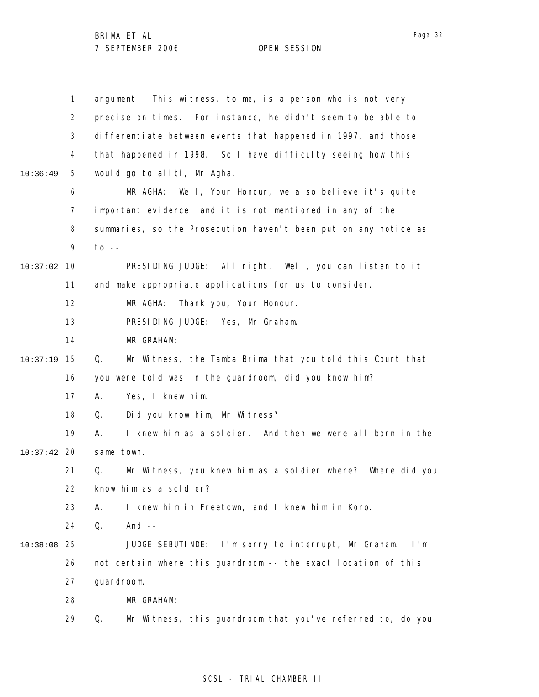|          | $\mathbf{1}$   | This witness, to me, is a person who is not very<br>argument.    |
|----------|----------------|------------------------------------------------------------------|
|          | 2              | precise on times. For instance, he didn't seem to be able to     |
|          | 3              | differentiate between events that happened in 1997, and those    |
|          | 4              | that happened in 1998. So I have difficulty seeing how this      |
| 10:36:49 | 5              | would go to alibi, Mr Agha.                                      |
|          | 6              | Well, Your Honour, we also believe it's quite<br>MR AGHA:        |
|          | $\overline{7}$ | important evidence, and it is not mentioned in any of the        |
|          | 8              | summaries, so the Prosecution haven't been put on any notice as  |
|          | 9              | $to - -$                                                         |
| 10:37:02 | 10             | PRESIDING JUDGE: All right. Well, you can listen to it           |
|          | 11             | and make appropriate applications for us to consider.            |
|          | 12             | MR AGHA:<br>Thank you, Your Honour.                              |
|          | 13             | PRESIDING JUDGE: Yes, Mr Graham.                                 |
|          | 14             | MR GRAHAM:                                                       |
| 10:37:19 | 15             | Mr Witness, the Tamba Brima that you told this Court that<br>Q.  |
|          | 16             | you were told was in the guardroom, did you know him?            |
|          | 17             | Yes, I knew him.<br>А.                                           |
|          | 18             | Did you know him, Mr Witness?<br>Q.                              |
|          | 19             | I knew him as a soldier. And then we were all born in the<br>А.  |
| 10:37:42 | 20             | same town.                                                       |
|          | 21             | Mr Witness, you knew him as a soldier where? Where did you<br>Q. |
|          | 22             | know him as a soldier?                                           |
|          | 23             | I knew him in Freetown, and I knew him in Kono.<br>А.            |
|          | 24             | And $--$<br>Q.                                                   |
| 10:38:08 | 25             | JUDGE SEBUTINDE: I'm sorry to interrupt, Mr Graham. I'm          |
|          | 26             | not certain where this guardroom -- the exact location of this   |
|          | 27             | guardroom.                                                       |
|          | 28             | MR GRAHAM:                                                       |
|          | 29             | Q.<br>Mr Witness, this guardroom that you've referred to, do you |
|          |                |                                                                  |

## SCSL - TRIAL CHAMBER II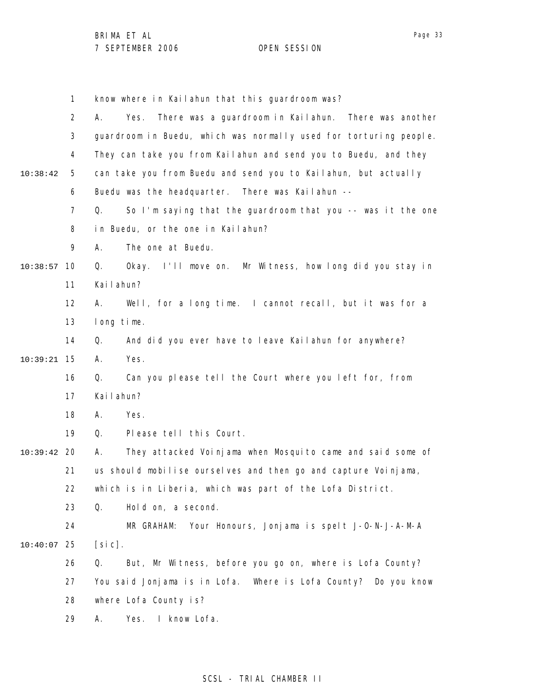1 2 3 4 5 6 7 8 9 10 10:38:57 11 12 13 14 15 10:39:21 16 17 18 19 20 10:39:42 21 22 23 24 25 10:40:07 26 27 28 29 10:38:42 know where in Kailahun that this guardroom was? A. Yes. There was a guardroom in Kailahun. There was another guardroom in Buedu, which was normally used for torturing people. They can take you from Kailahun and send you to Buedu, and they can take you from Buedu and send you to Kailahun, but actually Buedu was the headquarter. There was Kailahun -- Q. So I'm saying that the guardroom that you -- was it the one in Buedu, or the one in Kailahun? A. The one at Buedu. Q. Okay. I'll move on. Mr Witness, how long did you stay in Kailahun? A. Well, for a long time. I cannot recall, but it was for a long time. Q. And did you ever have to leave Kailahun for anywhere? A. Yes. Q. Can you please tell the Court where you left for, from Kailahun? A. Yes. Q. Please tell this Court. A. They attacked Voinjama when Mosquito came and said some of us should mobilise ourselves and then go and capture Voinjama, which is in Liberia, which was part of the Lofa District. Q. Hold on, a second. MR GRAHAM: Your Honours, Jonjama is spelt J-O-N-J-A-M-A  $[si c]$ . Q. But, Mr Witness, before you go on, where is Lofa County? You said Jonjama is in Lofa. Where is Lofa County? Do you know where Lofa County is? A. Yes. I know Lofa.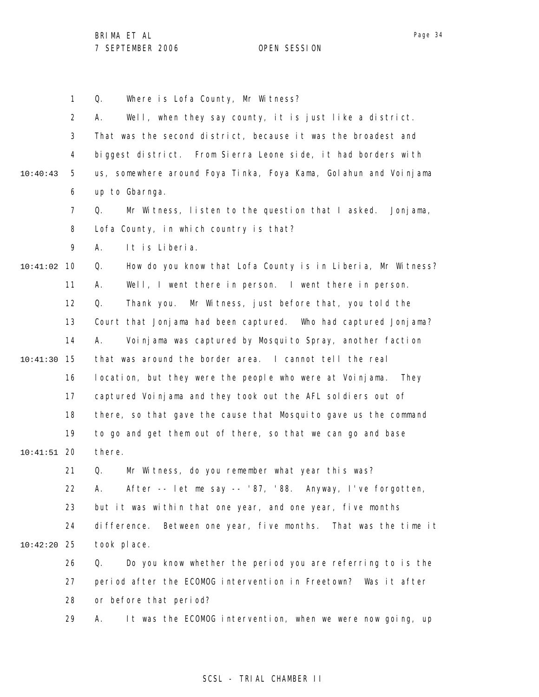1 2 3 4 5 6 7 8 9 10 10:41:02 11 12 13 14 15 10:41:30 16 17 18 19 20 10:41:51 21 22 23 24 25 10:42:20 26 27 28 29 10:40:43 Q. Where is Lofa County, Mr Witness? A. Well, when they say county, it is just like a district. That was the second district, because it was the broadest and biggest district. From Sierra Leone side, it had borders with us, somewhere around Foya Tinka, Foya Kama, Golahun and Voinjama up to Gbarnga. Q. Mr Witness, listen to the question that I asked. Jonjama, Lofa County, in which country is that? A. It is Liberia. Q. How do you know that Lofa County is in Liberia, Mr Witness? A. Well, I went there in person. I went there in person. Q. Thank you. Mr Witness, just before that, you told the Court that Jonjama had been captured. Who had captured Jonjama? A. Voinjama was captured by Mosquito Spray, another faction that was around the border area. I cannot tell the real location, but they were the people who were at Voinjama. They captured Voinjama and they took out the AFL soldiers out of there, so that gave the cause that Mosquito gave us the command to go and get them out of there, so that we can go and base there. Q. Mr Witness, do you remember what year this was? A. After -- let me say -- '87, '88. Anyway, I've forgotten, but it was within that one year, and one year, five months difference. Between one year, five months. That was the time it took place. Q. Do you know whether the period you are referring to is the period after the ECOMOG intervention in Freetown? Was it after or before that period? A. It was the ECOMOG intervention, when we were now going, up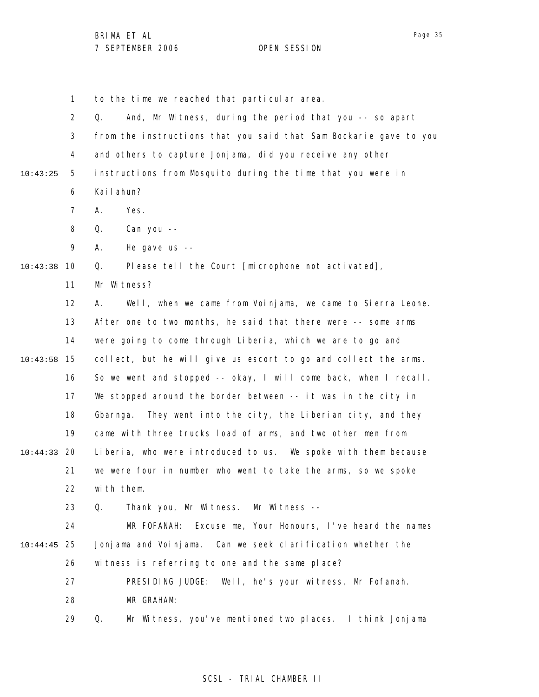1 to the time we reached that particular area.

2 3 4 5 6 7 8 9 10 10:43:38 11 12 13 14 15 10:43:58 16 17 18 19 20 10:44:33 21 22 23 24 25 10:44:45 26 27 28 29 10:43:25 Q. And, Mr Witness, during the period that you -- so apart from the instructions that you said that Sam Bockarie gave to you and others to capture Jonjama, did you receive any other instructions from Mosquito during the time that you were in Kailahun? A. Yes. Q. Can you -- A. He gave us -- Q. Please tell the Court [microphone not activated], Mr Witness? A. Well, when we came from Voinjama, we came to Sierra Leone. After one to two months, he said that there were -- some arms were going to come through Liberia, which we are to go and collect, but he will give us escort to go and collect the arms. So we went and stopped -- okay, I will come back, when I recall. We stopped around the border between -- it was in the city in Gbarnga. They went into the city, the Liberian city, and they came with three trucks load of arms, and two other men from Liberia, who were introduced to us. We spoke with them because we were four in number who went to take the arms, so we spoke with them. Q. Thank you, Mr Witness. Mr Witness -- MR FOFANAH: Excuse me, Your Honours, I've heard the names Jonjama and Voinjama. Can we seek clarification whether the witness is referring to one and the same place? PRESIDING JUDGE: Well, he's your witness, Mr Fofanah. MR GRAHAM: Q. Mr Witness, you've mentioned two places. I think Jonjama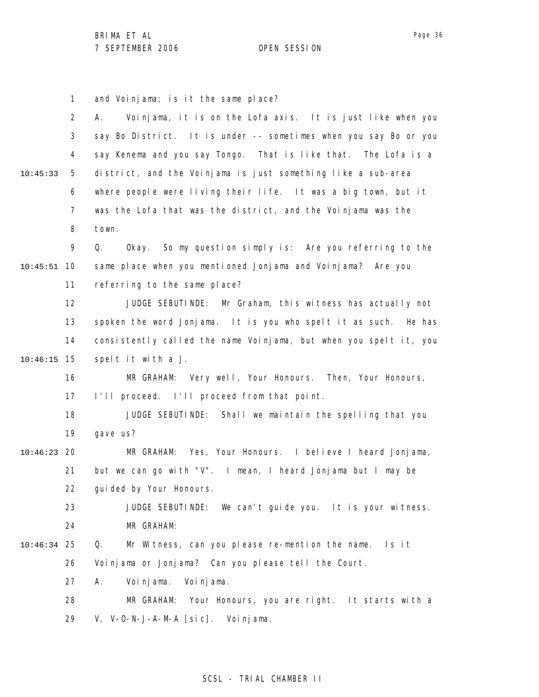1 and Voinjama; is it the same place?

|          | $\overline{2}$ | Voinjama, it is on the Lofa axis. It is just like when you<br>А.  |
|----------|----------------|-------------------------------------------------------------------|
|          | 3              | say Bo District. It is under -- sometimes when you say Bo or you  |
|          | 4              | say Kenema and you say Tongo. That is like that. The Lofa is a    |
| 10:45:33 | 5              | district, and the Voinjama is just something like a sub-area      |
|          | 6              | where people were living their life. It was a big town, but it    |
|          | $\overline{7}$ | was the Lofa that was the district, and the Voinjama was the      |
|          | 8              | town.                                                             |
|          | 9              | Okay. So my question simply is: Are you referring to the<br>Q.    |
| 10:45:51 | 10             | same place when you mentioned Jonjama and Voinjama? Are you       |
|          | 11             | referring to the same place?                                      |
|          | 12             | JUDGE SEBUTINDE: Mr Graham, this witness has actually not         |
|          | 13             | spoken the word Jonjama. It is you who spelt it as such. He has   |
|          | 14             | consistently called the name Voinjama, but when you spelt it, you |
| 10:46:15 | 15             | spelt it with a J.                                                |
|          | 16             | MR GRAHAM: Very well, Your Honours. Then, Your Honours,           |
|          | 17             | I'll proceed. I'll proceed from that point.                       |
|          | 18             | JUDGE SEBUTINDE: Shall we maintain the spelling that you          |
|          | 19             | gave us?                                                          |
| 10:46:23 | 20             | MR GRAHAM: Yes, Your Honours. I believe I heard Jonjama,          |
|          | 21             | but we can go with "V". I mean, I heard Jonjama but I may be      |
|          | 22             | gui ded by Your Honours.                                          |
|          | 23             | JUDGE SEBUTINDE: We can't guide you. It is your witness.          |
|          | 24             | MR GRAHAM:                                                        |
| 10:46:34 | 25             | Mr Witness, can you please re-mention the name.<br>Q.<br>ls it    |
|          | 26             | Voinjama or Jonjama? Can you please tell the Court.               |
|          | 27             | Voi nj ama.<br>Voi nj ama.<br>А.                                  |
|          | 28             | Your Honours, you are right. It starts with a<br>MR GRAHAM:       |
|          | 29             | V, V-O-N-J-A-M-A [sic]. Voinjama.                                 |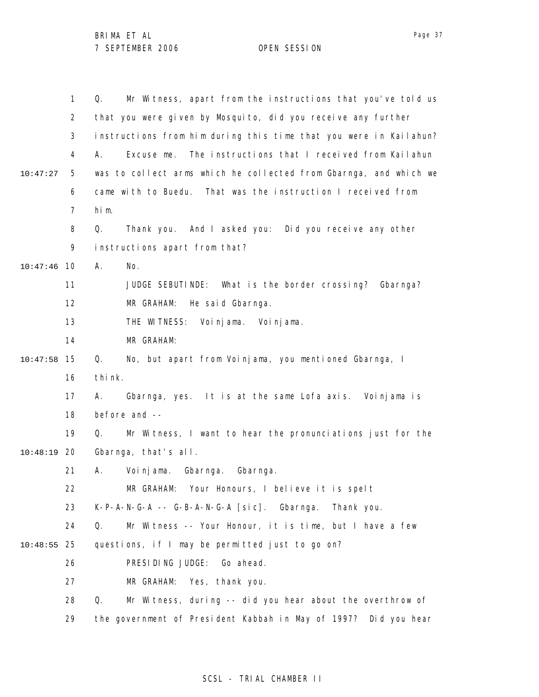1 2 3 4 5 6 7 8 9 10 10:47:46 11 12 13 14 15 10:47:58 16 17 18 19 20 10:48:19 21 22 23 24 25 10:48:55 26 27 28 29 10:47:27 Q. Mr Witness, apart from the instructions that you've told us that you were given by Mosquito, did you receive any further instructions from him during this time that you were in Kailahun? A. Excuse me. The instructions that I received from Kailahun was to collect arms which he collected from Gbarnga, and which we came with to Buedu. That was the instruction I received from him. Q. Thank you. And I asked you: Did you receive any other instructions apart from that? A. No. JUDGE SEBUTINDE: What is the border crossing? Gbarnga? MR GRAHAM: He said Gbarnga. THE WITNESS: Voinjama. Voinjama. MR GRAHAM: Q. No, but apart from Voinjama, you mentioned Gbarnga, I think. A. Gbarnga, yes. It is at the same Lofa axis. Voinjama is before and -- Q. Mr Witness, I want to hear the pronunciations just for the Gbarnga, that's all. A. Voinjama. Gbarnga. Gbarnga. MR GRAHAM: Your Honours, I believe it is spelt K-P-A-N-G-A -- G-B-A-N-G-A [sic]. Gbarnga. Thank you. Q. Mr Witness -- Your Honour, it is time, but I have a few questions, if I may be permitted just to go on? PRESIDING JUDGE: Go ahead. MR GRAHAM: Yes, thank you. Q. Mr Witness, during -- did you hear about the overthrow of the government of President Kabbah in May of 1997? Did you hear

#### SCSL - TRIAL CHAMBER II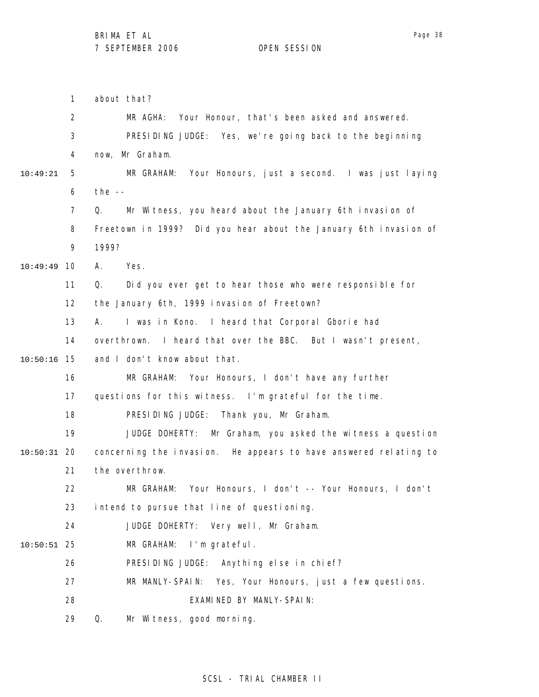1 2 3 4 5 6 7 8 9 10 10:49:49 11 12 13 14 15 10:50:16 16 17 18 19 20 10:50:31 21 22 23 24 25 10:50:51 26 27 28 29 10:49:21 about that? MR AGHA: Your Honour, that's been asked and answered. PRESIDING JUDGE: Yes, we're going back to the beginning now, Mr Graham. MR GRAHAM: Your Honours, just a second. I was just laying the  $-$ Q. Mr Witness, you heard about the January 6th invasion of Freetown in 1999? Did you hear about the January 6th invasion of 1999? A. Yes. Q. Did you ever get to hear those who were responsible for the January 6th, 1999 invasion of Freetown? A. I was in Kono. I heard that Corporal Gborie had overthrown. I heard that over the BBC. But I wasn't present, and I don't know about that. MR GRAHAM: Your Honours, I don't have any further questions for this witness. I'm grateful for the time. PRESIDING JUDGE: Thank you, Mr Graham. JUDGE DOHERTY: Mr Graham, you asked the witness a question concerning the invasion. He appears to have answered relating to the overthrow. MR GRAHAM: Your Honours, I don't -- Your Honours, I don't intend to pursue that line of questioning. JUDGE DOHERTY: Very well, Mr Graham. MR GRAHAM: I'm grateful. PRESIDING JUDGE: Anything else in chief? MR MANLY-SPAIN: Yes, Your Honours, just a few questions. EXAMINED BY MANLY-SPAIN: Q. Mr Witness, good morning.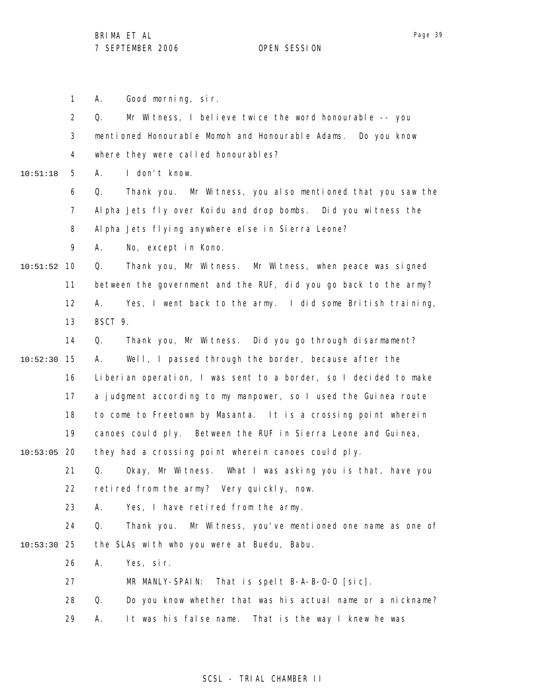1 A. Good morning, sir.

|          | $\overline{2}$ | Mr Witness, I believe twice the word honourable -- you<br>Q.        |
|----------|----------------|---------------------------------------------------------------------|
|          | 3              | mentioned Honourable Momoh and Honourable Adams.<br>Do you know     |
|          | 4              | where they were called honourables?                                 |
| 10:51:18 | 5              | I don't know.<br>А.                                                 |
|          | 6              | Thank you. Mr Witness, you also mentioned that you saw the<br>Q.    |
|          | $\overline{7}$ | Alpha Jets fly over Koidu and drop bombs. Did you witness the       |
|          | 8              | Al pha Jets fl ying anywhere else in Sierra Leone?                  |
|          | 9              | No, except in Kono.<br>А.                                           |
| 10:51:52 | 10             | Thank you, Mr Witness. Mr Witness, when peace was signed<br>Q.      |
|          | 11             | between the government and the RUF, did you go back to the army?    |
|          | 12             | Yes, I went back to the army. I did some British training,<br>А.    |
|          | 13             | BSCT 9.                                                             |
|          | 14             | Thank you, Mr Witness. Did you go through disarmament?<br>Q.        |
| 10:52:30 | 15             | Well, I passed through the border, because after the<br>А.          |
|          | 16             | Liberian operation, I was sent to a border, so I decided to make    |
|          | 17             | a judgment according to my manpower, so I used the Guinea route     |
|          | 18             | to come to Freetown by Masanta. It is a crossing point wherein      |
|          | 19             | canoes could ply. Between the RUF in Sierra Leone and Guinea,       |
| 10:53:05 | -20            | they had a crossing point wherein canoes could ply.                 |
|          | 21             | Q.<br>Okay, Mr Witness. What I was asking you is that, have you     |
|          | 22             | retired from the army? Very quickly, now.                           |
|          | 23             | Yes, I have retired from the army.<br>Α.                            |
|          | 24             | Q.<br>Mr Witness, you've mentioned one name as one of<br>Thank you. |
| 10:53:30 | 25             | the SLAs with who you were at Buedu, Babu.                          |
|          | 26             | Yes, sir.<br>Α.                                                     |
|          | 27             | That is spelt B-A-B-0-0 [sic].<br>MR MANLY-SPAIN:                   |
|          | 28             | Q.<br>Do you know whether that was his actual name or a nickname?   |
|          | 29             | It was his false name. That is the way I knew he was<br>Α.          |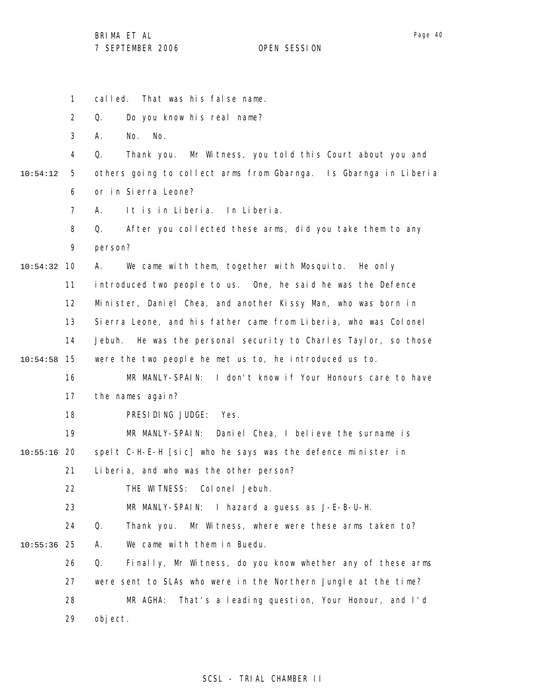|          | $\mathbf{1}$   | That was his false name.<br>called.                                |
|----------|----------------|--------------------------------------------------------------------|
|          | $\overline{2}$ | Do you know his real name?<br>Q.                                   |
|          | 3              | No.<br>No.<br>А.                                                   |
|          | 4              | Thank you. Mr Witness, you told this Court about you and<br>Q.     |
| 10:54:12 | 5              | others going to collect arms from Gbarnga. Is Gbarnga in Liberia   |
|          | 6              | or in Sierra Leone?                                                |
|          | $\overline{7}$ | It is in Liberia. In Liberia.<br>А.                                |
|          | 8              | After you collected these arms, did you take them to any<br>Q.     |
|          | 9              | person?                                                            |
| 10:54:32 | 10             | We came with them, together with Mosquito. He only<br>А.           |
|          | 11             | introduced two people to us. One, he said he was the Defence       |
|          | 12             | Minister, Daniel Chea, and another Kissy Man, who was born in      |
|          | 13             | Sierra Leone, and his father came from Liberia, who was Colonel    |
|          | 14             | Jebuh.<br>He was the personal security to Charles Taylor, so those |
| 10:54:58 | 15             | were the two people he met us to, he introduced us to.             |
|          | 16             | MR MANLY-SPAIN: I don't know if Your Honours care to have          |
|          | 17             | the names again?                                                   |
|          | 18             | PRESIDING JUDGE:<br>Yes.                                           |
|          | 19             | MR MANLY-SPAIN: Daniel Chea, I believe the surname is              |
| 10:55:16 | 20             | spelt C-H-E-H [sic] who he says was the defence minister in        |
|          | 21             | Liberia, and who was the other person?                             |
|          | 22             | THE WITNESS: Colonel Jebuh.                                        |
|          | 23             | MR MANLY-SPAIN: I hazard a guess as J-E-B-U-H.                     |
|          | 24             | Q.<br>Thank you. Mr Witness, where were these arms taken to?       |
| 10:55:36 | 25             | We came with them in Buedu.<br>Α.                                  |
|          | 26             | Finally, Mr Witness, do you know whether any of these arms<br>Q.   |
|          | 27             | were sent to SLAs who were in the Northern Jungle at the time?     |
|          | 28             | That's a leading question, Your Honour, and I'd<br>MR AGHA:        |
|          | 29             | object.                                                            |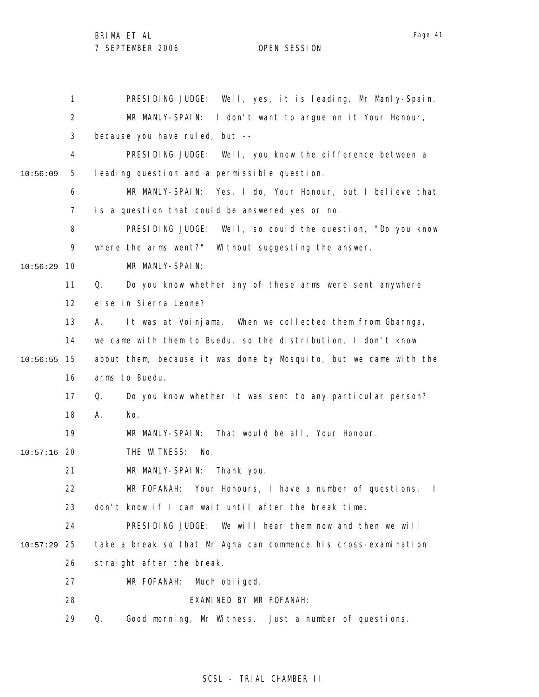1 2 3 4 5 6 7 8 9 10 10:56:29 11 12 13 14 15 10:56:55 16 17 18 19 20 10:57:16 21 22 23 24 25 10:57:29 26 27 28 29 10:56:09 PRESIDING JUDGE: Well, yes, it is leading, Mr Manly-Spain. MR MANLY-SPAIN: I don't want to argue on it Your Honour, because you have ruled, but -- PRESIDING JUDGE: Well, you know the difference between a leading question and a permissible question. MR MANLY-SPAIN: Yes, I do, Your Honour, but I believe that is a question that could be answered yes or no. PRESIDING JUDGE: Well, so could the question, "Do you know where the arms went?" Without suggesting the answer. MR MANLY-SPAIN: Q. Do you know whether any of these arms were sent anywhere else in Sierra Leone? A. It was at Voinjama. When we collected them from Gbarnga, we came with them to Buedu, so the distribution, I don't know about them, because it was done by Mosquito, but we came with the arms to Buedu. Q. Do you know whether it was sent to any particular person? A. No. MR MANLY-SPAIN: That would be all, Your Honour. THE WITNESS: No. MR MANLY-SPAIN: Thank you. MR FOFANAH: Your Honours, I have a number of questions. I don't know if I can wait until after the break time. PRESIDING JUDGE: We will hear them now and then we will take a break so that Mr Agha can commence his cross-examination straight after the break. MR FOFANAH: Much obliged. EXAMINED BY MR FOFANAH: Q. Good morning, Mr Witness. Just a number of questions.

## SCSL - TRIAL CHAMBER II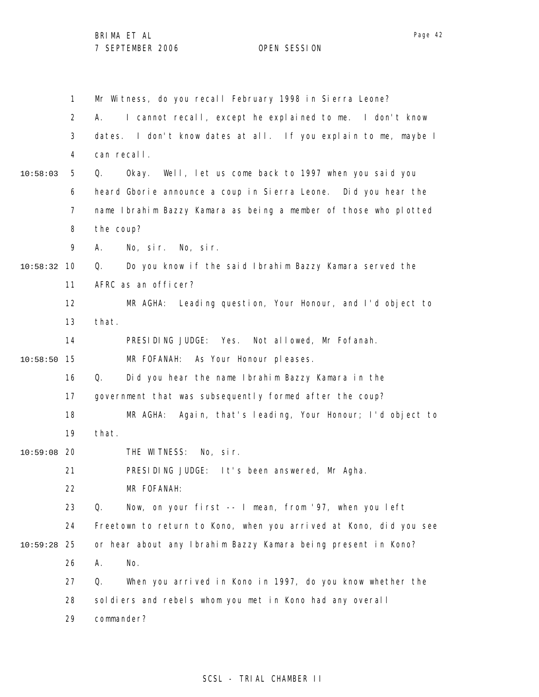1 2 3 4 5 6 7 8 9 10 10:58:32 11 12 13 14 15 10:58:50 16 17 18 19 20 10:59:08 21 22 23 24 25 10:59:28 26 27 28 29 10:58:03 Mr Witness, do you recall February 1998 in Sierra Leone? A. I cannot recall, except he explained to me. I don't know dates. I don't know dates at all. If you explain to me, maybe I can recall. Q. Okay. Well, let us come back to 1997 when you said you heard Gborie announce a coup in Sierra Leone. Did you hear the name Ibrahim Bazzy Kamara as being a member of those who plotted the coup? A. No, sir. No, sir. Q. Do you know if the said Ibrahim Bazzy Kamara served the AFRC as an officer? MR AGHA: Leading question, Your Honour, and I'd object to that. PRESIDING JUDGE: Yes. Not allowed, Mr Fofanah. MR FOFANAH: As Your Honour pleases. Q. Did you hear the name Ibrahim Bazzy Kamara in the government that was subsequently formed after the coup? MR AGHA: Again, that's leading, Your Honour; I'd object to that. THE WITNESS: No, sir. PRESIDING JUDGE: It's been answered, Mr Agha. MR FOFANAH: Q. Now, on your first -- I mean, from '97, when you left Freetown to return to Kono, when you arrived at Kono, did you see or hear about any Ibrahim Bazzy Kamara being present in Kono? A. No. Q. When you arrived in Kono in 1997, do you know whether the soldiers and rebels whom you met in Kono had any overall commander?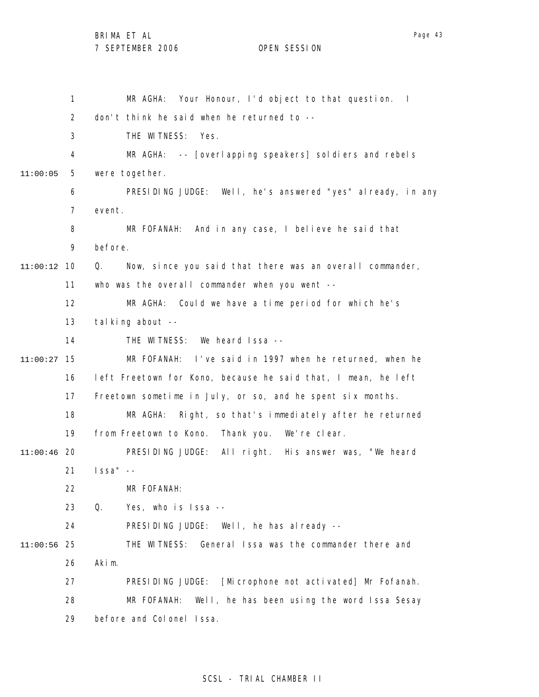BRIMA ET AL

7 SEPTEMBER 2006 OPEN SESSION

1 2 3 4 5 6 7 8 9 10 11:00:12 11 12 13 14 15 11:00:27 16 17 18 19 20 11:00:46 21 22 23 24 25 11:00:56 26 27 28 29 11:00:05 MR AGHA: Your Honour, I'd object to that question. I don't think he said when he returned to -- THE WITNESS: Yes. MR AGHA: -- [overlapping speakers] soldiers and rebels were together. PRESIDING JUDGE: Well, he's answered "yes" already, in any event. MR FOFANAH: And in any case, I believe he said that before. Q. Now, since you said that there was an overall commander, who was the overall commander when you went --MR AGHA: Could we have a time period for which he's talking about -- THE WITNESS: We heard Issa -- MR FOFANAH: I've said in 1997 when he returned, when he left Freetown for Kono, because he said that, I mean, he left Freetown sometime in July, or so, and he spent six months. MR AGHA: Right, so that's immediately after he returned from Freetown to Kono. Thank you. We're clear. PRESIDING JUDGE: All right. His answer was, "We heard Issa" -- MR FOFANAH: Q. Yes, who is Issa -- PRESIDING JUDGE: Well, he has already -- THE WITNESS: General Issa was the commander there and Akim. PRESIDING JUDGE: [Microphone not activated] Mr Fofanah. MR FOFANAH: Well, he has been using the word Issa Sesay before and Colonel Issa.

## SCSL - TRIAL CHAMBER II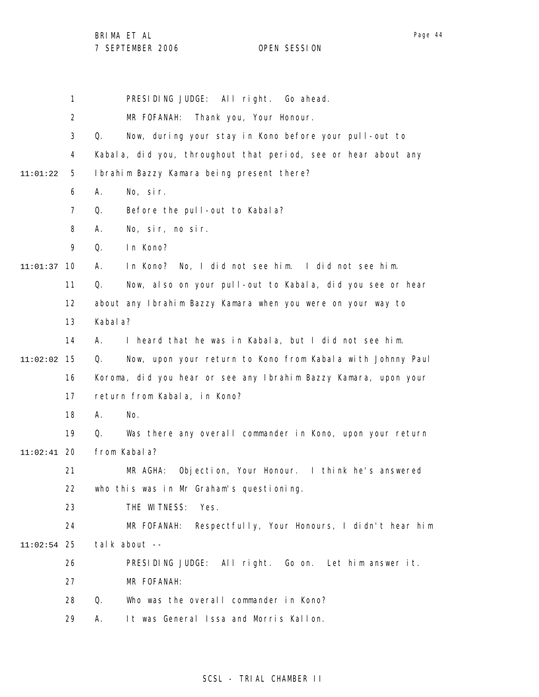Page 44

1 2 3 4 5 6 7 8 9 10 11:01:37 11 12 13 14 15 11:02:02 16 17 18 19 20 11:02:41 21 22 23 24 25 11:02:54 26 27 28 29 11:01:22 PRESIDING JUDGE: All right. Go ahead. MR FOFANAH: Thank you, Your Honour. Q. Now, during your stay in Kono before your pull-out to Kabala, did you, throughout that period, see or hear about any Ibrahim Bazzy Kamara being present there? A. No, sir. Q. Before the pull-out to Kabala? A. No, sir, no sir. Q. In Kono? A. In Kono? No, I did not see him. I did not see him. Q. Now, also on your pull-out to Kabala, did you see or hear about any Ibrahim Bazzy Kamara when you were on your way to Kabala? A. I heard that he was in Kabala, but I did not see him. Q. Now, upon your return to Kono from Kabala with Johnny Paul Koroma, did you hear or see any Ibrahim Bazzy Kamara, upon your return from Kabala, in Kono? A. No. Q. Was there any overall commander in Kono, upon your return from Kabala? MR AGHA: Objection, Your Honour. I think he's answered who this was in Mr Graham's questioning. THE WITNESS: Yes. MR FOFANAH: Respectfully, Your Honours, I didn't hear him talk about -- PRESIDING JUDGE: All right. Go on. Let him answer it. MR FOFANAH: Q. Who was the overall commander in Kono? A. It was General Issa and Morris Kallon.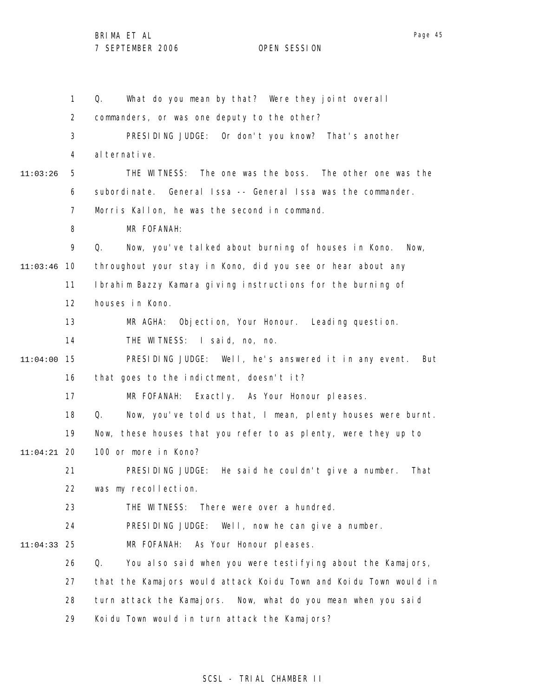|          | 1              | What do you mean by that? Were they joint overall<br>Q.           |
|----------|----------------|-------------------------------------------------------------------|
|          | $\overline{2}$ | commanders, or was one deputy to the other?                       |
|          | 3              | PRESIDING JUDGE: Or don't you know? That's another                |
|          | 4              | al ternative.                                                     |
| 11:03:26 | 5              | THE WITNESS: The one was the boss. The other one was the          |
|          | 6              | subordinate. General Issa -- General Issa was the commander.      |
|          | $\overline{7}$ | Morris Kallon, he was the second in command.                      |
|          | 8              | MR FOFANAH:                                                       |
|          | 9              | Q.<br>Now, you've talked about burning of houses in Kono.<br>Now, |
| 11:03:46 | 10             | throughout your stay in Kono, did you see or hear about any       |
|          | 11             | Ibrahim Bazzy Kamara giving instructions for the burning of       |
|          | 12             | houses in Kono.                                                   |
|          | 13             | Objection, Your Honour. Leading question.<br>MR AGHA:             |
|          | 14             | THE WITNESS: I said, no, no.                                      |
| 11:04:00 | 15             | PRESIDING JUDGE: Well, he's answered it in any event.<br>But      |
|          | 16             | that goes to the indictment, doesn't it?                          |
|          | 17             | MR FOFANAH: Exactly. As Your Honour pleases.                      |
|          | 18             | Now, you've told us that, I mean, plenty houses were burnt.<br>Q. |
|          | 19             | Now, these houses that you refer to as plenty, were they up to    |
| 11:04:21 | -20            | 100 or more in Kono?                                              |
|          | 21             | PRESIDING JUDGE: He said he couldn't give a number.<br>That       |
|          | 22             | was my recollection.                                              |
|          | 23             | THE WITNESS:<br>There were over a hundred.                        |
|          | 24             | PRESIDING JUDGE:<br>Well, now he can give a number.               |
| 11:04:33 | 25             | As Your Honour pleases.<br>MR FOFANAH:                            |
|          | 26             | Q.<br>You also said when you were testifying about the Kamajors,  |
|          | 27             | that the Kamajors would attack Koidu Town and Koidu Town would in |
|          | 28             | Now, what do you mean when you said<br>turn attack the Kamajors.  |
|          | 29             | Koidu Town would in turn attack the Kamajors?                     |

# SCSL - TRIAL CHAMBER II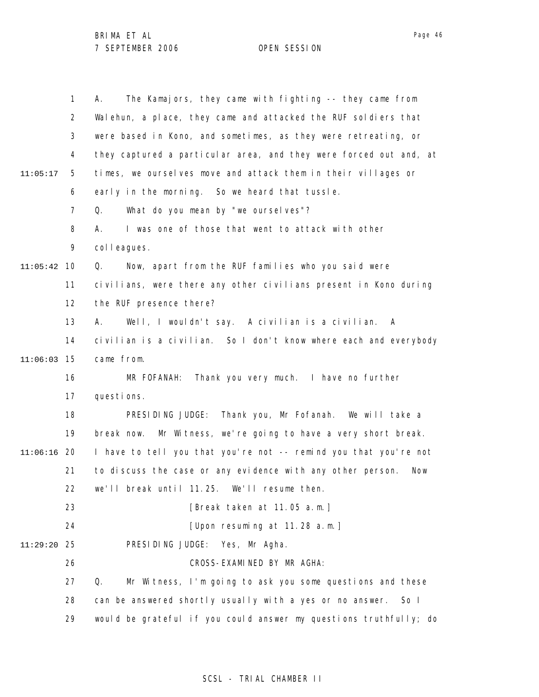|          | $\mathbf{1}$   | The Kamajors, they came with fighting -- they came from<br>А.     |
|----------|----------------|-------------------------------------------------------------------|
|          | 2              | Walehun, a place, they came and attacked the RUF soldiers that    |
|          | 3              | were based in Kono, and sometimes, as they were retreating, or    |
|          | 4              | they captured a particular area, and they were forced out and, at |
| 11:05:17 | 5              | times, we ourselves move and attack them in their villages or     |
|          | 6              | early in the morning. So we heard that tussle.                    |
|          | $\overline{7}$ | What do you mean by "we ourselves"?<br>Q.                         |
|          | 8              | I was one of those that went to attack with other<br>А.           |
|          | 9              | colleagues.                                                       |
| 11:05:42 | 10             | Now, apart from the RUF families who you said were<br>Q.          |
|          | 11             | civilians, were there any other civilians present in Kono during  |
|          | 12             | the RUF presence there?                                           |
|          | 13             | Well, I wouldn't say. A civilian is a civilian.<br>А.<br>A        |
|          | 14             | civilian is a civilian. So I don't know where each and everybody  |
| 11:06:03 | 15             | came from.                                                        |
|          | 16             | Thank you very much. I have no further<br>MR FOFANAH:             |
|          | 17             | questions.                                                        |
|          | 18             | Thank you, Mr Fofanah. We will take a<br>PRESIDING JUDGE:         |
|          | 19             | Mr Witness, we're going to have a very short break.<br>break now. |
| 11:06:16 | 20             | I have to tell you that you're not -- remind you that you're not  |
|          | 21             | to discuss the case or any evidence with any other person.<br>Now |
|          | 22             | we'll break until 11.25.<br>We'll resume then.                    |
|          | 23             | [Break taken at 11.05 a.m.]                                       |
|          | 24             | [Upon resuming at 11.28 a.m.]                                     |
| 11:29:20 | 25             | PRESIDING JUDGE:<br>Yes, Mr Agha.                                 |
|          | 26             | CROSS-EXAMINED BY MR AGHA:                                        |
|          | 27             | Mr Witness, I'm going to ask you some questions and these<br>Q.   |
|          | 28             | can be answered shortly usually with a yes or no answer.<br>So I  |
|          | 29             | would be grateful if you could answer my questions truthfully; do |

SCSL - TRIAL CHAMBER II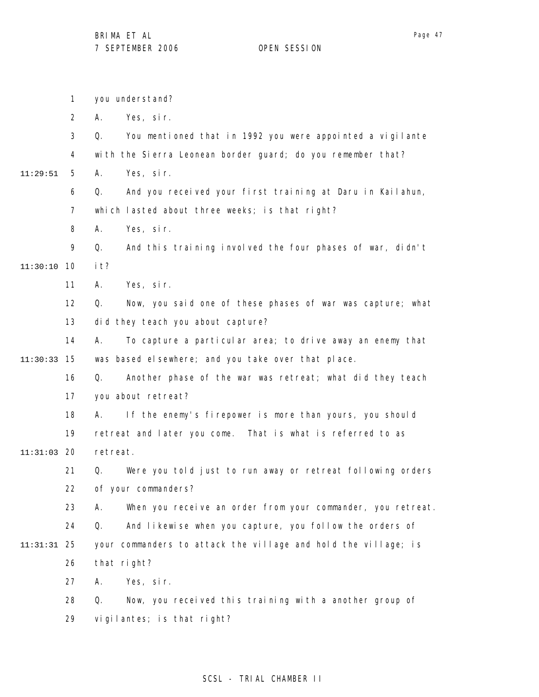|               | 1                 | you understand?                                                   |
|---------------|-------------------|-------------------------------------------------------------------|
|               | $\overline{2}$    | Yes, sir.<br>Α.                                                   |
|               | 3                 | You mentioned that in 1992 you were appointed a vigilante<br>Q.   |
|               | 4                 | with the Sierra Leonean border guard; do you remember that?       |
| 11:29:51      | 5                 | Yes, sir.<br>А.                                                   |
|               | 6                 | Q.<br>And you received your first training at Daru in Kailahun,   |
|               | $\overline{7}$    | which lasted about three weeks; is that right?                    |
|               | 8                 | Yes, sir.<br>Α.                                                   |
|               | 9                 | And this training involved the four phases of war, didn't<br>Q.   |
| 11:30:10      | 10                | i t?                                                              |
|               | 11                | Yes, sir.<br>А.                                                   |
|               | $12 \overline{ }$ | Now, you said one of these phases of war was capture; what<br>Q.  |
|               | 13                | did they teach you about capture?                                 |
|               | 14                | To capture a particular area; to drive away an enemy that<br>А.   |
| 11:30:33      | - 15              | was based el sewhere; and you take over that place.               |
|               | 16                | Another phase of the war was retreat; what did they teach<br>Q.   |
|               | 17                | you about retreat?                                                |
|               | 18                | If the enemy's firepower is more than yours, you should<br>А.     |
|               | 19                | retreat and later you come. That is what is referred to as        |
| $11:31:03$ 20 |                   | retreat.                                                          |
|               | 21                | Were you told just to run away or retreat following orders<br>Q.  |
|               | 22                | of your commanders?                                               |
|               | 23                | When you receive an order from your commander, you retreat.<br>Α. |
|               | 24                | And likewise when you capture, you follow the orders of<br>Q.     |
| 11:31:31      | 25                | your commanders to attack the village and hold the village; is    |
|               | 26                | that right?                                                       |
|               | 27                | Yes, sir.<br>А.                                                   |
|               | 28                | Now, you received this training with a another group of<br>Q.     |
|               | 29                | vigilantes; is that right?                                        |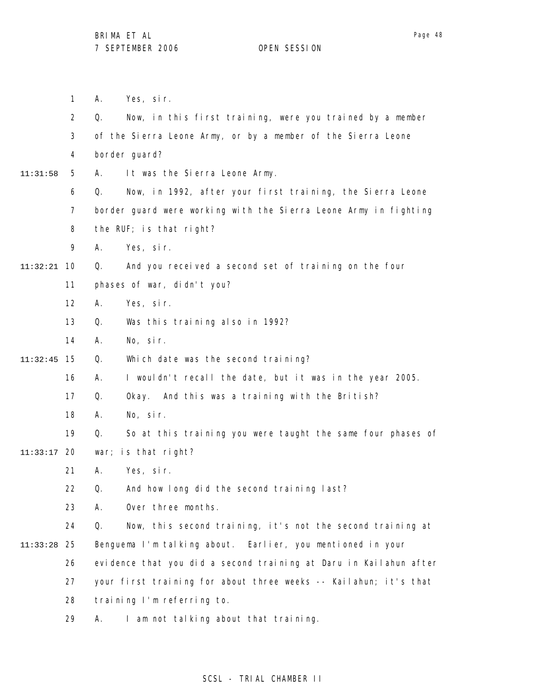1 2 3 4 5 6 7 8 9 10 11:32:21 11 12 13 14 15 11:32:45 16 17 18 19 20 11:33:17 21 22 23 24 25 11:33:28 26 27 28 11:31:58 A. Yes, sir. Q. Now, in this first training, were you trained by a member of the Sierra Leone Army, or by a member of the Sierra Leone border guard? A. It was the Sierra Leone Army. Q. Now, in 1992, after your first training, the Sierra Leone border guard were working with the Sierra Leone Army in fighting the RUF; is that right? A. Yes, sir. Q. And you received a second set of training on the four phases of war, didn't you? A. Yes, sir. Q. Was this training also in 1992? A. No, sir. Q. Which date was the second training? A. I wouldn't recall the date, but it was in the year 2005. Q. Okay. And this was a training with the British? A. No, sir. Q. So at this training you were taught the same four phases of war; is that right? A. Yes, sir. Q. And how long did the second training last? A. Over three months. Q. Now, this second training, it's not the second training at Benguema I'm talking about. Earlier, you mentioned in your evidence that you did a second training at Daru in Kailahun after your first training for about three weeks -- Kailahun; it's that training I'm referring to.

> 29 A. I am not talking about that training.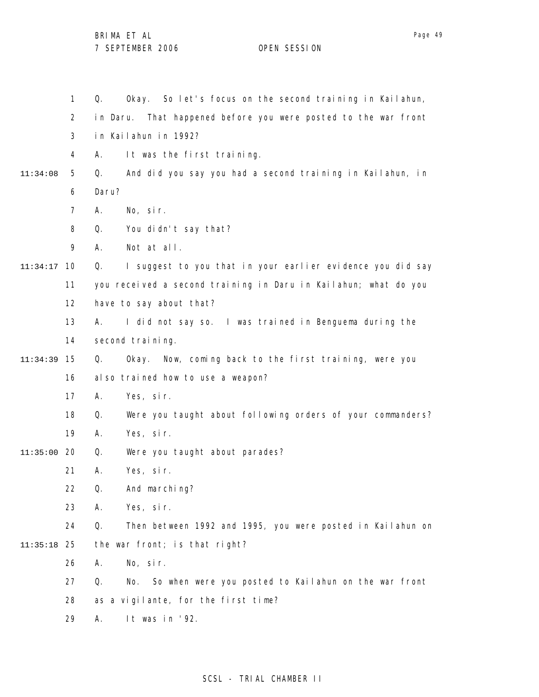|          | $\mathbf{1}$   | Okay. So let's focus on the second training in Kailahun,<br>Q.    |
|----------|----------------|-------------------------------------------------------------------|
|          | $\overline{2}$ | That happened before you were posted to the war front<br>in Daru. |
|          | 3              | in Kailahun in 1992?                                              |
|          | 4              | It was the first training.<br>А.                                  |
| 11:34:08 | 5              | And did you say you had a second training in Kailahun, in<br>Q.   |
|          | 6              | Daru?                                                             |
|          | $\overline{7}$ | No, sir.<br>А.                                                    |
|          | 8              | Q.<br>You didn't say that?                                        |
|          | 9              | Not at all.<br>А.                                                 |
| 11:34:17 | 10             | I suggest to you that in your earlier evidence you did say<br>Q.  |
|          | 11             | you received a second training in Daru in Kailahun; what do you   |
|          | 12             | have to say about that?                                           |
|          | 13             | I did not say so. I was trained in Benguema during the<br>А.      |
|          | 14             | second training.                                                  |
| 11:34:39 | 15             | Now, coming back to the first training, were you<br>Q.<br>0kay.   |
|          | 16             | al so trained how to use a weapon?                                |
|          | 17             | Yes, sir.<br>Α.                                                   |
|          | 18             | Q.<br>Were you taught about following orders of your commanders?  |
|          | 19             | Yes, sir.<br>А.                                                   |
| 11:35:00 | 20             | Were you taught about parades?<br>Q.                              |
|          | 21             | Yes, sir.<br>А.                                                   |
|          | 22             | And marching?<br>Q.                                               |
|          | 23             | Yes, sir.<br>А.                                                   |
|          | 24             | Then between 1992 and 1995, you were posted in Kailahun on<br>Q.  |
| 11:35:18 | 25             | the war front; is that right?                                     |
|          | 26             | No, sir.<br>А.                                                    |
|          | 27             | Q.<br>So when were you posted to Kailahun on the war front<br>No. |
|          | 28             | as a vigilante, for the first time?                               |
|          | 29             | It was in '92.<br>А.                                              |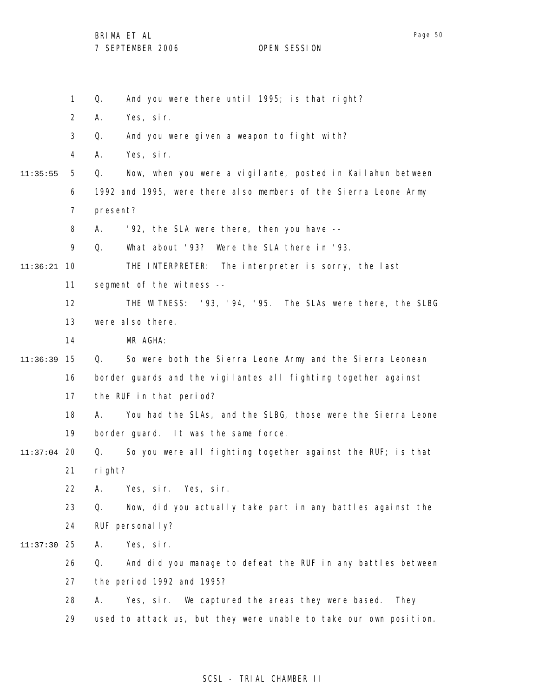1 2 3 4 5 6 7 8 9 10 11:36:21 11 12 13 14 15 11:36:39 16 17 18 19 20 11:37:04 21 22 23 24 25 11:37:30 26 27 28 29 11:35:55 Q. And you were there until 1995; is that right? A. Yes, sir. Q. And you were given a weapon to fight with? A. Yes, sir. Q. Now, when you were a vigilante, posted in Kailahun between 1992 and 1995, were there also members of the Sierra Leone Army present? A. '92, the SLA were there, then you have -- Q. What about '93? Were the SLA there in '93. THE INTERPRETER: The interpreter is sorry, the last segment of the witness --THE WITNESS: '93, '94, '95. The SLAs were there, the SLBG were also there. MR AGHA: Q. So were both the Sierra Leone Army and the Sierra Leonean border guards and the vigilantes all fighting together against the RUF in that period? A. You had the SLAs, and the SLBG, those were the Sierra Leone border guard. It was the same force. Q. So you were all fighting together against the RUF; is that right? A. Yes, sir. Yes, sir. Q. Now, did you actually take part in any battles against the RUF personal I y? A. Yes, sir. Q. And did you manage to defeat the RUF in any battles between the period 1992 and 1995? A. Yes, sir. We captured the areas they were based. They used to attack us, but they were unable to take our own position.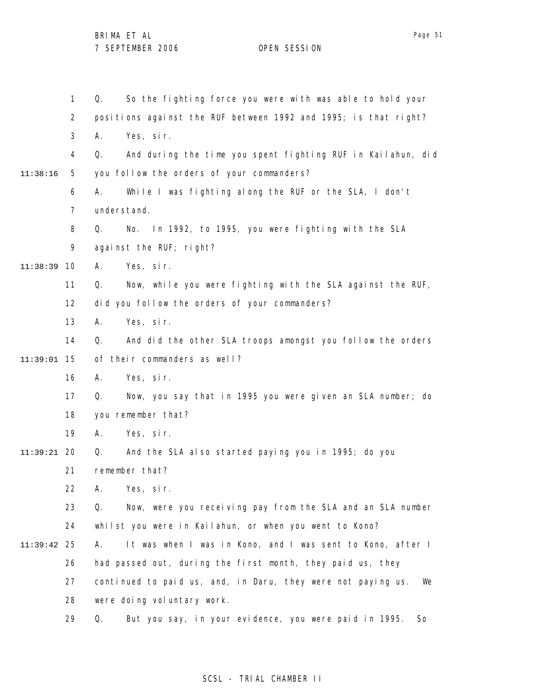1 2 3 4 5 6 7 8 9 10 11:38:39 11 12 13 14 15 11:39:01 16 17 18 19 20 11:39:21 21 22 23 24 25 11:39:42 26 27 28 29 11:38:16 Q. So the fighting force you were with was able to hold your positions against the RUF between 1992 and 1995; is that right? A. Yes, sir. Q. And during the time you spent fighting RUF in Kailahun, did you follow the orders of your commanders? A. While I was fighting along the RUF or the SLA, I don't understand. Q. No. In 1992, to 1995, you were fighting with the SLA against the RUF; right? A. Yes, sir. Q. Now, while you were fighting with the SLA against the RUF, did you follow the orders of your commanders? A. Yes, sir. Q. And did the other SLA troops amongst you follow the orders of their commanders as well? A. Yes, sir. Q. Now, you say that in 1995 you were given an SLA number; do you remember that? A. Yes, sir. Q. And the SLA also started paying you in 1995; do you remember that? A. Yes, sir. Q. Now, were you receiving pay from the SLA and an SLA number whilst you were in Kailahun, or when you went to Kono? A. It was when I was in Kono, and I was sent to Kono, after I had passed out, during the first month, they paid us, they continued to paid us, and, in Daru, they were not paying us. We were doing voluntary work. Q. But you say, in your evidence, you were paid in 1995. So

## SCSL - TRIAL CHAMBER II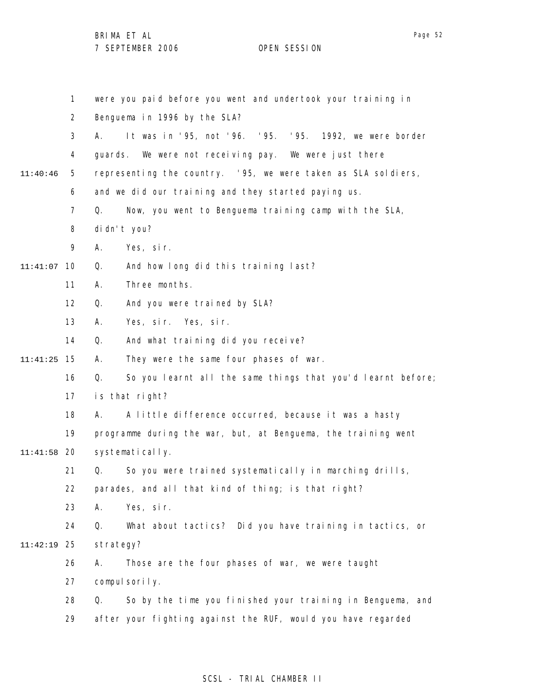|               | $\mathbf{1}$   | were you paid before you went and undertook your training in      |
|---------------|----------------|-------------------------------------------------------------------|
|               | $\overline{2}$ | Benguema in 1996 by the SLA?                                      |
|               | 3              | It was in '95, not '96. '95. '95. 1992, we were border<br>А.      |
|               | 4              | guards. We were not receiving pay. We were just there             |
| 11:40:46      | 5              | representing the country. '95, we were taken as SLA soldiers,     |
|               | 6              | and we did our training and they started paying us.               |
|               | 7              | Now, you went to Benguema training camp with the SLA,<br>Q.       |
|               | 8              | di dn't you?                                                      |
|               | 9              | Yes, sir.<br>А.                                                   |
| 11:41:07      | 10             | And how long did this training last?<br>Q.                        |
|               | 11             | Three months.<br>А.                                               |
|               | 12             | Q.<br>And you were trained by SLA?                                |
|               | 13             | Yes, sir. Yes, sir.<br>А.                                         |
|               | 14             | And what training did you receive?<br>Q.                          |
| 11:41:25      | - 15           | They were the same four phases of war.<br>А.                      |
|               | 16             | So you learnt all the same things that you'd learnt before;<br>Q. |
|               | 17             | is that right?                                                    |
|               | 18             | A little difference occurred, because it was a hasty<br>А.        |
|               | 19             | programme during the war, but, at Benguema, the training went     |
| $11:41:58$ 20 |                | systematically.                                                   |
|               | 21             | So you were trained systematically in marching drills,<br>Q.      |
|               | 22             | parades, and all that kind of thing; is that right?               |
|               | 23             | Yes, sir.<br>А.                                                   |
|               | 24             | What about tactics? Did you have training in tactics, or<br>Q.    |
| 11:42:19      | 25             | strategy?                                                         |
|               | 26             | Those are the four phases of war, we were taught<br>А.            |
|               | 27             | compulsorily.                                                     |
|               | 28             | So by the time you finished your training in Benguema, and<br>Q.  |
|               | 29             | after your fighting against the RUF, would you have regarded      |

## SCSL - TRIAL CHAMBER II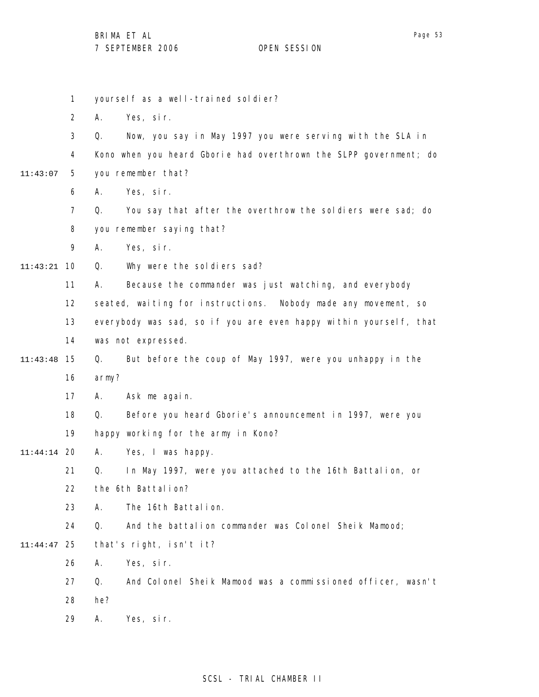|             | 1              | yourself as a well-trained soldier?                               |
|-------------|----------------|-------------------------------------------------------------------|
|             | $\overline{2}$ | Yes, sir.<br>Α.                                                   |
|             | 3              | Now, you say in May 1997 you were serving with the SLA in<br>Q.   |
|             | 4              | Kono when you heard Gborie had overthrown the SLPP government; do |
| 11:43:07    | 5              | you remember that?                                                |
|             | 6              | Yes, sir.<br>А.                                                   |
|             | $\overline{7}$ | You say that after the overthrow the soldiers were sad; do<br>Q.  |
|             | 8              | you remember saying that?                                         |
|             | 9              | Yes, sir.<br>А.                                                   |
| 11:43:21    | 10             | Why were the soldiers sad?<br>Q.                                  |
|             | 11             | Because the commander was just watching, and everybody<br>А.      |
|             | 12             | seated, waiting for instructions. Nobody made any movement, so    |
|             | 13             | everybody was sad, so if you are even happy within yourself, that |
|             | 14             | was not expressed.                                                |
| 11:43:48    | 15             | But before the coup of May 1997, were you unhappy in the<br>Q.    |
|             | 16             | army?                                                             |
|             | 17             | Ask me again.<br>Α.                                               |
|             | 18             | Before you heard Gborie's announcement in 1997, were you<br>Q.    |
|             | 19             | happy working for the army in Kono?                               |
| 11:44:14 20 |                | А.<br>Yes, I was happy.                                           |
|             | 21             | Q.<br>In May 1997, were you attached to the 16th Battalion, or    |
|             | 22             | the 6th Battalion?                                                |
|             | 23             | The 16th Battalion.<br>А.                                         |
|             | 24             | And the battalion commander was Colonel Sheik Mamood;<br>Q.       |
| 11:44:47    | 25             | that's right, isn't it?                                           |
|             | 26             | Yes, sir.<br>А.                                                   |
|             | 27             | And Colonel Sheik Mamood was a commissioned officer, wasn't<br>Q. |
|             | 28             | he?                                                               |
|             | 29             | Yes, sir.<br>Α.                                                   |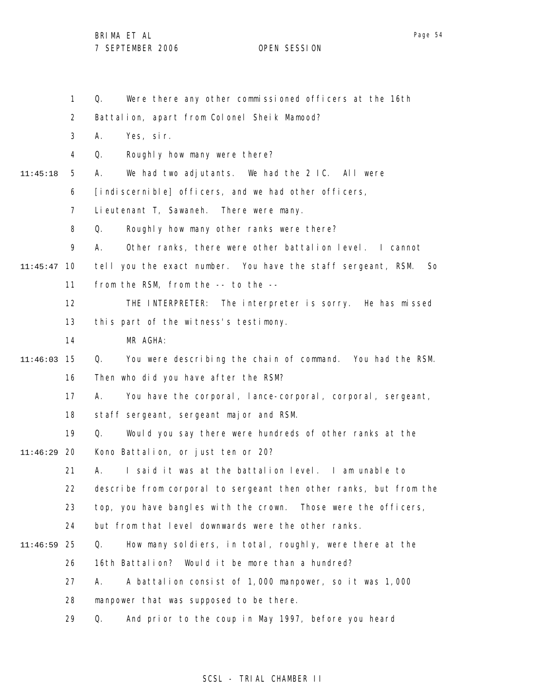Page 54

1 2 3 4 5 6 7 8 9 10 11:45:47 11 12 13 14 15 11:46:03 16 17 18 19 20 11:46:29 21 22 23 24 25 11:46:59 26 27 28 29 11:45:18 Q. Were there any other commissioned officers at the 16th Battalion, apart from Colonel Sheik Mamood? A. Yes, sir. Q. Roughly how many were there? A. We had two adjutants. We had the 2 IC. All were [indiscernible] officers, and we had other officers, Lieutenant T, Sawaneh. There were many. Q. Roughly how many other ranks were there? A. Other ranks, there were other battalion level. I cannot tell you the exact number. You have the staff sergeant, RSM. So from the RSM, from the -- to the -- THE INTERPRETER: The interpreter is sorry. He has missed this part of the witness's testimony. MR AGHA: Q. You were describing the chain of command. You had the RSM. Then who did you have after the RSM? A. You have the corporal, lance-corporal, corporal, sergeant, staff sergeant, sergeant major and RSM. Q. Would you say there were hundreds of other ranks at the Kono Battalion, or just ten or 20? A. I said it was at the battalion level. I am unable to describe from corporal to sergeant then other ranks, but from the top, you have bangles with the crown. Those were the officers, but from that level downwards were the other ranks. Q. How many soldiers, in total, roughly, were there at the 16th Battalion? Would it be more than a hundred? A. A battalion consist of 1,000 manpower, so it was 1,000 manpower that was supposed to be there. Q. And prior to the coup in May 1997, before you heard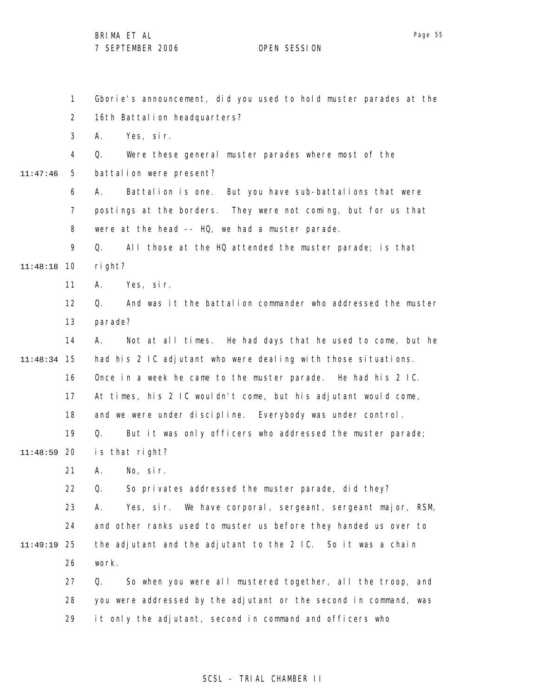1 2 3 4 5 6 7 8 9 10 11:48:18 11 12 13 14 15 11:48:34 16 17 18 19 20 11:48:59 21 22 23 24 25 11:49:19 26 27 28 29 11:47:46 Gborie's announcement, did you used to hold muster parades at the 16th Battalion headquarters? A. Yes, sir. Q. Were these general muster parades where most of the battalion were present? A. Battalion is one. But you have sub-battalions that were postings at the borders. They were not coming, but for us that were at the head -- HQ, we had a muster parade. Q. All those at the HQ attended the muster parade; is that right? A. Yes, sir. Q. And was it the battalion commander who addressed the muster parade? A. Not at all times. He had days that he used to come, but he had his 2 IC adjutant who were dealing with those situations. Once in a week he came to the muster parade. He had his 2 IC. At times, his 2 IC wouldn't come, but his adjutant would come, and we were under discipline. Everybody was under control. Q. But it was only officers who addressed the muster parade; is that right? A. No, sir. Q. So privates addressed the muster parade, did they? A. Yes, sir. We have corporal, sergeant, sergeant major, RSM, and other ranks used to muster us before they handed us over to the adjutant and the adjutant to the 2 IC. So it was a chain work. Q. So when you were all mustered together, all the troop, and you were addressed by the adjutant or the second in command, was it only the adjutant, second in command and officers who

## SCSL - TRIAL CHAMBER II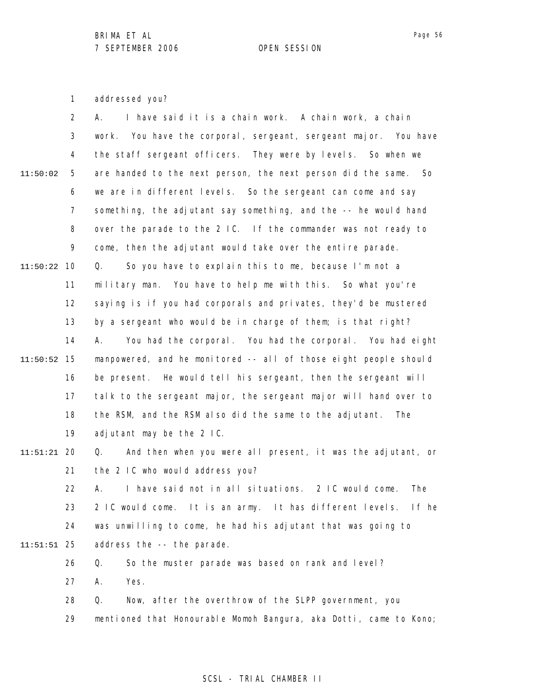1 addressed you?

|          | $\overline{2}$ | I have said it is a chain work. A chain work, a chain<br>А.          |
|----------|----------------|----------------------------------------------------------------------|
|          | 3              | work. You have the corporal, sergeant, sergeant major. You have      |
|          | 4              | the staff sergeant officers. They were by levels. So when we         |
| 11:50:02 | 5              | are handed to the next person, the next person did the same.<br>- So |
|          | 6              | we are in different levels. So the sergeant can come and say         |
|          | $\overline{7}$ | something, the adjutant say something, and the -- he would hand      |
|          | 8              | over the parade to the 2 IC. If the commander was not ready to       |
|          | 9              | come, then the adjutant would take over the entire parade.           |
| 11:50:22 | 10             | So you have to explain this to me, because I'm not a<br>Q.           |
|          | 11             | military man. You have to help me with this. So what you're          |
|          | 12             | saying is if you had corporals and privates, they'd be mustered      |
|          | 13             | by a sergeant who would be in charge of them; is that right?         |
|          | 14             | You had the corporal. You had the corporal. You had eight<br>А.      |
| 11:50:52 | 15             | manpowered, and he monitored -- all of those eight people should     |
|          | 16             | be present. He would tell his sergeant, then the sergeant will       |
|          | 17             | talk to the sergeant major, the sergeant major will hand over to     |
|          | 18             | the RSM, and the RSM also did the same to the adjutant.<br>The       |
|          | 19             | adjutant may be the 2 IC.                                            |
| 11:51:21 | 20             | And then when you were all present, it was the adjutant, or<br>Q.    |
|          | 21             | the 2 IC who would address you?                                      |
|          | 22             | I have said not in all situations. 2 IC would come.<br>The<br>А.     |
|          | 23             | 2 IC would come. It is an army. It has different levels. If he       |
|          | 24             | was unwilling to come, he had his adjutant that was going to         |
| 11:51:51 | 25             | address the -- the parade.                                           |
|          | 26             | So the muster parade was based on rank and level?<br>Q.              |
|          | 27             | А.<br>Yes.                                                           |
|          | 28             | Q.<br>Now, after the overthrow of the SLPP government, you           |
|          | 29             | mentioned that Honourable Momoh Bangura, aka Dotti, came to Kono;    |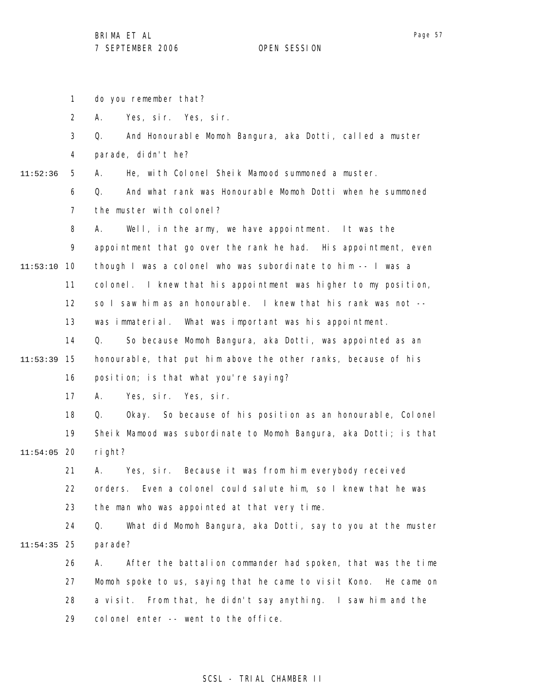1 2 3 4 5 6 7 8 9 10 11:53:10 11 12 13 14 15 11:53:39 16 17 18 19 20 11:54:05 21 22 23 24 25 11:54:35 26 27 28 29 11:52:36 do you remember that? A. Yes, sir. Yes, sir. Q. And Honourable Momoh Bangura, aka Dotti, called a muster parade, didn't he? A. He, with Colonel Sheik Mamood summoned a muster. Q. And what rank was Honourable Momoh Dotti when he summoned the muster with colonel? A. Well, in the army, we have appointment. It was the appointment that go over the rank he had. His appointment, even though I was a colonel who was subordinate to him -- I was a colonel. I knew that his appointment was higher to my position, so I saw him as an honourable. I knew that his rank was not - was immaterial. What was important was his appointment. Q. So because Momoh Bangura, aka Dotti, was appointed as an honourable, that put him above the other ranks, because of his position; is that what you're saying? A. Yes, sir. Yes, sir. Q. Okay. So because of his position as an honourable, Colonel Sheik Mamood was subordinate to Momoh Bangura, aka Dotti; is that right? A. Yes, sir. Because it was from him everybody received orders. Even a colonel could salute him, so I knew that he was the man who was appointed at that very time. Q. What did Momoh Bangura, aka Dotti, say to you at the muster parade? A. After the battalion commander had spoken, that was the time Momoh spoke to us, saying that he came to visit Kono. He came on a visit. From that, he didn't say anything. I saw him and the colonel enter -- went to the office.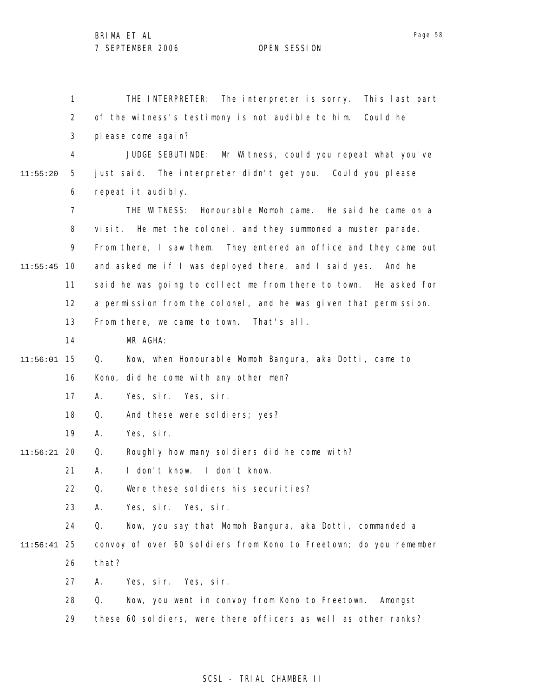1 2 3 4 5 6 7 8 9 10 11:55:45 11 12 13 14 15 11:56:01 16 17 18 19 20 11:56:21 21 22 23 24 25 11:56:41 26 27 28 29 11:55:20 THE INTERPRETER: The interpreter is sorry. This last part of the witness's testimony is not audible to him. Could he please come again? JUDGE SEBUTINDE: Mr Witness, could you repeat what you've just said. The interpreter didn't get you. Could you please repeat it audibly. THE WITNESS: Honourable Momoh came. He said he came on a visit. He met the colonel, and they summoned a muster parade. From there, I saw them. They entered an office and they came out and asked me if I was deployed there, and I said yes. And he said he was going to collect me from there to town. He asked for a permission from the colonel, and he was given that permission. From there, we came to town. That's all. MR AGHA: Q. Now, when Honourable Momoh Bangura, aka Dotti, came to Kono, did he come with any other men? A. Yes, sir. Yes, sir. Q. And these were soldiers; yes? A. Yes, sir. Q. Roughly how many soldiers did he come with? A. I don't know. I don't know. Q. Were these soldiers his securities? A. Yes, sir. Yes, sir. Q. Now, you say that Momoh Bangura, aka Dotti, commanded a convoy of over 60 soldiers from Kono to Freetown; do you remember that? A. Yes, sir. Yes, sir. Q. Now, you went in convoy from Kono to Freetown. Amongst these 60 soldiers, were there officers as well as other ranks?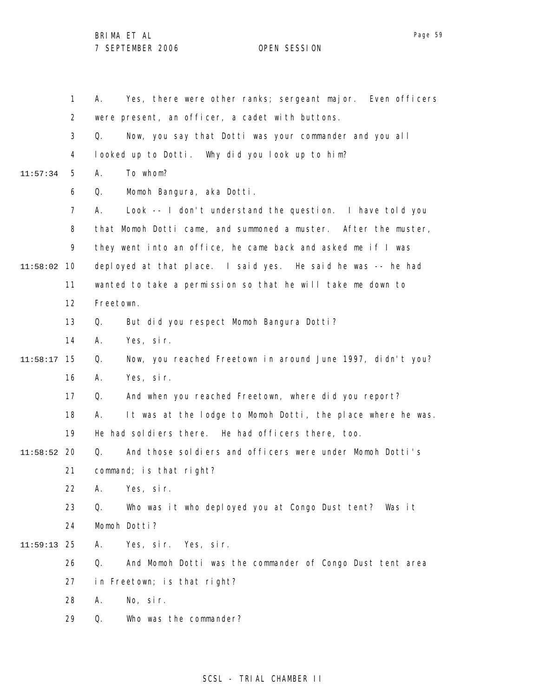|          | $\mathbf{1}$   | Yes, there were other ranks; sergeant major. Even officers<br>А.  |
|----------|----------------|-------------------------------------------------------------------|
|          | $\overline{2}$ | were present, an officer, a cadet with buttons.                   |
|          | 3              | Now, you say that Dotti was your commander and you all<br>Q.      |
|          | 4              | looked up to Dotti. Why did you look up to him?                   |
| 11:57:34 | 5              | А.<br>To whom?                                                    |
|          | 6              | Momoh Bangura, aka Dotti.<br>Q.                                   |
|          | $\overline{7}$ | Look -- I don't understand the question. I have told you<br>А.    |
|          | 8              | that Momoh Dotti came, and summoned a muster. After the muster,   |
|          | 9              | they went into an office, he came back and asked me if I was      |
| 11:58:02 | 10             | deployed at that place. I said yes. He said he was -- he had      |
|          | 11             | wanted to take a permission so that he will take me down to       |
|          | 12             | Freetown.                                                         |
|          | 13             | But did you respect Momoh Bangura Dotti?<br>Q.                    |
|          | 14             | Yes, sir.<br>А.                                                   |
| 11:58:17 | 15             | Now, you reached Freetown in around June 1997, didn't you?<br>Q.  |
|          | 16             | Yes, sir.<br>Α.                                                   |
|          | 17             | And when you reached Freetown, where did you report?<br>Q.        |
|          | 18             | It was at the lodge to Momoh Dotti, the place where he was.<br>А. |
|          | 19             | He had soldiers there. He had officers there, too.                |
| 11:58:52 | 20             | And those soldiers and officers were under Momoh Dotti's<br>Q.    |
|          | 21             | command; is that right?                                           |
|          | 22             | A. Yes, sir.                                                      |
|          | 23             | Who was it who deployed you at Congo Dust tent? Was it<br>Q.      |
|          | 24             | Momoh Dotti?                                                      |
| 11:59:13 | 25             | Α.<br>Yes, sir. Yes, sir.                                         |
|          | 26             | And Momoh Dotti was the commander of Congo Dust tent area<br>Q.   |
|          | 27             | in Freetown; is that right?                                       |
|          | 28             | No, sir.<br>Α.                                                    |
|          | 29             | Q.<br>Who was the commander?                                      |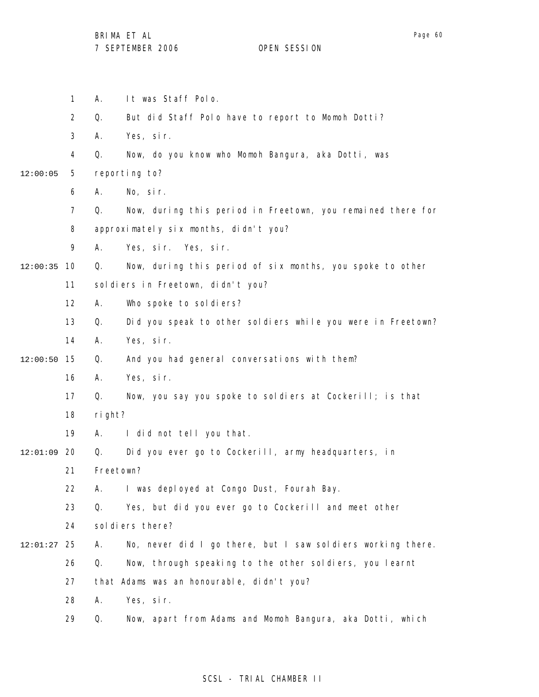Page 60

1 2 3 4 5 6 7 8 9 10 12:00:35 11 12 13 14 15 12:00:50 16 17 18 19 12:01:09 20 21 22 23 24 25 12:01:27 26 27 28 29 12:00:05 A. It was Staff Polo. Q. But did Staff Polo have to report to Momoh Dotti? A. Yes, sir. Q. Now, do you know who Momoh Bangura, aka Dotti, was reporting to? A. No, sir. Q. Now, during this period in Freetown, you remained there for approximately six months, didn't you? A. Yes, sir. Yes, sir. Q. Now, during this period of six months, you spoke to other soldiers in Freetown, didn't you? A. Who spoke to soldiers? Q. Did you speak to other soldiers while you were in Freetown? A. Yes, sir. Q. And you had general conversations with them? A. Yes, sir. Q. Now, you say you spoke to soldiers at Cockerill; is that right? A. I did not tell you that. Q. Did you ever go to Cockerill, army headquarters, in Freetown? A. I was deployed at Congo Dust, Fourah Bay. Q. Yes, but did you ever go to Cockerill and meet other sol di ers there? A. No, never did I go there, but I saw soldiers working there. Q. Now, through speaking to the other soldiers, you learnt that Adams was an honourable, didn't you? A. Yes, sir. Q. Now, apart from Adams and Momoh Bangura, aka Dotti, which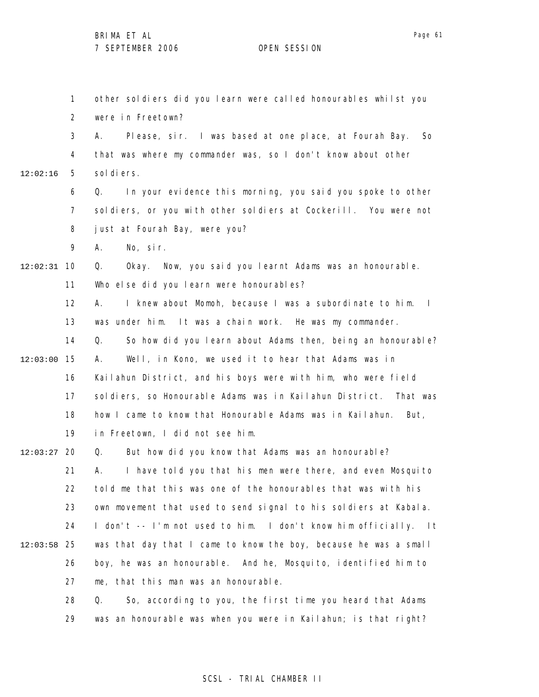1 2 3 4 5 6 7 8 9 10 12:02:31 11 12 13 14 15 12:03:00 16 17 18 19 12:03:27 20 21 22 23 24 25 12:03:58 26 27 28 29 12:02:16 other soldiers did you learn were called honourables whilst you were in Freetown? A. Please, sir. I was based at one place, at Fourah Bay. So that was where my commander was, so I don't know about other sol di ers. Q. In your evidence this morning, you said you spoke to other soldiers, or you with other soldiers at Cockerill. You were not just at Fourah Bay, were you? A. No, sir. Q. Okay. Now, you said you learnt Adams was an honourable. Who else did you learn were honourables? A. I knew about Momoh, because I was a subordinate to him. I was under him. It was a chain work. He was my commander. Q. So how did you learn about Adams then, being an honourable? A. Well, in Kono, we used it to hear that Adams was in Kailahun District, and his boys were with him, who were field soldiers, so Honourable Adams was in Kailahun District. That was how I came to know that Honourable Adams was in Kailahun. But, in Freetown, I did not see him. Q. But how did you know that Adams was an honourable? A. I have told you that his men were there, and even Mosquito told me that this was one of the honourables that was with his own movement that used to send signal to his soldiers at Kabala. I don't -- I'm not used to him. I don't know him officially. It was that day that I came to know the boy, because he was a small boy, he was an honourable. And he, Mosquito, identified him to me, that this man was an honourable. Q. So, according to you, the first time you heard that Adams was an honourable was when you were in Kailahun; is that right?

#### SCSL - TRIAL CHAMBER II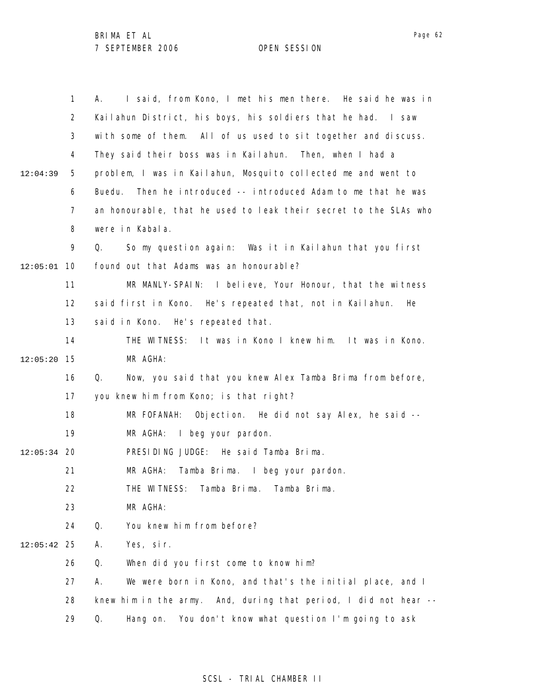1 2 3 4 5 6 7 8 9 10 12:05:01 11 12 13 14 15 12:05:20 16 17 18 19 12:05:34 20 21 22 23 24 25 12:05:42 26 27 28 29 12:04:39 A. I said, from Kono, I met his men there. He said he was in Kailahun District, his boys, his soldiers that he had. I saw with some of them. All of us used to sit together and discuss. They said their boss was in Kailahun. Then, when I had a problem, I was in Kailahun, Mosquito collected me and went to Buedu. Then he introduced -- introduced Adam to me that he was an honourable, that he used to leak their secret to the SLAs who were in Kabala. Q. So my question again: Was it in Kailahun that you first found out that Adams was an honourable? MR MANLY-SPAIN: I believe, Your Honour, that the witness said first in Kono. He's repeated that, not in Kailahun. He said in Kono. He's repeated that. THE WITNESS: It was in Kono I knew him. It was in Kono. MR AGHA: Q. Now, you said that you knew Alex Tamba Brima from before, you knew him from Kono; is that right? MR FOFANAH: Objection. He did not say Alex, he said -- MR AGHA: I beg your pardon. PRESIDING JUDGE: He said Tamba Brima. MR AGHA: Tamba Brima. I beg your pardon. THE WITNESS: Tamba Brima. Tamba Brima. MR AGHA: Q. You knew him from before? A. Yes, sir. Q. When did you first come to know him? A. We were born in Kono, and that's the initial place, and I knew him in the army. And, during that period, I did not hear -- Q. Hang on. You don't know what question I'm going to ask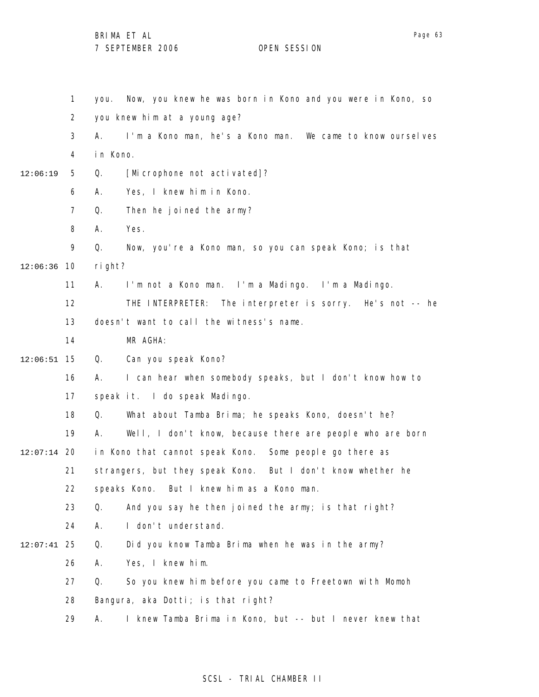1 2 3 4 5 6 7 8 9 10 12:06:36 11 12 13 14 15 12:06:51 16 17 18 19 20 12:07:14 21 22 23 24 25 12:07:41 26 27 28 29 12:06:19 you. Now, you knew he was born in Kono and you were in Kono, so you knew him at a young age? A. I'm a Kono man, he's a Kono man. We came to know ourselves in Kono. Q. [Microphone not activated]? A. Yes, I knew him in Kono. Q. Then he joined the army? A. Yes. Q. Now, you're a Kono man, so you can speak Kono; is that right? A. I'm not a Kono man. I'm a Madingo. I'm a Madingo. THE INTERPRETER: The interpreter is sorry. He's not -- he doesn't want to call the witness's name. MR AGHA: Q. Can you speak Kono? A. I can hear when somebody speaks, but I don't know how to speak it. I do speak Madingo. Q. What about Tamba Brima; he speaks Kono, doesn't he? A. Well, I don't know, because there are people who are born in Kono that cannot speak Kono. Some people go there as strangers, but they speak Kono. But I don't know whether he speaks Kono. But I knew him as a Kono man. Q. And you say he then joined the army; is that right? A. I don't understand. Q. Did you know Tamba Brima when he was in the army? A. Yes, I knew him. Q. So you knew him before you came to Freetown with Momoh Bangura, aka Dotti; is that right? A. I knew Tamba Brima in Kono, but -- but I never knew that

## SCSL - TRIAL CHAMBER II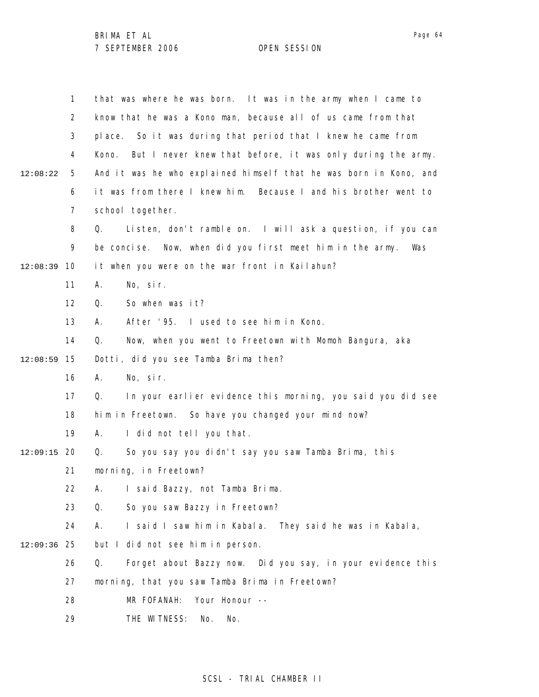1 2 3 4 5 6 7 8 9 10 12:08:39 11 12 13 14 15 12:08:59 16 17 18 19 12:09:15 20 21 22 23 24 25 12:09:36 26 27 28 29 12:08:22 that was where he was born. It was in the army when I came to know that he was a Kono man, because all of us came from that place. So it was during that period that I knew he came from Kono. But I never knew that before, it was only during the army. And it was he who explained himself that he was born in Kono, and it was from there I knew him. Because I and his brother went to school together. Q. Listen, don't ramble on. I will ask a question, if you can be concise. Now, when did you first meet him in the army. Was it when you were on the war front in Kailahun? A. No, sir. Q. So when was it? A. After '95. I used to see him in Kono. Q. Now, when you went to Freetown with Momoh Bangura, aka Dotti, did you see Tamba Brima then? A. No, sir. Q. In your earlier evidence this morning, you said you did see him in Freetown. So have you changed your mind now? A. I did not tell you that. Q. So you say you didn't say you saw Tamba Brima, this morning, in Freetown? A. I said Bazzy, not Tamba Brima. Q. So you saw Bazzy in Freetown? A. I said I saw him in Kabala. They said he was in Kabala, but I did not see him in person. Q. Forget about Bazzy now. Did you say, in your evidence this morning, that you saw Tamba Brima in Freetown? MR FOFANAH: Your Honour -- THE WITNESS: No. No.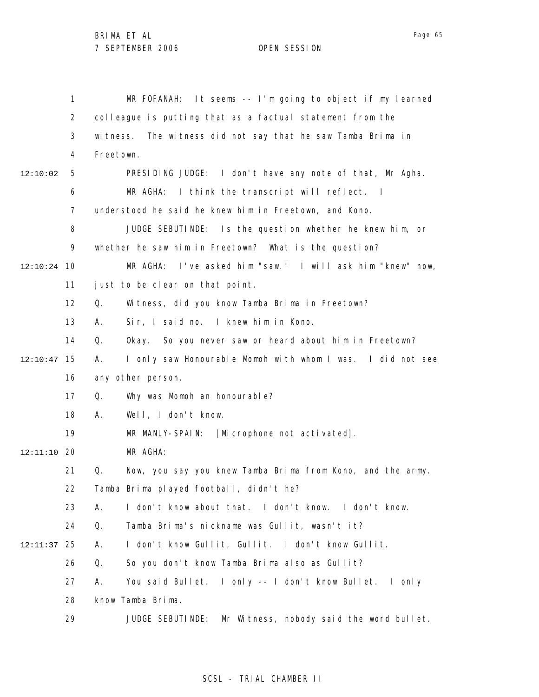1 2 3 4 5 6 7 8 9 10 12:10:24 11 12 13 14 15 12:10:47 16 17 18 19 20 12:11:10 21 22 23 24 25 12:11:37 26 27 28 29 12:10:02 MR FOFANAH: It seems -- I'm going to object if my learned colleague is putting that as a factual statement from the witness. The witness did not say that he saw Tamba Brima in Freetown. PRESIDING JUDGE: I don't have any note of that, Mr Agha. MR AGHA: I think the transcript will reflect. I understood he said he knew him in Freetown, and Kono. JUDGE SEBUTINDE: Is the question whether he knew him, or whether he saw him in Freetown? What is the question? MR AGHA: I've asked him "saw." I will ask him "knew" now, just to be clear on that point. Q. Witness, did you know Tamba Brima in Freetown? A. Sir, I said no. I knew him in Kono. Q. Okay. So you never saw or heard about him in Freetown? A. I only saw Honourable Momoh with whom I was. I did not see any other person. Q. Why was Momoh an honourable? A. Well, I don't know. MR MANLY-SPAIN: [Microphone not activated]. MR AGHA: Q. Now, you say you knew Tamba Brima from Kono, and the army. Tamba Brima played football, didn't he? A. I don't know about that. I don't know. I don't know. Q. Tamba Brima's nickname was Gullit, wasn't it? A. I don't know Gullit, Gullit. I don't know Gullit. Q. So you don't know Tamba Brima also as Gullit? A. You said Bullet. I only -- I don't know Bullet. I only know Tamba Brima. JUDGE SEBUTINDE: Mr Witness, nobody said the word bullet.

## SCSL - TRIAL CHAMBER II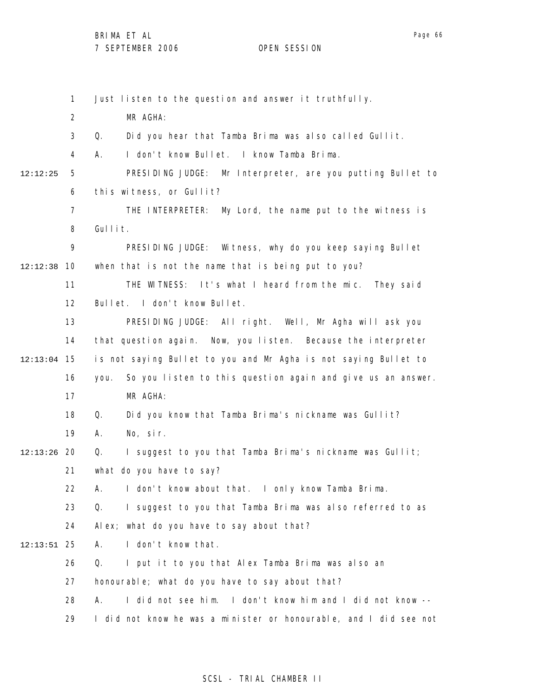|          | $\mathbf{1}$   | Just listen to the question and answer it truthfully.               |
|----------|----------------|---------------------------------------------------------------------|
|          | $\overline{2}$ | MR AGHA:                                                            |
|          | 3              | Did you hear that Tamba Brima was also called Gullit.<br>Q.         |
|          | 4              | I don't know Bullet. I know Tamba Brima.<br>А.                      |
| 12:12:25 | 5              | PRESIDING JUDGE: Mr Interpreter, are you putting Bullet to          |
|          | 6              | this witness, or Gullit?                                            |
|          | 7              | THE INTERPRETER:<br>My Lord, the name put to the witness is         |
|          | 8              | Gullit.                                                             |
|          | 9              | PRESIDING JUDGE:<br>Witness, why do you keep saying Bullet          |
| 12:12:38 | 10             | when that is not the name that is being put to you?                 |
|          | 11             | THE WITNESS: It's what I heard from the mic. They said              |
|          | 12             | Bullet. I don't know Bullet.                                        |
|          | 13             | PRESIDING JUDGE: All right. Well, Mr Agha will ask you              |
|          | 14             | that question again. Now, you listen. Because the interpreter       |
| 12:13:04 | 15             | is not saying Bullet to you and Mr Agha is not saying Bullet to     |
|          | 16             | So you listen to this question again and give us an answer.<br>you. |
|          | 17             | MR AGHA:                                                            |
|          | 18             | Did you know that Tamba Brima's nickname was Gullit?<br>Q.          |
|          | 19             | No, sir.<br>Α.                                                      |
| 12:13:26 | -20            | I suggest to you that Tamba Brima's nickname was Gullit;<br>Q.      |
|          | 21             | what do you have to say?                                            |
|          | 22             | A. I don't know about that. I only know Tamba Brima.                |
|          | 23             | Q.<br>I suggest to you that Tamba Brima was also referred to as     |
|          | 24             | Alex; what do you have to say about that?                           |
| 12:13:51 | 25             | I don't know that.<br>А.                                            |
|          | 26             | Q.<br>I put it to you that Alex Tamba Brima was also an             |
|          | 27             | honourable; what do you have to say about that?                     |
|          | 28             | I did not see him. I don't know him and I did not know --<br>А.     |
|          | 29             | I did not know he was a minister or honourable, and I did see not   |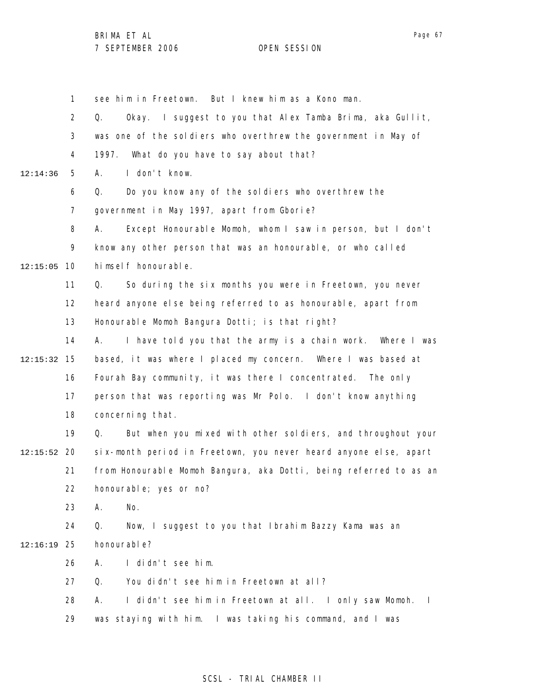Page 67

1 2 3 4 5 6 7 8 9 10 12:15:05 11 12 13 14 15 12:15:32 16 17 18 19 20 12:15:52 21 22 23 24 25 12:16:19 26 27 28 29 12:14:36 see him in Freetown. But I knew him as a Kono man. Q. Okay. I suggest to you that Alex Tamba Brima, aka Gullit, was one of the soldiers who overthrew the government in May of 1997. What do you have to say about that? A. I don't know. Q. Do you know any of the soldiers who overthrew the government in May 1997, apart from Gborie? A. Except Honourable Momoh, whom I saw in person, but I don't know any other person that was an honourable, or who called himself honourable. Q. So during the six months you were in Freetown, you never heard anyone else being referred to as honourable, apart from Honourable Momoh Bangura Dotti; is that right? A. I have told you that the army is a chain work. Where I was based, it was where I placed my concern. Where I was based at Fourah Bay community, it was there I concentrated. The only person that was reporting was Mr Polo. I don't know anything concerning that. Q. But when you mixed with other soldiers, and throughout your six-month period in Freetown, you never heard anyone else, apart from Honourable Momoh Bangura, aka Dotti, being referred to as an honourable; yes or no? A. No. Q. Now, I suggest to you that Ibrahim Bazzy Kama was an honourable? A. I didn't see him. Q. You didn't see him in Freetown at all? A. I didn't see him in Freetown at all. I only saw Momoh. I was staying with him. I was taking his command, and I was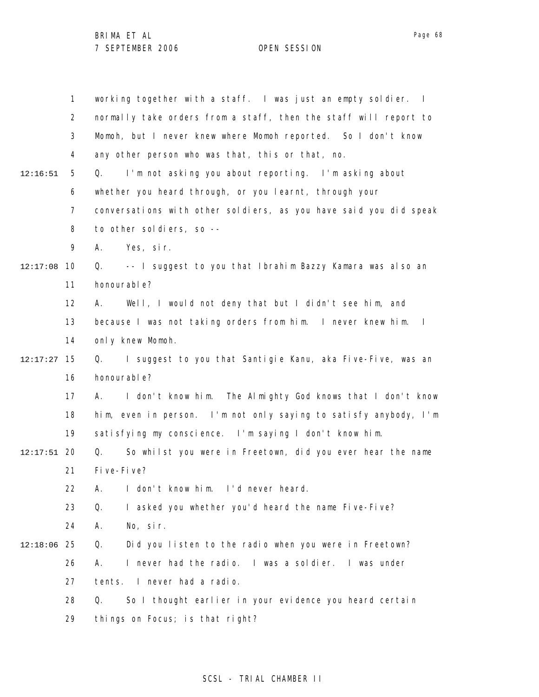|          | 1              | working together with a staff. I was just an empty soldier. I               |
|----------|----------------|-----------------------------------------------------------------------------|
|          | $\overline{2}$ | normally take orders from a staff, then the staff will report to            |
|          | 3              | Momoh, but I never knew where Momoh reported. So I don't know               |
|          | 4              | any other person who was that, this or that, no.                            |
| 12:16:51 | 5              | I'm not asking you about reporting. I'm asking about<br>Q.                  |
|          | 6              | whether you heard through, or you learnt, through your                      |
|          | 7              | conversations with other soldiers, as you have said you did speak           |
|          | 8              | to other soldiers, so --                                                    |
|          | 9              | Yes, sir.<br>А.                                                             |
| 12:17:08 | 10             | -- I suggest to you that Ibrahim Bazzy Kamara was also an<br>Q.             |
|          | 11             | honourable?                                                                 |
|          | 12             | Well, I would not deny that but I didn't see him, and<br>A.                 |
|          | 13             | because I was not taking orders from him. I never knew him.<br>$\mathbf{I}$ |
|          | 14             | only knew Momoh.                                                            |
| 12:17:27 | 15             | I suggest to you that Santigie Kanu, aka Five-Five, was an<br>Q.            |
|          | 16             | honourable?                                                                 |
|          | 17             | I don't know him. The Almighty God knows that I don't know<br>А.            |
|          | 18             | him, even in person. I'm not only saying to satisfy anybody, I'm            |
|          | 19             | satisfying my conscience. I'm saying I don't know him.                      |
| 12:17:51 | -20            | So whilst you were in Freetown, did you ever hear the name<br>0.            |
|          | 21             | Fi ve-Fi ve?                                                                |
|          | 22             | I don't know him. I'd never heard.<br>А.                                    |
|          | 23             | Q.<br>I asked you whether you'd heard the name Five-Five?                   |
|          | 24             | No, sir.<br>А.                                                              |
| 12:18:06 | 25             | Q.<br>Did you listen to the radio when you were in Freetown?                |
|          | 26             | I never had the radio.<br>I was a soldier. I was under<br>А.                |
|          | 27             | tents. I never had a radio.                                                 |
|          | 28             | So I thought earlier in your evidence you heard certain<br>Q.               |
|          | 29             | things on Focus; is that right?                                             |

## SCSL - TRIAL CHAMBER II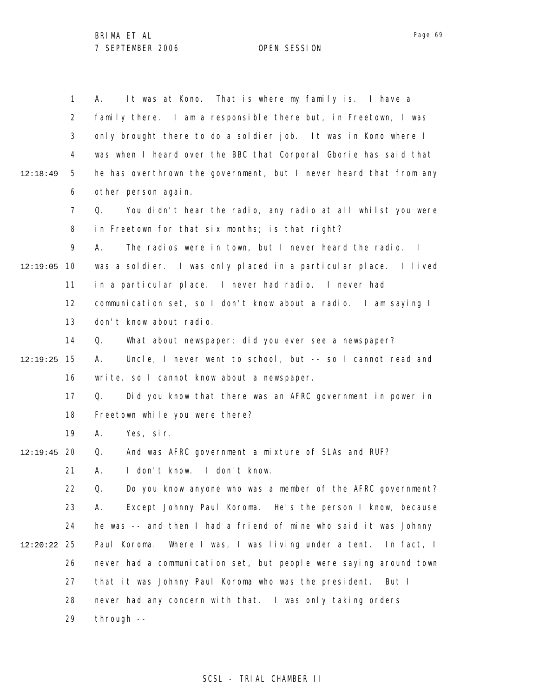1 2 3 4 5 6 7 8 9 12:19:05 10 11 12 13 14 15 12:19:25 16 17 18 19 12:19:45 20 21 22 23 24 25 12:20:22 26 27 28 29 12:18:49 A. It was at Kono. That is where my family is. I have a family there. I am a responsible there but, in Freetown, I was only brought there to do a soldier job. It was in Kono where I was when I heard over the BBC that Corporal Gborie has said that he has overthrown the government, but I never heard that from any other person again. Q. You didn't hear the radio, any radio at all whilst you were in Freetown for that six months; is that right? A. The radios were in town, but I never heard the radio. I was a soldier. I was only placed in a particular place. I lived in a particular place. I never had radio. I never had communication set, so I don't know about a radio. I am saying I don't know about radio. Q. What about newspaper; did you ever see a newspaper? A. Uncle, I never went to school, but -- so I cannot read and write, so I cannot know about a newspaper. Q. Did you know that there was an AFRC government in power in Freetown while you were there? A. Yes, sir. Q. And was AFRC government a mixture of SLAs and RUF? A. I don't know. I don't know. Q. Do you know anyone who was a member of the AFRC government? A. Except Johnny Paul Koroma. He's the person I know, because he was -- and then I had a friend of mine who said it was Johnny Paul Koroma. Where I was, I was living under a tent. In fact, I never had a communication set, but people were saying around town that it was Johnny Paul Koroma who was the president. But I never had any concern with that. I was only taking orders through --

Page 69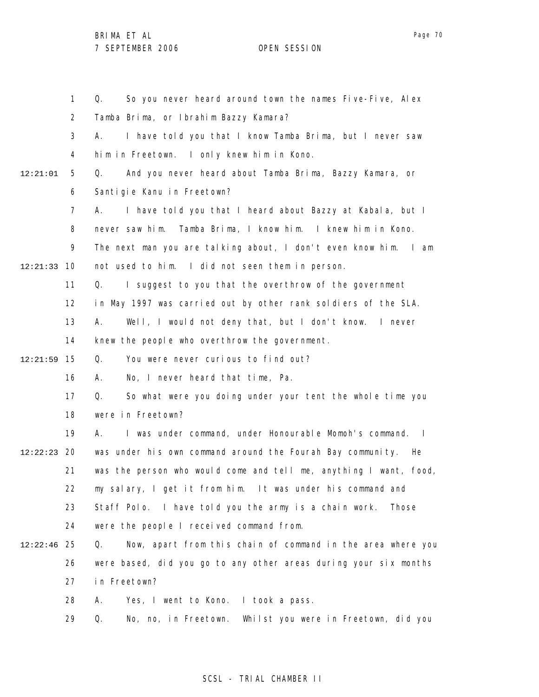1 2 3 4 5 6 7 8 9 10 12:21:33 11 12 13 14 15 12:21:59 16 17 18 19 20 12:22:23 21 22 23 24 25 12:22:46 26 27 28 29 12:21:01 Q. So you never heard around town the names Five-Five, Alex Tamba Brima, or Ibrahim Bazzy Kamara? A. I have told you that I know Tamba Brima, but I never saw him in Freetown. I only knew him in Kono. Q. And you never heard about Tamba Brima, Bazzy Kamara, or Santigie Kanu in Freetown? A. I have told you that I heard about Bazzy at Kabala, but I never saw him. Tamba Brima, I know him. I knew him in Kono. The next man you are talking about, I don't even know him. I am not used to him. I did not seen them in person. Q. I suggest to you that the overthrow of the government in May 1997 was carried out by other rank soldiers of the SLA. A. Well, I would not deny that, but I don't know. I never knew the people who overthrow the government. Q. You were never curious to find out? A. No, I never heard that time, Pa. Q. So what were you doing under your tent the whole time you were in Freetown? A. I was under command, under Honourable Momoh's command. I was under his own command around the Fourah Bay community. He was the person who would come and tell me, anything I want, food, my salary, I get it from him. It was under his command and Staff Polo. I have told you the army is a chain work. Those were the people I received command from. Q. Now, apart from this chain of command in the area where you were based, did you go to any other areas during your six months in Freetown? A. Yes, I went to Kono. I took a pass. Q. No, no, in Freetown. Whilst you were in Freetown, did you

## SCSL - TRIAL CHAMBER II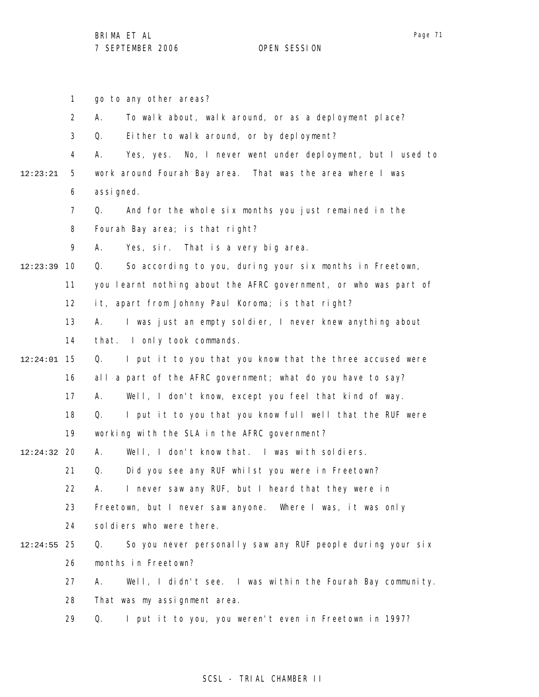1 2 3 4 5 6 7 8 9 10 12:23:39 11 12 13 14 15 12:24:01 16 17 18 19 20 12:24:32 21 22 23 24 25 12:24:55 26 27 28 29 12:23:21 go to any other areas? A. To walk about, walk around, or as a deployment place? Q. Either to walk around, or by deployment? A. Yes, yes. No, I never went under deployment, but I used to work around Fourah Bay area. That was the area where I was assi gned. Q. And for the whole six months you just remained in the Fourah Bay area; is that right? A. Yes, sir. That is a very big area. Q. So according to you, during your six months in Freetown, you learnt nothing about the AFRC government, or who was part of it, apart from Johnny Paul Koroma; is that right? A. I was just an empty soldier, I never knew anything about that. I only took commands. Q. I put it to you that you know that the three accused were all a part of the AFRC government; what do you have to say? A. Well, I don't know, except you feel that kind of way. Q. I put it to you that you know full well that the RUF were working with the SLA in the AFRC government? A. Well, I don't know that. I was with soldiers. Q. Did you see any RUF whilst you were in Freetown? A. I never saw any RUF, but I heard that they were in Freetown, but I never saw anyone. Where I was, it was only soldiers who were there. Q. So you never personally saw any RUF people during your six months in Freetown? A. Well, I didn't see. I was within the Fourah Bay community. That was my assignment area. Q. I put it to you, you weren't even in Freetown in 1997?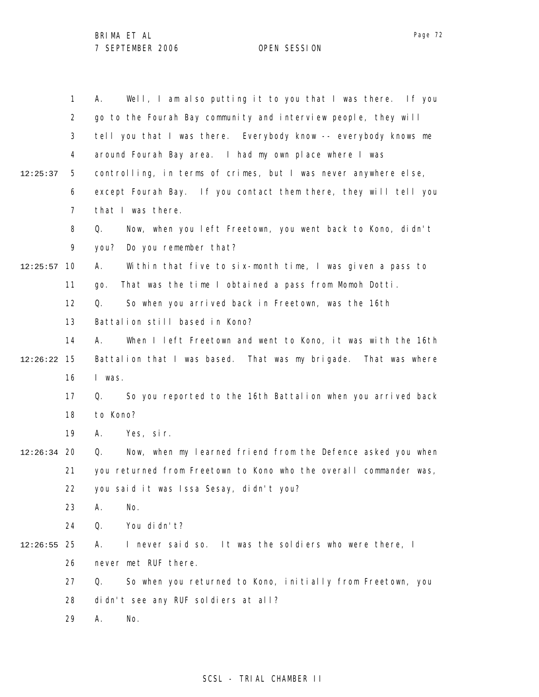|               | 1              | Well, I am also putting it to you that I was there. If you<br>А.  |
|---------------|----------------|-------------------------------------------------------------------|
|               | 2              | go to the Fourah Bay community and interview people, they will    |
|               | 3              | tell you that I was there. Everybody know -- everybody knows me   |
|               | 4              | around Fourah Bay area. I had my own place where I was            |
| 12:25:37      | 5              | controlling, in terms of crimes, but I was never anywhere else,   |
|               | 6              | except Fourah Bay. If you contact them there, they will tell you  |
|               | $\overline{7}$ | that I was there.                                                 |
|               | 8              | Now, when you left Freetown, you went back to Kono, didn't<br>Q.  |
|               | 9              | Do you remember that?<br>you?                                     |
| 12:25:57      | 10             | Within that five to six-month time, I was given a pass to<br>А.   |
|               | 11             | That was the time I obtained a pass from Momoh Dotti.<br>go.      |
|               | 12             | So when you arrived back in Freetown, was the 16th<br>Q.          |
|               | 13             | Battalion still based in Kono?                                    |
|               | 14             | When I left Freetown and went to Kono, it was with the 16th<br>А. |
| 12:26:22      | 15             | Battalion that I was based. That was my brigade. That was where   |
|               | 16             | I was.                                                            |
|               | 17             | So you reported to the 16th Battalion when you arrived back<br>Q. |
|               | 18             | to Kono?                                                          |
|               | 19             | Yes, sir.<br>А.                                                   |
| $12:26:34$ 20 |                | Now, when my learned friend from the Defence asked you when<br>Q. |
|               | 21             | you returned from Freetown to Kono who the overall commander was, |
|               | 22             | you said it was Issa Sesay, didn't you?                           |
|               | 23             | No.<br>А.                                                         |
|               | 24             | You di dn't?<br>Q.                                                |
| 12:26:55      | 25             | I never said so. It was the soldiers who were there, I<br>А.      |
|               | 26             | never met RUF there.                                              |
|               | 27             | So when you returned to Kono, initially from Freetown, you<br>Q.  |
|               | 28             | didn't see any RUF soldiers at all?                               |
|               | 29             | No.<br>Α.                                                         |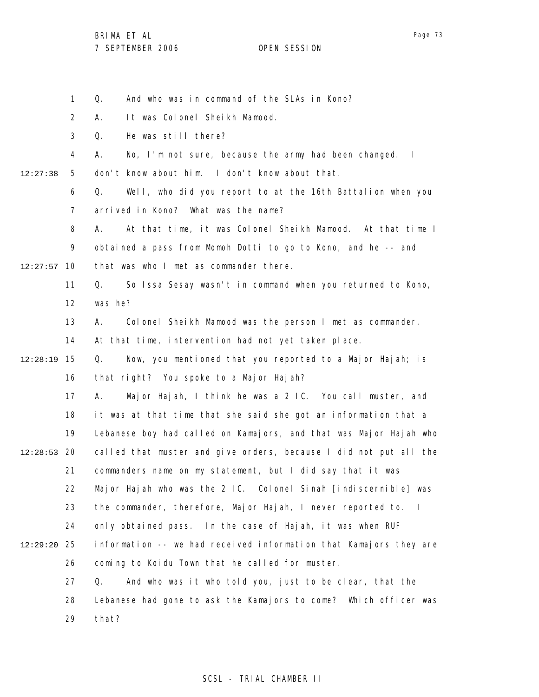1 Q. And who was in command of the SLAs in Kono?

2 A. It was Colonel Sheikh Mamood.

3 Q. He was still there?

4 A. No, I'm not sure, because the army had been changed. I

5 12:27:38 don't know about him. I don't know about that.

> 6 7 Q. Well, who did you report to at the 16th Battalion when you arrived in Kono? What was the name?

8 9 10 12:27:57 A. At that time, it was Colonel Sheikh Mamood. At that time I obtained a pass from Momoh Dotti to go to Kono, and he -- and that was who I met as commander there.

11 12 Q. So Issa Sesay wasn't in command when you returned to Kono, was he?

13 A. Colonel Sheikh Mamood was the person I met as commander.

14 At that time, intervention had not yet taken place.

15 12:28:19 16 Q. Now, you mentioned that you reported to a Major Hajah; is that right? You spoke to a Major Hajah?

17 18 19 20 12:28:53 21 22 23 24 25 12:29:20 26 27 28 A. Major Hajah, I think he was a 2 IC. You call muster, and it was at that time that she said she got an information that a Lebanese boy had called on Kamajors, and that was Major Hajah who called that muster and give orders, because I did not put all the commanders name on my statement, but I did say that it was Major Hajah who was the 2 IC. Colonel Sinah [indiscernible] was the commander, therefore, Major Hajah, I never reported to. I only obtained pass. In the case of Hajah, it was when RUF information -- we had received information that Kamajors they are coming to Koidu Town that he called for muster. Q. And who was it who told you, just to be clear, that the Lebanese had gone to ask the Kamajors to come? Which officer was

> 29 that?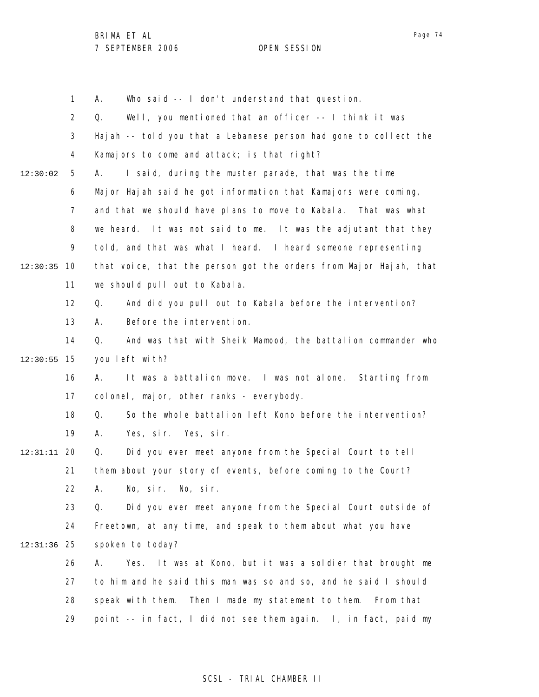1 2 3 4 5 6 7 8 9 10 12:30:35 11 12 13 14 15 12:30:55 16 17 18 19 20 12:31:11 21 22 23 24 25 12:31:36 26 27 28 29 12:30:02 A. Who said -- I don't understand that question. Q. Well, you mentioned that an officer -- I think it was Hajah -- told you that a Lebanese person had gone to collect the Kamajors to come and attack; is that right? A. I said, during the muster parade, that was the time Major Hajah said he got information that Kamajors were coming, and that we should have plans to move to Kabala. That was what we heard. It was not said to me. It was the adjutant that they told, and that was what I heard. I heard someone representing that voice, that the person got the orders from Major Hajah, that we should pull out to Kabala. Q. And did you pull out to Kabala before the intervention? A. Before the intervention. Q. And was that with Sheik Mamood, the battalion commander who you left with? A. It was a battalion move. I was not alone. Starting from colonel, major, other ranks - everybody. Q. So the whole battalion left Kono before the intervention? A. Yes, sir. Yes, sir. Q. Did you ever meet anyone from the Special Court to tell them about your story of events, before coming to the Court? A. No, sir. No, sir. Q. Did you ever meet anyone from the Special Court outside of Freetown, at any time, and speak to them about what you have spoken to today? A. Yes. It was at Kono, but it was a soldier that brought me to him and he said this man was so and so, and he said I should speak with them. Then I made my statement to them. From that point -- in fact, I did not see them again. I, in fact, paid my

## SCSL - TRIAL CHAMBER II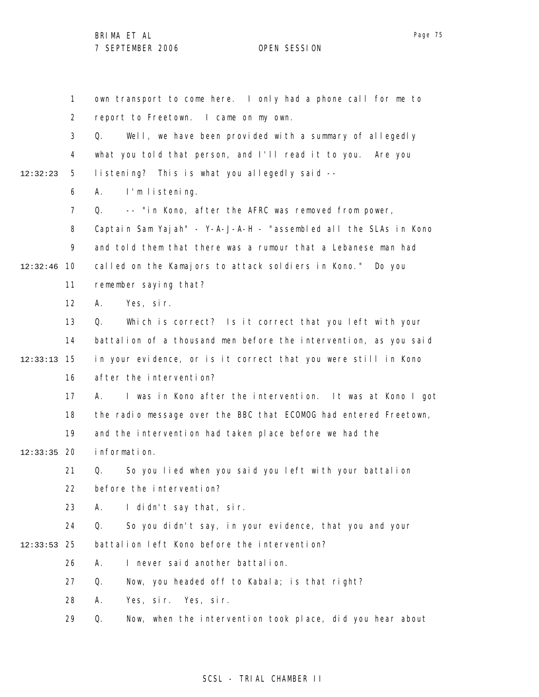1 2 3 4 5 6 7 8 9 10 12:32:46 11 12 13 14 15 12:33:13 16 17 18 19 12:33:35 20 21 22 23 24 25 12:33:53 26 27 28 29 12:32:23 own transport to come here. I only had a phone call for me to report to Freetown. I came on my own. Q. Well, we have been provided with a summary of allegedly what you told that person, and I'll read it to you. Are you listening? This is what you allegedly said -- A. I'm listening. Q. -- "in Kono, after the AFRC was removed from power, Captain Sam Yajah" - Y-A-J-A-H - "assembled all the SLAs in Kono and told them that there was a rumour that a Lebanese man had called on the Kamajors to attack soldiers in Kono." Do you remember saying that? A. Yes, sir. Q. Which is correct? Is it correct that you left with your battalion of a thousand men before the intervention, as you said in your evidence, or is it correct that you were still in Kono after the intervention? A. I was in Kono after the intervention. It was at Kono I got the radio message over the BBC that ECOMOG had entered Freetown, and the intervention had taken place before we had the information. Q. So you lied when you said you left with your battalion before the intervention? A. I didn't say that, sir. Q. So you didn't say, in your evidence, that you and your battalion left Kono before the intervention? A. I never said another battalion. Q. Now, you headed off to Kabala; is that right? A. Yes, sir. Yes, sir. Q. Now, when the intervention took place, did you hear about

## SCSL - TRIAL CHAMBER II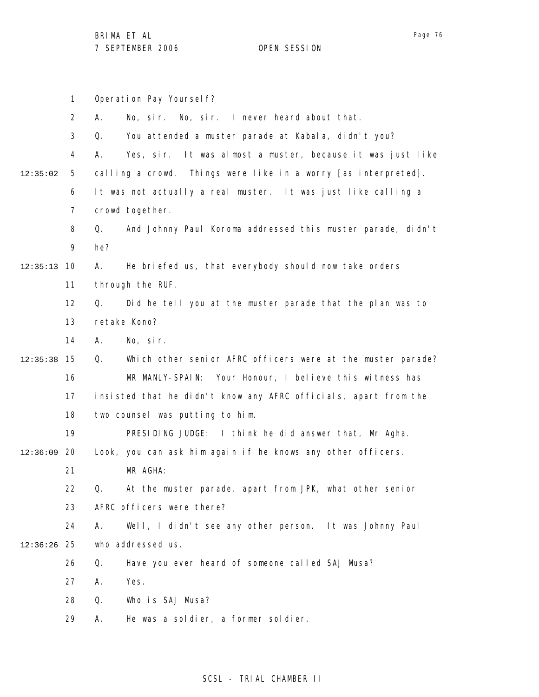1 2 3 4 5 6 7 8 9 10 12:35:13 11 12 13 14 15 12:35:38 16 17 18 19 12:36:09 20 21 22 23 24 25 12:36:26 26 27 28 29 12:35:02 Operation Pay Yourself? A. No, sir. No, sir. I never heard about that. Q. You attended a muster parade at Kabala, didn't you? A. Yes, sir. It was almost a muster, because it was just like calling a crowd. Things were like in a worry [as interpreted]. It was not actually a real muster. It was just like calling a crowd together. Q. And Johnny Paul Koroma addressed this muster parade, didn't he? A. He briefed us, that everybody should now take orders through the RUF. Q. Did he tell you at the muster parade that the plan was to retake Kono? A. No, sir. Q. Which other senior AFRC officers were at the muster parade? MR MANLY-SPAIN: Your Honour, I believe this witness has insisted that he didn't know any AFRC officials, apart from the two counsel was putting to him. PRESIDING JUDGE: I think he did answer that, Mr Agha. Look, you can ask him again if he knows any other officers. MR AGHA: Q. At the muster parade, apart from JPK, what other senior AFRC officers were there? A. Well, I didn't see any other person. It was Johnny Paul who addressed us. Q. Have you ever heard of someone called SAJ Musa? A. Yes. Q. Who is SAJ Musa? A. He was a soldier, a former soldier.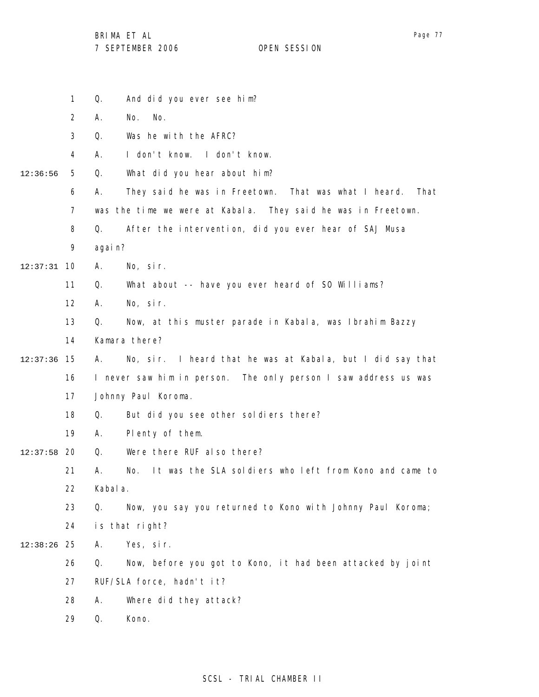BRIMA ET AL

|               | $\mathbf 1$                                                     | Q.       | And did you ever see him?                                     |
|---------------|-----------------------------------------------------------------|----------|---------------------------------------------------------------|
|               | $\overline{2}$                                                  | А.       | No.<br>No.                                                    |
|               | 3                                                               | Q.       | Was he with the AFRC?                                         |
|               | 4                                                               | А.       | I don't know. I don't know.                                   |
| 12:36:56      | 5                                                               | Q.       | What did you hear about him?                                  |
|               | 6                                                               | А.       | That<br>They said he was in Freetown. That was what I heard.  |
|               | $\overline{7}$                                                  |          | was the time we were at Kabala. They said he was in Freetown. |
|               | 8                                                               | Q.       | After the intervention, did you ever hear of SAJ Musa         |
|               | 9                                                               | agai n?  |                                                               |
| $12:37:31$ 10 |                                                                 | А.       | No, sir.                                                      |
|               | 11                                                              | Q.       | What about -- have you ever heard of SO Williams?             |
|               | $12 \overline{ }$                                               | А.       | No, sir.                                                      |
|               | 13                                                              | Q.       | Now, at this muster parade in Kabala, was Ibrahim Bazzy       |
|               | 14                                                              |          | Kamara there?                                                 |
| $12:37:36$ 15 |                                                                 | А.       | No, sir. I heard that he was at Kabala, but I did say that    |
|               | I never saw him in person. The only person I saw address us was |          |                                                               |
|               | 17                                                              |          | Johnny Paul Koroma.                                           |
|               | 18                                                              | Q.       | But did you see other soldiers there?                         |
|               | 19                                                              | А.       | Plenty of them.                                               |
| 12:37:58      | 20                                                              | Q.       | Were there RUF also there?                                    |
|               | 21                                                              | А.       | It was the SLA soldiers who left from Kono and came to<br>No. |
|               | 22                                                              | Kabal a. |                                                               |
|               | 23                                                              | Q.       | Now, you say you returned to Kono with Johnny Paul Koroma;    |
|               | 24                                                              |          | is that right?                                                |
| 12:38:26      | 25                                                              | Α.       | Yes, sir.                                                     |
|               | 26                                                              | Q.       | Now, before you got to Kono, it had been attacked by joint    |
|               | 27                                                              |          | RUF/SLA force, hadn't it?                                     |
|               | 28                                                              | Α.       | Where did they attack?                                        |
|               | 29                                                              | Q.       | Kono.                                                         |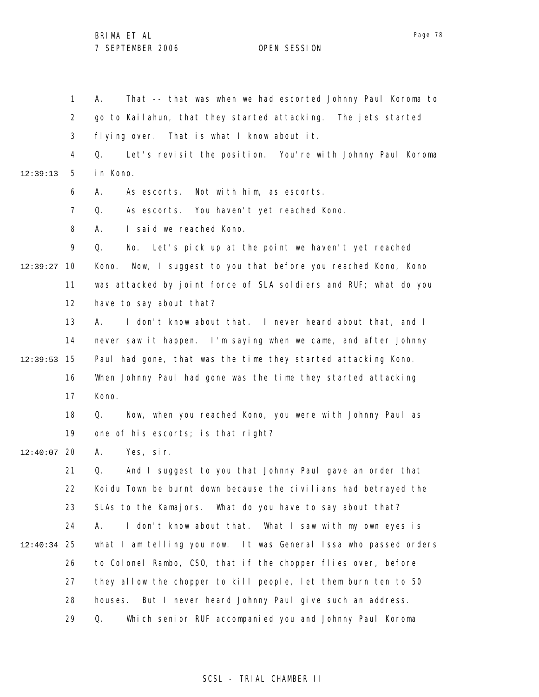1 2 3 4 5 6 7 8 9 10 12:39:27 11 12 13 14 15 12:39:53 16 17 18 19 12:40:07 20 21 22 23 24 25 12:40:34 26 27 28 29 12:39:13 A. That -- that was when we had escorted Johnny Paul Koroma to go to Kailahun, that they started attacking. The jets started flying over. That is what I know about it. Q. Let's revisit the position. You're with Johnny Paul Koroma in Kono. A. As escorts. Not with him, as escorts. Q. As escorts. You haven't yet reached Kono. A. I said we reached Kono. Q. No. Let's pick up at the point we haven't yet reached Kono. Now, I suggest to you that before you reached Kono, Kono was attacked by joint force of SLA soldiers and RUF; what do you have to say about that? A. I don't know about that. I never heard about that, and I never saw it happen. I'm saying when we came, and after Johnny Paul had gone, that was the time they started attacking Kono. When Johnny Paul had gone was the time they started attacking Kono. Q. Now, when you reached Kono, you were with Johnny Paul as one of his escorts; is that right? A. Yes, sir. Q. And I suggest to you that Johnny Paul gave an order that Koidu Town be burnt down because the civilians had betrayed the SLAs to the Kamajors. What do you have to say about that? A. I don't know about that. What I saw with my own eyes is what I am telling you now. It was General Issa who passed orders to Colonel Rambo, CSO, that if the chopper flies over, before they allow the chopper to kill people, let them burn ten to 50 houses. But I never heard Johnny Paul give such an address. Q. Which senior RUF accompanied you and Johnny Paul Koroma

#### SCSL - TRIAL CHAMBER II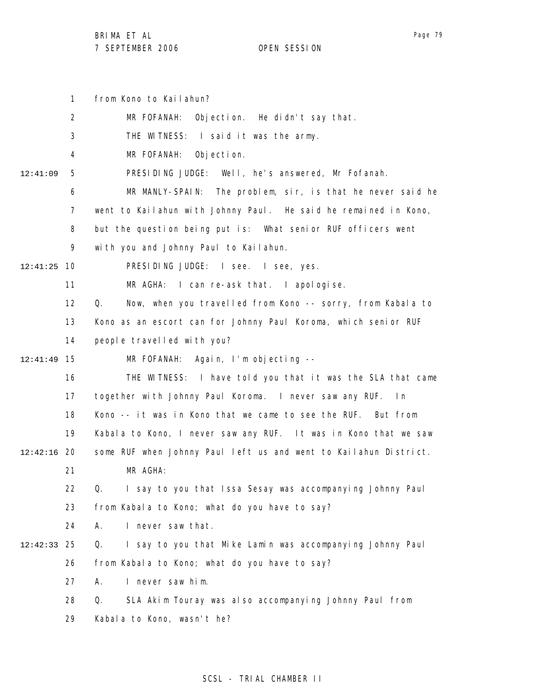1 from Kono to Kailahun?

|          | $\overline{2}$ | MR FOFANAH: Objection. He didn't say that.                       |
|----------|----------------|------------------------------------------------------------------|
|          | 3              | THE WITNESS: I said it was the army.                             |
|          | 4              | MR FOFANAH:<br>Objection.                                        |
| 12:41:09 | 5              | PRESIDING JUDGE: Well, he's answered, Mr Fofanah.                |
|          | 6              | MR MANLY-SPAIN: The problem, sir, is that he never said he       |
|          | 7              | went to Kailahun with Johnny Paul. He said he remained in Kono,  |
|          | 8              | but the question being put is: What senior RUF officers went     |
|          | 9              | with you and Johnny Paul to Kailahun.                            |
| 12:41:25 | 10             | PRESIDING JUDGE: I see. I see, yes.                              |
|          | 11             | MR AGHA: I can re-ask that. I apologise.                         |
|          | 12             | Q.<br>Now, when you travelled from Kono -- sorry, from Kabala to |
|          | 13             | Kono as an escort can for Johnny Paul Koroma, which senior RUF   |
|          | 14             | people travelled with you?                                       |
| 12:41:49 | 15             | MR FOFANAH: Again, I'm objecting --                              |
|          | 16             | THE WITNESS: I have told you that it was the SLA that came       |
|          | 17             | together with Johnny Paul Koroma. I never saw any RUF. In        |
|          | 18             | Kono -- it was in Kono that we came to see the RUF. But from     |
|          | 19             | Kabala to Kono, I never saw any RUF. It was in Kono that we saw  |
| 12:42:16 | 20             | some RUF when Johnny Paul left us and went to Kailahun District. |
|          | 21             | MR AGHA:                                                         |
|          | 22             | I say to you that Issa Sesay was accompanying Johnny Paul<br>Q.  |
|          | 23             | from Kabala to Kono; what do you have to say?                    |
|          | 24             | I never saw that.<br>А.                                          |
| 12:42:33 | 25             | I say to you that Mike Lamin was accompanying Johnny Paul<br>Q.  |
|          | 26             | from Kabala to Kono; what do you have to say?                    |
|          | 27             | I never saw him.<br>А.                                           |
|          | 28             | SLA Akim Touray was also accompanying Johnny Paul from<br>Q.     |
|          | 29             | Kabala to Kono, wasn't he?                                       |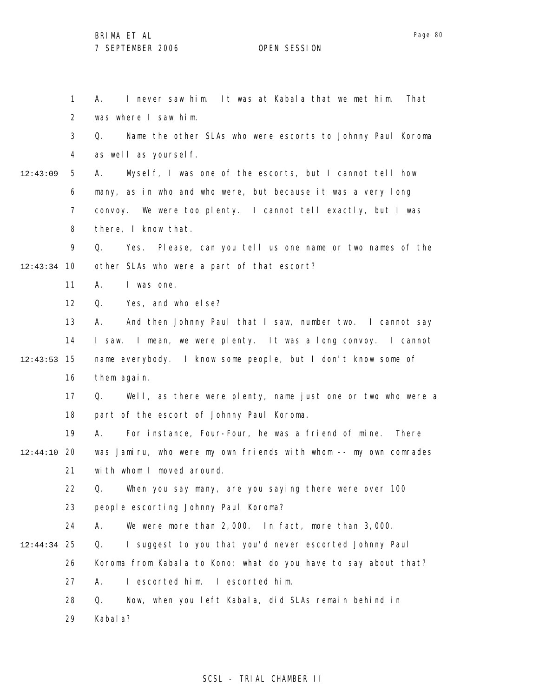1 2 3 4 5 6 7 8 9 10 12:43:34 11 12 13 14 15 12:43:53 16 17 18 19 12:44:10 20 21 22 23 24 25 12:44:34 26 27 28 29 12:43:09 A. I never saw him. It was at Kabala that we met him. That was where I saw him. Q. Name the other SLAs who were escorts to Johnny Paul Koroma as well as yourself. A. Myself, I was one of the escorts, but I cannot tell how many, as in who and who were, but because it was a very long convoy. We were too plenty. I cannot tell exactly, but I was there, I know that. Q. Yes. Please, can you tell us one name or two names of the other SLAs who were a part of that escort? A. I was one. Q. Yes, and who else? A. And then Johnny Paul that I saw, number two. I cannot say I saw. I mean, we were plenty. It was a long convoy. I cannot name everybody. I know some people, but I don't know some of them again. Q. Well, as there were plenty, name just one or two who were a part of the escort of Johnny Paul Koroma. A. For instance, Four-Four, he was a friend of mine. There was Jamiru, who were my own friends with whom -- my own comrades with whom I moved around. Q. When you say many, are you saying there were over 100 people escorting Johnny Paul Koroma? A. We were more than 2,000. In fact, more than 3,000. Q. I suggest to you that you'd never escorted Johnny Paul Koroma from Kabala to Kono; what do you have to say about that? A. I escorted him. I escorted him. Q. Now, when you left Kabala, did SLAs remain behind in Kabala?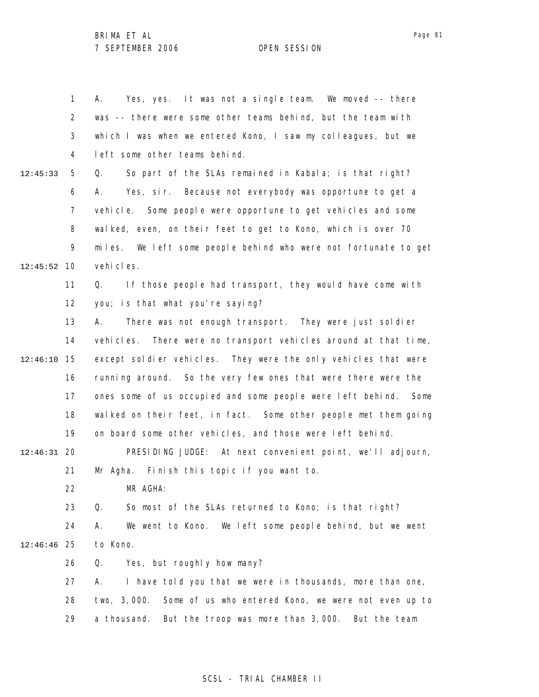1 2 3 4 5 6 7 8 9 10 12:45:52 11 12 13 14 15 12:46:10 16 17 18 19 20 12:46:31 21 22 23 24 25 12:46:46 26 27 28 29 12:45:33 A. Yes, yes. It was not a single team. We moved -- there was -- there were some other teams behind, but the team with which I was when we entered Kono, I saw my colleagues, but we left some other teams behind. Q. So part of the SLAs remained in Kabala; is that right? A. Yes, sir. Because not everybody was opportune to get a vehicle. Some people were opportune to get vehicles and some walked, even, on their feet to get to Kono, which is over 70 miles. We left some people behind who were not fortunate to get vehi cles. Q. If those people had transport, they would have come with you; is that what you're saying? A. There was not enough transport. They were just soldier vehicles. There were no transport vehicles around at that time, except soldier vehicles. They were the only vehicles that were running around. So the very few ones that were there were the ones some of us occupied and some people were left behind. Some walked on their feet, in fact. Some other people met them going on board some other vehicles, and those were left behind. PRESIDING JUDGE: At next convenient point, we'll adjourn, Mr Agha. Finish this topic if you want to. MR AGHA: Q. So most of the SLAs returned to Kono; is that right? A. We went to Kono. We left some people behind, but we went to Kono. Q. Yes, but roughly how many? A. I have told you that we were in thousands, more than one, two, 3,000. Some of us who entered Kono, we were not even up to a thousand. But the troop was more than 3,000. But the team

#### SCSL - TRIAL CHAMBER II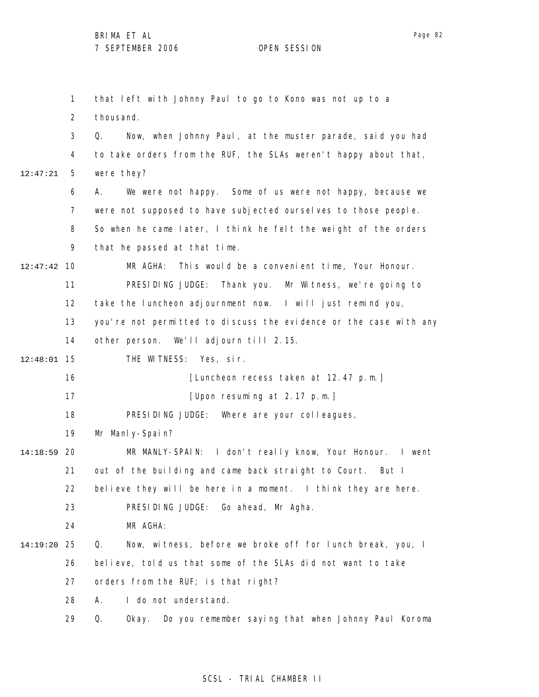1 2 3 4 5 6 7 8 9 10 12:47:42 11 12 13 14 15 12:48:01 16 17 18 19 20 14:18:59 21 22 23 24 25 14:19:20 26 27 28 29 12:47:21 that left with Johnny Paul to go to Kono was not up to a thousand. Q. Now, when Johnny Paul, at the muster parade, said you had to take orders from the RUF, the SLAs weren't happy about that, were they? A. We were not happy. Some of us were not happy, because we were not supposed to have subjected ourselves to those people. So when he came later, I think he felt the weight of the orders that he passed at that time. MR AGHA: This would be a convenient time, Your Honour. PRESIDING JUDGE: Thank you. Mr Witness, we're going to take the luncheon adjournment now. I will just remind you, you're not permitted to discuss the evidence or the case with any other person. We'll adjourn till 2.15. THE WITNESS: Yes, sir. [Luncheon recess taken at 12.47 p.m.] [Upon resuming at 2.17 p.m.] PRESIDING JUDGE: Where are your colleagues, Mr Manly-Spain? MR MANLY-SPAIN: I don't really know, Your Honour. I went out of the building and came back straight to Court. But I believe they will be here in a moment. I think they are here. PRESIDING JUDGE: Go ahead, Mr Agha. MR AGHA: Q. Now, witness, before we broke off for lunch break, you, I believe, told us that some of the SLAs did not want to take orders from the RUF; is that right? A. I do not understand. Q. Okay. Do you remember saying that when Johnny Paul Koroma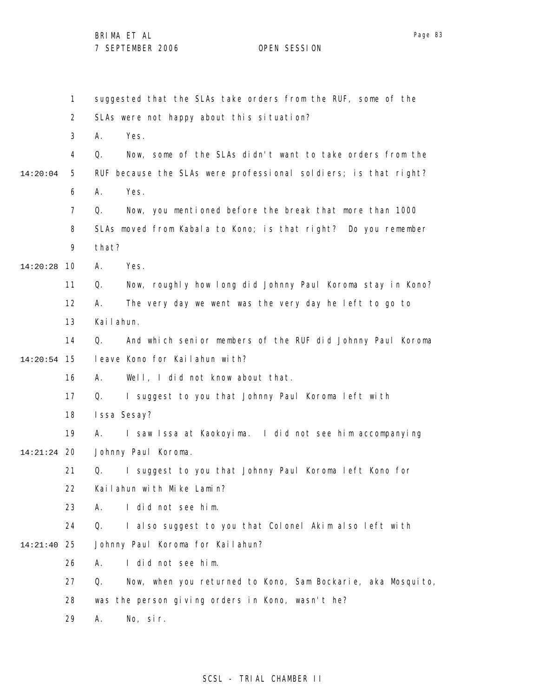1 2 3 4 5 6 7 8 9 10 14:20:28 11 12 13 14 15 14:20:54 16 17 18 19 20 14:21:24 21 22 23 24 25 14:21:40 26 27 28 29 14:20:04 suggested that the SLAs take orders from the RUF, some of the SLAs were not happy about this situation? A. Yes. Q. Now, some of the SLAs didn't want to take orders from the RUF because the SLAs were professional soldiers; is that right? A. Yes. Q. Now, you mentioned before the break that more than 1000 SLAs moved from Kabala to Kono; is that right? Do you remember that? A. Yes. Q. Now, roughly how long did Johnny Paul Koroma stay in Kono? A. The very day we went was the very day he left to go to Kailahun. Q. And which senior members of the RUF did Johnny Paul Koroma leave Kono for Kailahun with? A. Well, I did not know about that. Q. I suggest to you that Johnny Paul Koroma left with Issa Sesay? A. I saw Issa at Kaokoyima. I did not see him accompanying Johnny Paul Koroma. Q. I suggest to you that Johnny Paul Koroma left Kono for Kailahun with Mike Lamin? A. I did not see him. Q. I also suggest to you that Colonel Akim also left with Johnny Paul Koroma for Kailahun? A. I did not see him. Q. Now, when you returned to Kono, Sam Bockarie, aka Mosquito, was the person giving orders in Kono, wasn't he? A. No, sir.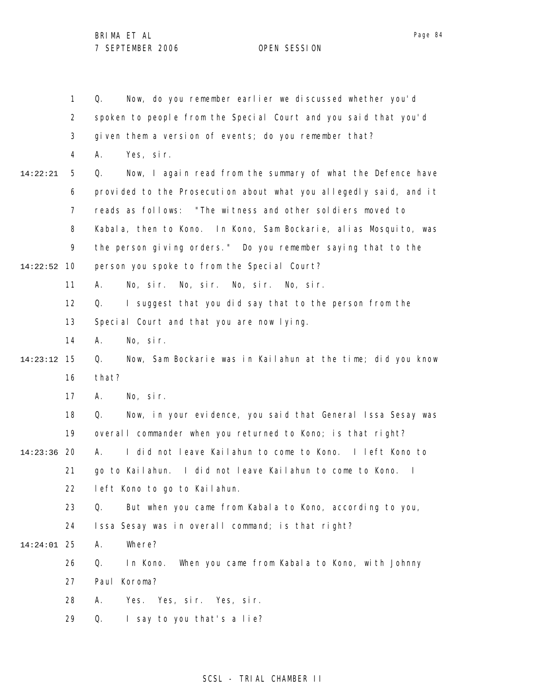|          | $\mathbf{1}$   | Now, do you remember earlier we discussed whether you'd<br>Q.     |
|----------|----------------|-------------------------------------------------------------------|
|          | $\overline{2}$ | spoken to people from the Special Court and you said that you'd   |
|          | 3              | given them a version of events; do you remember that?             |
|          | 4              | Yes, sir.<br>А.                                                   |
| 14:22:21 | 5              | Now, I again read from the summary of what the Defence have<br>Q. |
|          | 6              | provided to the Prosecution about what you allegedly said, and it |
|          | 7              | reads as follows: "The witness and other soldiers moved to        |
|          | 8              | Kabala, then to Kono. In Kono, Sam Bockarie, alias Mosquito, was  |
|          | 9              | the person giving orders." Do you remember saying that to the     |
| 14:22:52 | 10             | person you spoke to from the Special Court?                       |
|          | 11             | No, sir. No, sir. No, sir. No, sir.<br>А.                         |
|          | 12             | I suggest that you did say that to the person from the<br>Q.      |
|          | 13             | Special Court and that you are now lying.                         |
|          | 14             | No, sir.<br>А.                                                    |
| 14:23:12 | 15             | Now, Sam Bockarie was in Kailahun at the time; did you know<br>Q. |
|          | 16             | that?                                                             |
|          | 17             | No, sir.<br>А.                                                    |
|          | 18             | Now, in your evidence, you said that General Issa Sesay was<br>Q. |
|          | 19             | overall commander when you returned to Kono; is that right?       |
| 14:23:36 | 20             | I did not leave Kailahun to come to Kono. I left Kono to<br>А.    |
|          | 21             | go to Kailahun. I did not leave Kailahun to come to Kono. I       |
|          | 22             | left Kono to go to Kailahun.                                      |
|          | 23             | Q.<br>But when you came from Kabala to Kono, according to you,    |
|          | 24             | Issa Sesay was in overall command; is that right?                 |
| 14:24:01 | 25             | Where?<br>Α.                                                      |
|          | 26             | When you came from Kabala to Kono, with Johnny<br>Q.<br>In Kono.  |
|          | 27             | Paul Koroma?                                                      |
|          | 28             | А.<br>Yes. Yes, sir. Yes, sir.                                    |
|          | 29             | I say to you that's a lie?<br>Q.                                  |
|          |                |                                                                   |

## SCSL - TRIAL CHAMBER II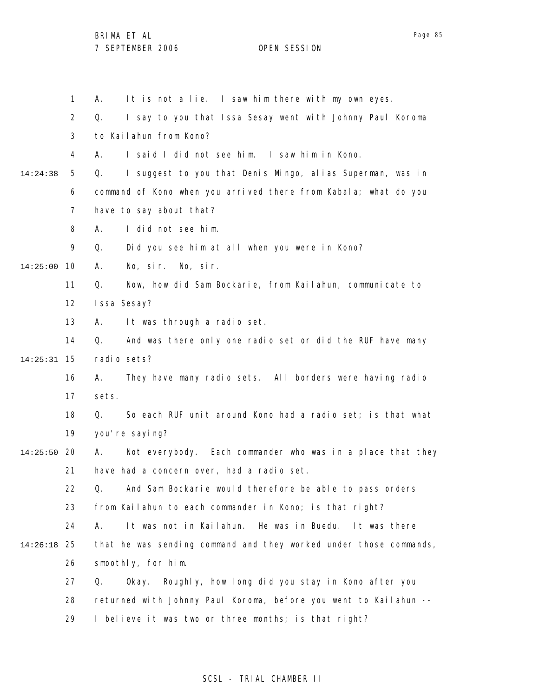1 2 3 4 5 6 7 8 9 10 14:25:00 11 12 13 14 15 14:25:31 16 17 18 19 20 14:25:50 21 22 23 24 25 14:26:18 26 27 28 29 14:24:38 A. It is not a lie. I saw him there with my own eyes. Q. I say to you that Issa Sesay went with Johnny Paul Koroma to Kailahun from Kono? A. I said I did not see him. I saw him in Kono. Q. I suggest to you that Denis Mingo, alias Superman, was in command of Kono when you arrived there from Kabala; what do you have to say about that? A. I did not see him. Q. Did you see him at all when you were in Kono? A. No, sir. No, sir. Q. Now, how did Sam Bockarie, from Kailahun, communicate to Issa Sesay? A. It was through a radio set. Q. And was there only one radio set or did the RUF have many radio sets? A. They have many radio sets. All borders were having radio sets. Q. So each RUF unit around Kono had a radio set; is that what you're saying? A. Not everybody. Each commander who was in a place that they have had a concern over, had a radio set. Q. And Sam Bockarie would therefore be able to pass orders from Kailahun to each commander in Kono; is that right? A. It was not in Kailahun. He was in Buedu. It was there that he was sending command and they worked under those commands, smoothly, for him. Q. Okay. Roughly, how long did you stay in Kono after you returned with Johnny Paul Koroma, before you went to Kailahun -- I believe it was two or three months; is that right?

## SCSL - TRIAL CHAMBER II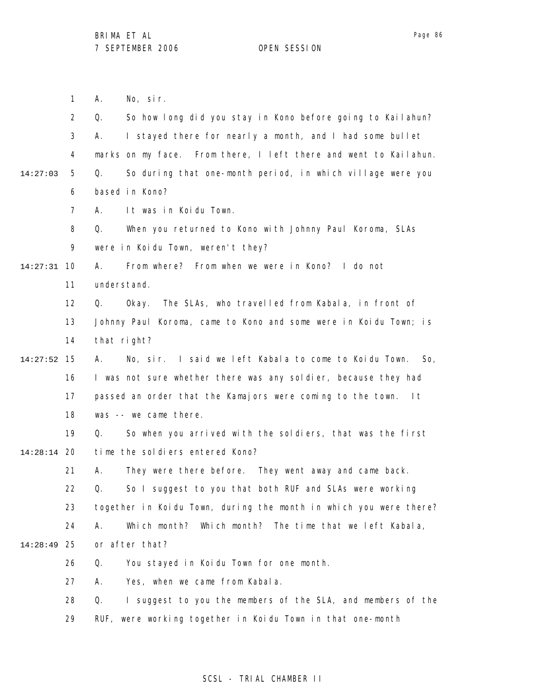1 2 3 4 5 6 7 8 9 10 14:27:31 11 12 13 14 15 14:27:52 16 17 18 19 20 14:28:14 21 22 23 24 25 14:28:49 26 27 28 29 14:27:03 A. No, sir. Q. So how long did you stay in Kono before going to Kailahun? A. I stayed there for nearly a month, and I had some bullet marks on my face. From there, I left there and went to Kailahun. Q. So during that one-month period, in which village were you based in Kono? A. It was in Koidu Town. Q. When you returned to Kono with Johnny Paul Koroma, SLAs were in Koidu Town, weren't they? A. From where? From when we were in Kono? I do not understand. Q. Okay. The SLAs, who travelled from Kabala, in front of Johnny Paul Koroma, came to Kono and some were in Koidu Town; is that right? A. No, sir. I said we left Kabala to come to Koidu Town. So, I was not sure whether there was any soldier, because they had passed an order that the Kamajors were coming to the town. It was -- we came there. Q. So when you arrived with the soldiers, that was the first time the soldiers entered Kono? A. They were there before. They went away and came back. Q. So I suggest to you that both RUF and SLAs were working together in Koidu Town, during the month in which you were there? A. Which month? Which month? The time that we left Kabala, or after that? Q. You stayed in Koidu Town for one month. A. Yes, when we came from Kabala. Q. I suggest to you the members of the SLA, and members of the RUF, were working together in Koidu Town in that one-month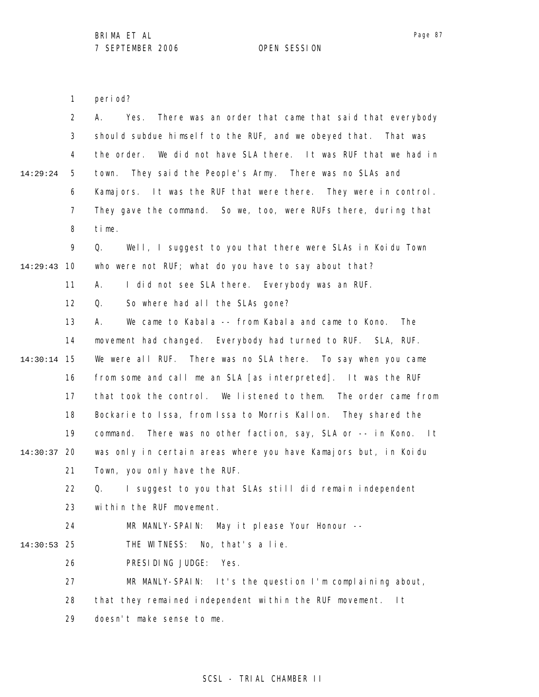1 period?

|          | $\overline{2}$ | There was an order that came that said that everybody<br>А.<br>Yes.    |
|----------|----------------|------------------------------------------------------------------------|
|          | 3              | should subdue himself to the RUF, and we obeyed that. That was         |
|          | 4              | the order. We did not have SLA there. It was RUF that we had in        |
| 14:29:24 | 5              | town. They said the People's Army. There was no SLAs and               |
|          | 6              | Kamajors. It was the RUF that were there. They were in control.        |
|          | 7              | They gave the command. So we, too, were RUFs there, during that        |
|          | 8              | time.                                                                  |
|          | 9              | Well, I suggest to you that there were SLAs in Koidu Town<br>Q.        |
| 14:29:43 | 10             | who were not RUF; what do you have to say about that?                  |
|          | 11             | I did not see SLA there. Everybody was an RUF.<br>А.                   |
|          | 12             | So where had all the SLAs gone?<br>Q.                                  |
|          | 13             | We came to Kabala -- from Kabala and came to Kono.<br><b>The</b><br>А. |
|          | 14             | movement had changed. Everybody had turned to RUF. SLA, RUF.           |
| 14:30:14 | 15             | We were all RUF. There was no SLA there. To say when you came          |
|          | 16             | from some and call me an SLA [as interpreted]. It was the RUF          |
|          | 17             | that took the control. We listened to them. The order came from        |
|          | 18             | Bockarie to Issa, from Issa to Morris Kallon. They shared the          |
|          | 19             | There was no other faction, say, SLA or -- in Kono. It<br>command.     |
| 14:30:37 | 20             | was only in certain areas where you have Kamajors but, in Koidu        |
|          | 21             | Town, you only have the RUF.                                           |
|          | 22             | I suggest to you that SLAs still did remain independent<br>Q.          |
|          | 23             | within the RUF movement.                                               |
|          | 24             | MR MANLY-SPAIN:<br>May it please Your Honour --                        |
| 14:30:53 | 25             | THE WITNESS:<br>No, that's a lie.                                      |
|          | 26             | PRESIDING JUDGE:<br>Yes.                                               |
|          | 27             | It's the question I'm complaining about,<br>MR MANLY-SPAIN:            |
|          | 28             | that they remained independent within the RUF movement.<br>l t         |
|          | 29             | doesn't make sense to me.                                              |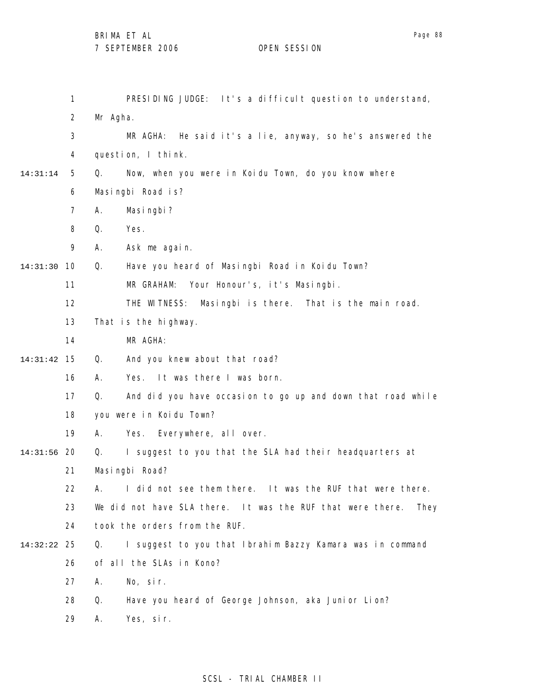BRIMA ET AL

7 SEPTEMBER 2006 OPEN SESSION

1 2 3 4 5 6 7 8 9 10 14:31:30 11 12 13 14 15 14:31:42 16 17 18 19 20 14:31:56 21 22 23 24 25 14:32:22 26 27 28 29 14:31:14 PRESIDING JUDGE: It's a difficult question to understand, Mr Agha. MR AGHA: He said it's a lie, anyway, so he's answered the question, I think. Q. Now, when you were in Koidu Town, do you know where Masingbi Road is? A. Masingbi? Q. Yes. A. Ask me again. Q. Have you heard of Masingbi Road in Koidu Town? MR GRAHAM: Your Honour's, it's Masingbi. THE WITNESS: Masingbi is there. That is the main road. That is the highway. MR AGHA: Q. And you knew about that road? A. Yes. It was there I was born. Q. And did you have occasion to go up and down that road while you were in Koidu Town? A. Yes. Everywhere, all over. Q. I suggest to you that the SLA had their headquarters at Masingbi Road? A. I did not see them there. It was the RUF that were there. We did not have SLA there. It was the RUF that were there. They took the orders from the RUF. Q. I suggest to you that Ibrahim Bazzy Kamara was in command of all the SLAs in Kono? A. No, sir. Q. Have you heard of George Johnson, aka Junior Lion? A. Yes, sir.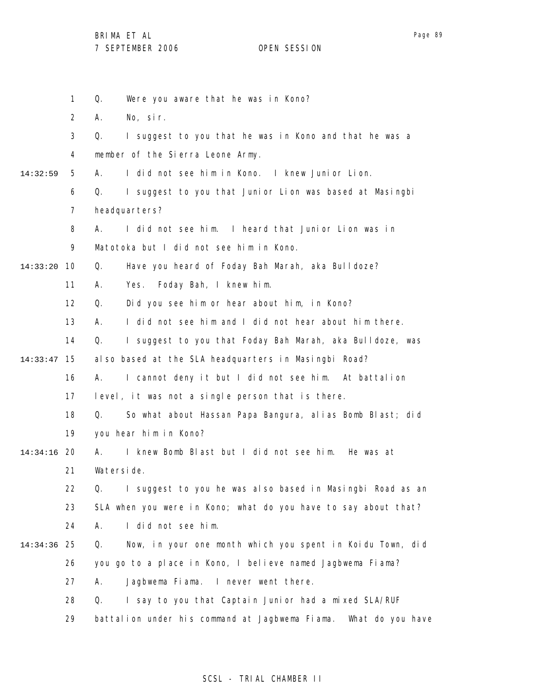|          | $\mathbf 1$ | Q.<br>Were you aware that he was in Kono?                          |
|----------|-------------|--------------------------------------------------------------------|
|          | 2           | No, sir.<br>А.                                                     |
|          | 3           | I suggest to you that he was in Kono and that he was a<br>Q.       |
|          | 4           | member of the Sierra Leone Army.                                   |
| 14:32:59 | 5           | I did not see him in Kono. I knew Junior Lion.<br>А.               |
|          | 6           | I suggest to you that Junior Lion was based at Masingbi<br>Q.      |
|          | 7           | headquarters?                                                      |
|          | 8           | I did not see him. I heard that Junior Lion was in<br>А.           |
|          | 9           | Matotoka but I did not see him in Kono.                            |
| 14:33:20 | 10          | Q.<br>Have you heard of Foday Bah Marah, aka Bulldoze?             |
|          | 11          | Foday Bah, I knew him.<br>Α.<br>Yes.                               |
|          | 12          | Did you see him or hear about him, in Kono?<br>Q.                  |
|          | 13          | I did not see him and I did not hear about him there.<br>А.        |
|          | 14          | I suggest to you that Foday Bah Marah, aka Bulldoze, was<br>Q.     |
| 14:33:47 | 15          | also based at the SLA headquarters in Masingbi Road?               |
|          | 16          | I cannot deny it but I did not see him. At battalion<br>А.         |
|          | 17          | level, it was not a single person that is there.                   |
|          | 18          | So what about Hassan Papa Bangura, alias Bomb Blast; did<br>Q.     |
|          | 19          | you hear him in Kono?                                              |
| 14:34:16 | -20         | I knew Bomb Blast but I did not see him. He was at<br>А.           |
|          | 21          | Waterside.                                                         |
|          | 22          | I suggest to you he was also based in Masingbi Road as an<br>Q.    |
|          | 23          | SLA when you were in Kono; what do you have to say about that?     |
|          | 24          | I did not see him.<br>Α.                                           |
| 14:34:36 | 25          | Q.<br>Now, in your one month which you spent in Koidu Town, did    |
|          | 26          | you go to a place in Kono, I believe named Jagbwema Fiama?         |
|          | 27          | Jagbwema Fiama. I never went there.<br>А.                          |
|          | 28          | I say to you that Captain Junior had a mixed SLA/RUF<br>Q.         |
|          | 29          | battalion under his command at Jagbwema Fiama.<br>What do you have |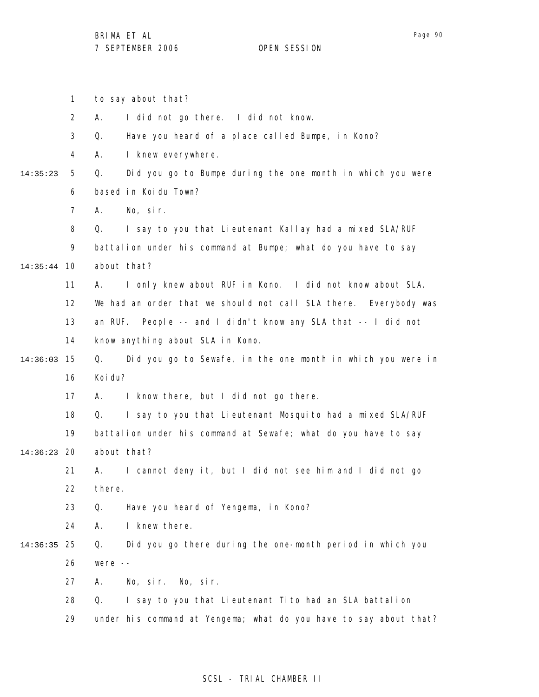to say about that?

A. I did not go there. I did not know.

1

2

|             | 3  | Have you heard of a place called Bumpe, in Kono?<br>Q.            |  |  |  |  |
|-------------|----|-------------------------------------------------------------------|--|--|--|--|
|             | 4  | I knew everywhere.<br>А.                                          |  |  |  |  |
| 14:35:23    | 5  | Did you go to Bumpe during the one month in which you were<br>Q.  |  |  |  |  |
|             | 6  | based in Koidu Town?                                              |  |  |  |  |
|             | 7  | No, sir.<br>Α.                                                    |  |  |  |  |
|             | 8  | I say to you that Lieutenant Kallay had a mixed SLA/RUF<br>Q.     |  |  |  |  |
|             | 9  | battalion under his command at Bumpe; what do you have to say     |  |  |  |  |
| 14:35:44    | 10 | about that?                                                       |  |  |  |  |
|             | 11 | I only knew about RUF in Kono. I did not know about SLA.<br>А.    |  |  |  |  |
|             | 12 | We had an order that we should not call SLA there. Everybody was  |  |  |  |  |
|             | 13 | an RUF. People -- and I didn't know any SLA that -- I did not     |  |  |  |  |
|             | 14 | know anything about SLA in Kono.                                  |  |  |  |  |
| 14:36:03    | 15 | Did you go to Sewafe, in the one month in which you were in<br>Q. |  |  |  |  |
|             | 16 | Koi du?                                                           |  |  |  |  |
|             | 17 | I know there, but I did not go there.<br>А.                       |  |  |  |  |
|             | 18 | I say to you that Lieutenant Mosquito had a mixed SLA/RUF<br>Q.   |  |  |  |  |
|             | 19 | battalion under his command at Sewafe; what do you have to say    |  |  |  |  |
| 14:36:23 20 |    | about that?                                                       |  |  |  |  |
|             | 21 | I cannot deny it, but I did not see him and I did not go<br>А.    |  |  |  |  |
|             | 22 | there.                                                            |  |  |  |  |
|             | 23 | Have you heard of Yengema, in Kono?<br>Q.                         |  |  |  |  |
|             | 24 | I knew there.<br>Α.                                               |  |  |  |  |
| 14:36:35    | 25 | Q.<br>Did you go there during the one-month period in which you   |  |  |  |  |
|             | 26 | were $--$                                                         |  |  |  |  |
|             | 27 | No, sir. No, sir.<br>А.                                           |  |  |  |  |
|             | 28 | I say to you that Lieutenant Tito had an SLA battalion<br>Q.      |  |  |  |  |
|             | 29 | under his command at Yengema; what do you have to say about that? |  |  |  |  |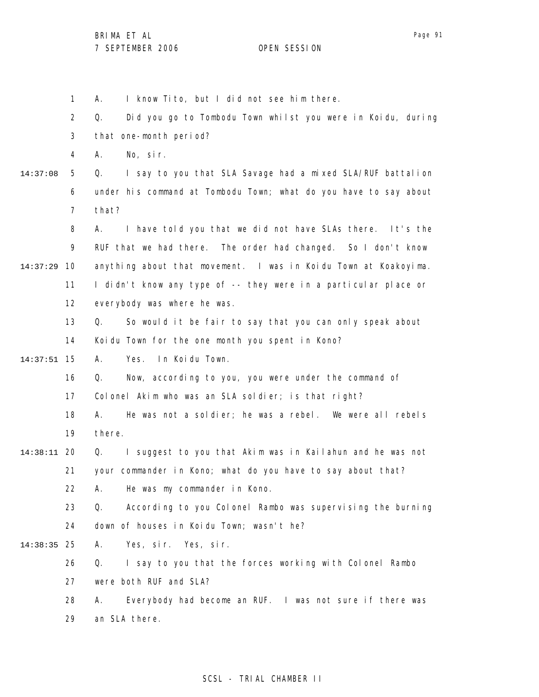1 2 3 4 5 6 7 8 9 10 14:37:29 11 12 13 14 15 14:37:51 16 17 18 19 20 14:38:11 21 22 23 24 25 14:38:35 26 27 28 29 14:37:08 A. I know Tito, but I did not see him there. Q. Did you go to Tombodu Town whilst you were in Koidu, during that one-month period? A. No, sir. Q. I say to you that SLA Savage had a mixed SLA/RUF battalion under his command at Tombodu Town; what do you have to say about that? A. I have told you that we did not have SLAs there. It's the RUF that we had there. The order had changed. So I don't know anything about that movement. I was in Koidu Town at Koakoyima. I didn't know any type of -- they were in a particular place or everybody was where he was. Q. So would it be fair to say that you can only speak about Koidu Town for the one month you spent in Kono? A. Yes. In Koidu Town. Q. Now, according to you, you were under the command of Colonel Akim who was an SLA soldier; is that right? A. He was not a soldier; he was a rebel. We were all rebels there. Q. I suggest to you that Akim was in Kailahun and he was not your commander in Kono; what do you have to say about that? A. He was my commander in Kono. Q. According to you Colonel Rambo was supervising the burning down of houses in Koidu Town; wasn't he? A. Yes, sir. Yes, sir. Q. I say to you that the forces working with Colonel Rambo were both RUF and SLA? A. Everybody had become an RUF. I was not sure if there was an SLA there.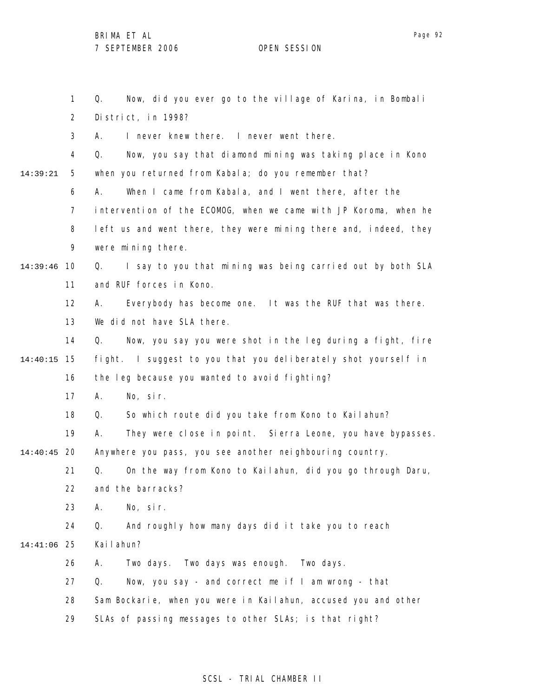1 2 3 4 5 6 7 8 9 10 14:39:46 11 12 13 14 15 14:40:15 16 17 18 19 20 14:40:45 21 22 23 24 25 14:41:06 26 27 28 29 14:39:21 Q. Now, did you ever go to the village of Karina, in Bombali District, in 1998? A. I never knew there. I never went there. Q. Now, you say that diamond mining was taking place in Kono when you returned from Kabala; do you remember that? A. When I came from Kabala, and I went there, after the intervention of the ECOMOG, when we came with JP Koroma, when he left us and went there, they were mining there and, indeed, they were mining there. Q. I say to you that mining was being carried out by both SLA and RUF forces in Kono. A. Everybody has become one. It was the RUF that was there. We did not have SLA there. Q. Now, you say you were shot in the leg during a fight, fire fight. I suggest to you that you deliberately shot yourself in the leg because you wanted to avoid fighting? A. No, sir. Q. So which route did you take from Kono to Kailahun? A. They were close in point. Sierra Leone, you have bypasses. Anywhere you pass, you see another neighbouring country. Q. On the way from Kono to Kailahun, did you go through Daru, and the barracks? A. No, sir. Q. And roughly how many days did it take you to reach Kailahun? A. Two days. Two days was enough. Two days. Q. Now, you say - and correct me if I am wrong - that Sam Bockarie, when you were in Kailahun, accused you and other SLAs of passing messages to other SLAs; is that right?

## SCSL - TRIAL CHAMBER II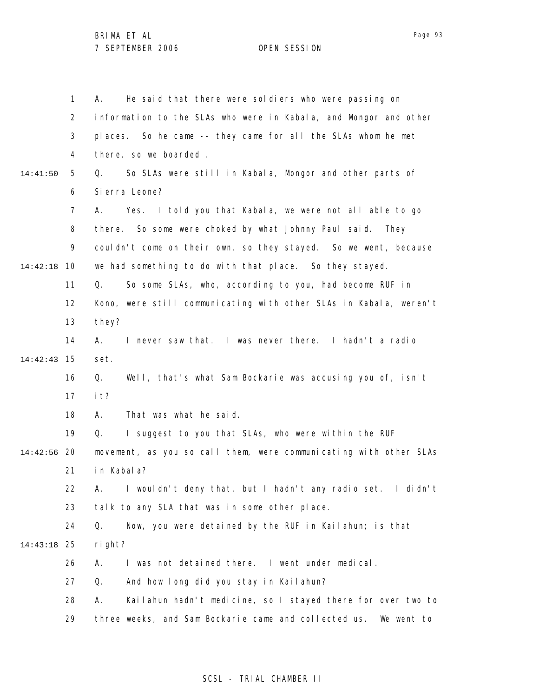1 2 3 4 5 6 7 8 9 10 14:42:18 11 12 13 14 15 14:42:43 16 17 18 19 20 14:42:56 21 22 23 24 25 14:43:18 26 27 28 29 14:41:50 A. He said that there were soldiers who were passing on information to the SLAs who were in Kabala, and Mongor and other places. So he came -- they came for all the SLAs whom he met there, so we boarded . Q. So SLAs were still in Kabala, Mongor and other parts of Sierra Leone? A. Yes. I told you that Kabala, we were not all able to go there. So some were choked by what Johnny Paul said. They couldn't come on their own, so they stayed. So we went, because we had something to do with that place. So they stayed. Q. So some SLAs, who, according to you, had become RUF in Kono, were still communicating with other SLAs in Kabala, weren't they? A. I never saw that. I was never there. I hadn't a radio set. Q. Well, that's what Sam Bockarie was accusing you of, isn't it? A. That was what he said. Q. I suggest to you that SLAs, who were within the RUF movement, as you so call them, were communicating with other SLAs in Kabala? A. I wouldn't deny that, but I hadn't any radio set. I didn't talk to any SLA that was in some other place. Q. Now, you were detained by the RUF in Kailahun; is that right? A. I was not detained there. I went under medical. Q. And how long did you stay in Kailahun? A. Kailahun hadn't medicine, so I stayed there for over two to three weeks, and Sam Bockarie came and collected us. We went to

Page 93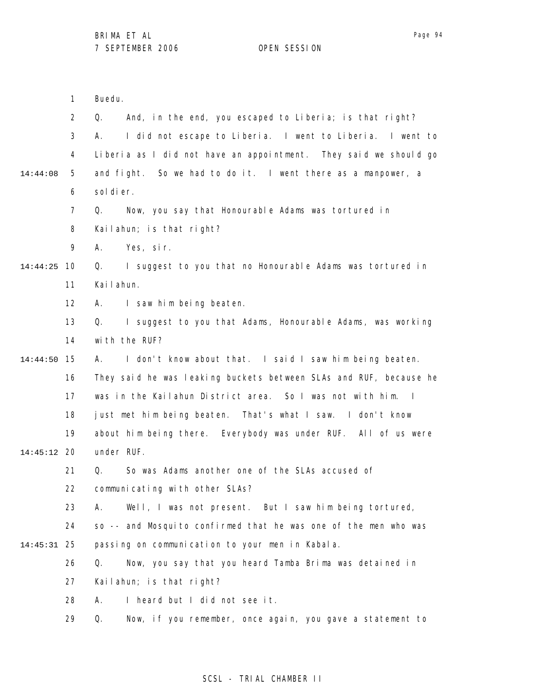|               | 1  | Buedu.                                                            |
|---------------|----|-------------------------------------------------------------------|
|               | 2  | And, in the end, you escaped to Liberia; is that right?<br>Q.     |
|               | 3  | I did not escape to Liberia. I went to Liberia. I went to<br>А.   |
|               | 4  | Liberia as I did not have an appointment. They said we should go  |
| 14:44:08      | 5  | and fight. So we had to do it. I went there as a manpower, a      |
|               | 6  | sol di er.                                                        |
|               | 7  | Now, you say that Honourable Adams was tortured in<br>Q.          |
|               | 8  | Kailahun; is that right?                                          |
|               | 9  | Yes, sir.<br>А.                                                   |
| 14:44:25      | 10 | I suggest to you that no Honourable Adams was tortured in<br>Q.   |
|               | 11 | Kailahun.                                                         |
|               | 12 | I saw him being beaten.<br>A.                                     |
|               | 13 | I suggest to you that Adams, Honourable Adams, was working<br>Q.  |
|               | 14 | with the RUF?                                                     |
| 14:44:50      | 15 | I don't know about that. I said I saw him being beaten.<br>А.     |
|               | 16 | They said he was leaking buckets between SLAs and RUF, because he |
|               | 17 | was in the Kailahun District area. So I was not with him. I       |
|               | 18 | just met him being beaten. That's what I saw. I don't know        |
|               | 19 | about him being there. Everybody was under RUF. All of us were    |
| $14:45:12$ 20 |    | under RUF.                                                        |
|               | 21 | Q.<br>So was Adams another one of the SLAs accused of             |
|               | 22 | communicating with other SLAs?                                    |
|               | 23 | Well, I was not present. But I saw him being tortured,<br>А.      |
|               | 24 | so -- and Mosquito confirmed that he was one of the men who was   |
| $14:45:31$ 25 |    | passing on communication to your men in Kabala.                   |
|               | 26 | Q.<br>Now, you say that you heard Tamba Brima was detained in     |
|               | 27 | Kailahun; is that right?                                          |
|               | 28 | I heard but I did not see it.<br>А.                               |
|               | 29 | Now, if you remember, once again, you gave a statement to<br>Q.   |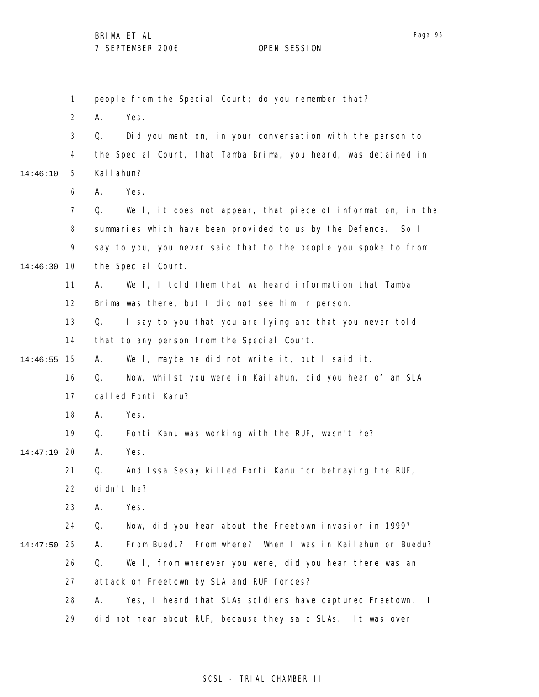1 2 3 4 5 6 7 8 9 10 14:46:30 11 12 13 14 15 14:46:55 16 17 18 19 20 14:47:19 21 22 23 24 25 14:47:50 26 27 28 29 14:46:10 people from the Special Court; do you remember that? A. Yes. Q. Did you mention, in your conversation with the person to the Special Court, that Tamba Brima, you heard, was detained in Kailahun? A. Yes. Q. Well, it does not appear, that piece of information, in the summaries which have been provided to us by the Defence. So I say to you, you never said that to the people you spoke to from the Special Court. A. Well, I told them that we heard information that Tamba Brima was there, but I did not see him in person. Q. I say to you that you are lying and that you never told that to any person from the Special Court. A. Well, maybe he did not write it, but I said it. Q. Now, whilst you were in Kailahun, did you hear of an SLA called Fonti Kanu? A. Yes. Q. Fonti Kanu was working with the RUF, wasn't he? A. Yes. Q. And Issa Sesay killed Fonti Kanu for betraying the RUF, didn't he? A. Yes. Q. Now, did you hear about the Freetown invasion in 1999? A. From Buedu? From where? When I was in Kailahun or Buedu? Q. Well, from wherever you were, did you hear there was an attack on Freetown by SLA and RUF forces? A. Yes, I heard that SLAs soldiers have captured Freetown. I did not hear about RUF, because they said SLAs. It was over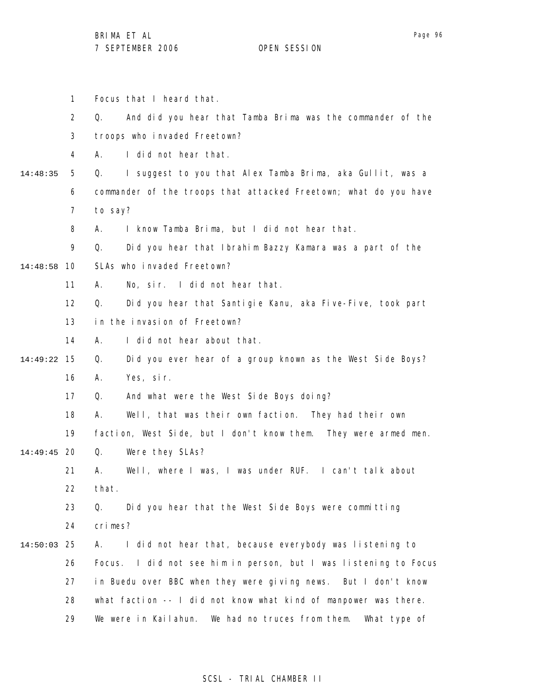|          | $\mathbf{1}$      |         | Focus that I heard that.                                         |  |  |
|----------|-------------------|---------|------------------------------------------------------------------|--|--|
|          | $\overline{2}$    | Q.      | And did you hear that Tamba Brima was the commander of the       |  |  |
|          | 3                 |         | troops who invaded Freetown?                                     |  |  |
|          | 4                 | А.      | I did not hear that.                                             |  |  |
| 14:48:35 | 5                 | Q.      | I suggest to you that Alex Tamba Brima, aka Gullit, was a        |  |  |
|          | 6                 |         | commander of the troops that attacked Freetown; what do you have |  |  |
|          | 7                 | to say? |                                                                  |  |  |
|          | 8                 | А.      | I know Tamba Brima, but I did not hear that.                     |  |  |
|          | 9                 | Q.      | Did you hear that Ibrahim Bazzy Kamara was a part of the         |  |  |
| 14:48:58 | 10                |         | SLAs who invaded Freetown?                                       |  |  |
|          | 11                | А.      | No, sir. I did not hear that.                                    |  |  |
|          | $12 \overline{ }$ | Q.      | Did you hear that Santigie Kanu, aka Five-Five, took part        |  |  |
|          | 13                |         | in the invasion of Freetown?                                     |  |  |
|          | 14                | А.      | I did not hear about that.                                       |  |  |
| 14:49:22 | 15                | Q.      | Did you ever hear of a group known as the West Side Boys?        |  |  |
|          | 16                | А.      | Yes, sir.                                                        |  |  |
|          | 17                | Q.      | And what were the West Side Boys doing?                          |  |  |
|          | 18                | А.      | Well, that was their own faction. They had their own             |  |  |
|          | 19                |         | faction, West Side, but I don't know them. They were armed men.  |  |  |
| 14:49:45 | -20               | Q.      | Were they SLAs?                                                  |  |  |
|          | 21                | А.      | Well, where I was, I was under RUF. I can't talk about           |  |  |
|          | 22                | that.   |                                                                  |  |  |
|          | 23                | Q.      | Did you hear that the West Side Boys were committing             |  |  |
|          | 24                | crimes? |                                                                  |  |  |
| 14:50:03 | -25               | А.      | I did not hear that, because everybody was listening to          |  |  |
|          | 26                |         | Focus. I did not see him in person, but I was listening to Focus |  |  |
|          | 27                |         | in Buedu over BBC when they were giving news. But I don't know   |  |  |
|          | 28                |         | what faction -- I did not know what kind of manpower was there.  |  |  |
|          | 29                |         | We were in Kailahun. We had no truces from them.<br>What type of |  |  |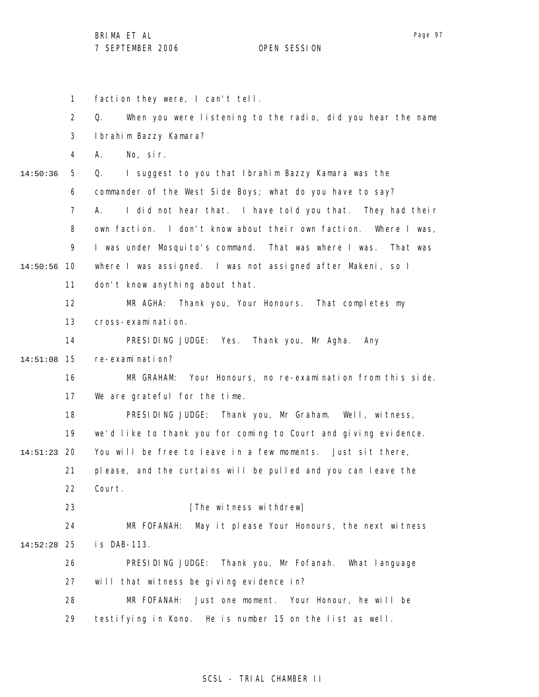1 2 3 4 5 6 7 8 9 10 14:50:56 11 12 13 14 15 14:51:08 16 17 18 19 20 14:51:23 21 22 23 24 25 14:52:28 26 27 28 29 14:50:36 faction they were, I can't tell. Q. When you were listening to the radio, did you hear the name Ibrahim Bazzy Kamara? A. No, sir. Q. I suggest to you that Ibrahim Bazzy Kamara was the commander of the West Side Boys; what do you have to say? A. I did not hear that. I have told you that. They had their own faction. I don't know about their own faction. Where I was, I was under Mosquito's command. That was where I was. That was where I was assigned. I was not assigned after Makeni, so I don't know anything about that. MR AGHA: Thank you, Your Honours. That completes my cross-examination. PRESIDING JUDGE: Yes. Thank you, Mr Agha. Any re-examination? MR GRAHAM: Your Honours, no re-examination from this side. We are grateful for the time. PRESIDING JUDGE: Thank you, Mr Graham. Well, witness, we'd like to thank you for coming to Court and giving evidence. You will be free to leave in a few moments. Just sit there, please, and the curtains will be pulled and you can leave the Court. [The witness withdrew] MR FOFANAH: May it please Your Honours, the next witness is DAB-113. PRESIDING JUDGE: Thank you, Mr Fofanah. What language will that witness be giving evidence in? MR FOFANAH: Just one moment. Your Honour, he will be testifying in Kono. He is number 15 on the list as well.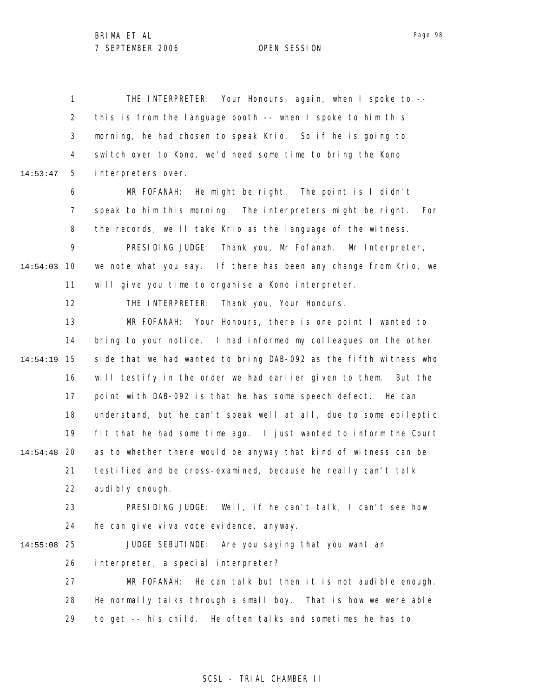1 2 3 4 5 6 7 8 9 10 14:54:03 11 12 13 14 15 14:54:19 16 17 18 19 20 14:54:48 21 22 23 24 25 14:55:08 26 27 28 29 14:53:47 THE INTERPRETER: Your Honours, again, when I spoke to - this is from the language booth -- when I spoke to him this morning, he had chosen to speak Krio. So if he is going to switch over to Kono, we'd need some time to bring the Kono interpreters over. MR FOFANAH: He might be right. The point is I didn't speak to him this morning. The interpreters might be right. For the records, we'll take Krio as the language of the witness. PRESIDING JUDGE: Thank you, Mr Fofanah. Mr Interpreter, we note what you say. If there has been any change from Krio, we will give you time to organise a Kono interpreter. THE INTERPRETER: Thank you, Your Honours. MR FOFANAH: Your Honours, there is one point I wanted to bring to your notice. I had informed my colleagues on the other side that we had wanted to bring DAB-092 as the fifth witness who will testify in the order we had earlier given to them. But the point with DAB-092 is that he has some speech defect. He can understand, but he can't speak well at all, due to some epileptic fit that he had some time ago. I just wanted to inform the Court as to whether there would be anyway that kind of witness can be testified and be cross-examined, because he really can't talk audi bl y enough. PRESIDING JUDGE: Well, if he can't talk, I can't see how he can give viva voce evidence, anyway. JUDGE SEBUTINDE: Are you saying that you want an interpreter, a special interpreter? MR FOFANAH: He can talk but then it is not audible enough. He normally talks through a small boy. That is how we were able to get -- his child. He often talks and sometimes he has to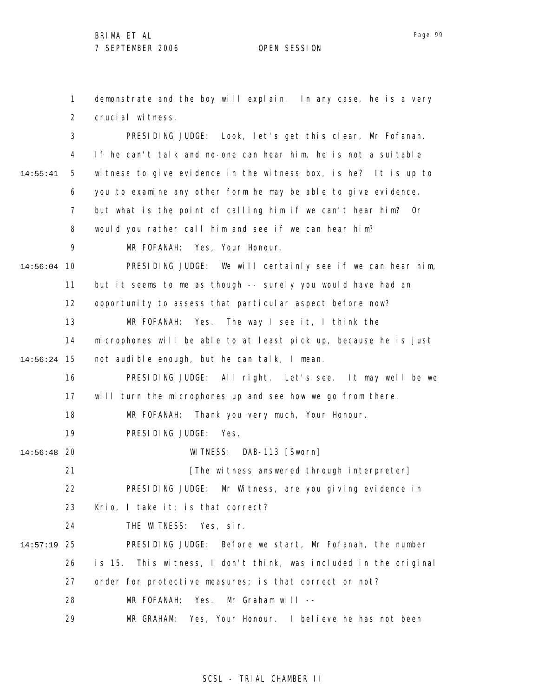1 2 3 4 5 6 7 8 9 10 14:56:04 11 12 13 14 15 14:56:24 16 17 18 19 20 14:56:48 21 22 23 24 25 14:57:19 26 27 28 29 14:55:41 demonstrate and the boy will explain. In any case, he is a very crucial witness. PRESIDING JUDGE: Look, let's get this clear, Mr Fofanah. If he can't talk and no-one can hear him, he is not a suitable witness to give evidence in the witness box, is he? It is up to you to examine any other form he may be able to give evidence, but what is the point of calling him if we can't hear him? Or would you rather call him and see if we can hear him? MR FOFANAH: Yes, Your Honour. PRESIDING JUDGE: We will certainly see if we can hear him, but it seems to me as though -- surely you would have had an opportunity to assess that particular aspect before now? MR FOFANAH: Yes. The way I see it, I think the microphones will be able to at least pick up, because he is just not audible enough, but he can talk, I mean. PRESIDING JUDGE: All right. Let's see. It may well be we will turn the microphones up and see how we go from there. MR FOFANAH: Thank you very much, Your Honour. PRESIDING JUDGE: Yes. WITNESS: DAB-113 [Sworn] [The witness answered through interpreter] PRESIDING JUDGE: Mr Witness, are you giving evidence in Krio, I take it; is that correct? THE WITNESS: Yes, sir. PRESIDING JUDGE: Before we start, Mr Fofanah, the number is 15. This witness, I don't think, was included in the original order for protective measures; is that correct or not? MR FOFANAH: Yes. Mr Graham will --MR GRAHAM: Yes, Your Honour. I believe he has not been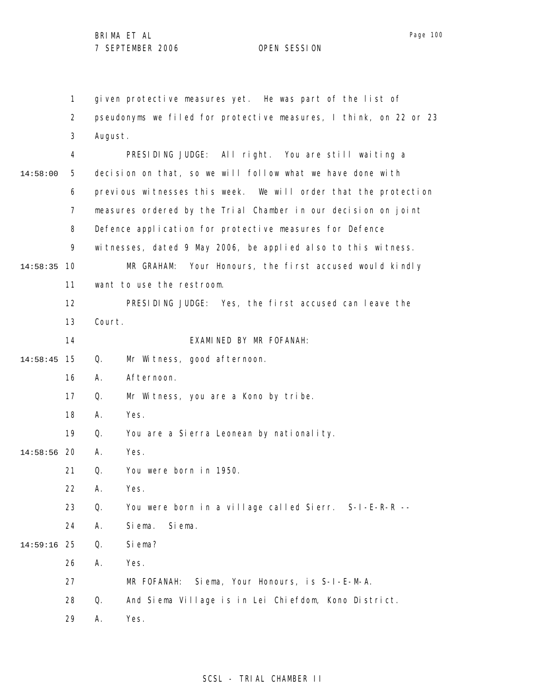1 2 3 4 5 6 7 8 9 10 14:58:35 11 12 13 14 15 14:58:45 16 17 18 19 20 14:58:56 21 22 23 24 25 14:59:16 26 27 28 29 14:58:00 given protective measures yet. He was part of the list of pseudonyms we filed for protective measures, I think, on 22 or 23 August. PRESIDING JUDGE: All right. You are still waiting a decision on that, so we will follow what we have done with previous witnesses this week. We will order that the protection measures ordered by the Trial Chamber in our decision on joint Defence application for protective measures for Defence witnesses, dated 9 May 2006, be applied also to this witness. MR GRAHAM: Your Honours, the first accused would kindly want to use the restroom. PRESIDING JUDGE: Yes, the first accused can leave the Court. EXAMINED BY MR FOFANAH: Q. Mr Witness, good afternoon. A. Afternoon. Q. Mr Witness, you are a Kono by tribe. A. Yes. Q. You are a Sierra Leonean by nationality. A. Yes. Q. You were born in 1950. A. Yes. Q. You were born in a village called Sierr. S-I-E-R-R -- A. Siema. Siema. Q. Siema? A. Yes. MR FOFANAH: Siema, Your Honours, is S-I-E-M-A. Q. And Siema Village is in Lei Chiefdom, Kono District. A. Yes.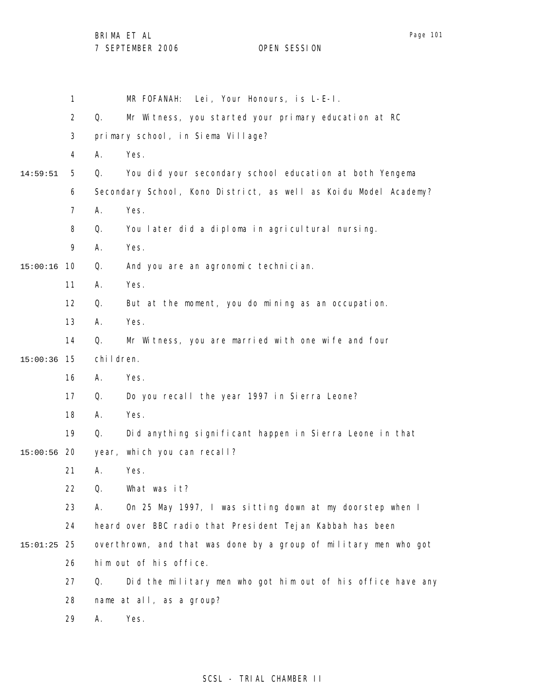BRIMA ET AL

Page 101

|          | 1              | MR FOFANAH: Lei, Your Honours, is L-E-I.                          |  |  |  |
|----------|----------------|-------------------------------------------------------------------|--|--|--|
|          | $\overline{2}$ | Q.<br>Mr Witness, you started your primary education at RC        |  |  |  |
|          | 3              | primary school, in Siema Village?                                 |  |  |  |
|          | 4              | Α.<br>Yes.                                                        |  |  |  |
| 14:59:51 | 5              | You did your secondary school education at both Yengema<br>Q.     |  |  |  |
|          | 6              | Secondary School, Kono District, as well as Koidu Model Academy?  |  |  |  |
|          | 7              | Yes.<br>А.                                                        |  |  |  |
|          | 8              | You later did a diploma in agricultural nursing.<br>Q.            |  |  |  |
|          | 9              | Yes.<br>А.                                                        |  |  |  |
| 15:00:16 | 10             | Q.<br>And you are an agronomic technician.                        |  |  |  |
|          | 11             | Yes.<br>Α.                                                        |  |  |  |
|          | 12             | Q.<br>But at the moment, you do mining as an occupation.          |  |  |  |
|          | 13             | Yes.<br>А.                                                        |  |  |  |
|          | 14             | Q.<br>Mr Witness, you are married with one wife and four          |  |  |  |
| 15:00:36 | 15             | chi I dren.                                                       |  |  |  |
|          | 16             | Yes.<br>А.                                                        |  |  |  |
|          | 17             | Do you recall the year 1997 in Sierra Leone?<br>Q.                |  |  |  |
|          | 18             | Yes.<br>А.                                                        |  |  |  |
|          | 19             | Q.<br>Did anything significant happen in Sierra Leone in that     |  |  |  |
| 15:00:56 | 20             | year, which you can recall?                                       |  |  |  |
|          | 21             | Yes.<br>Α.                                                        |  |  |  |
|          | 22             | Q.<br>What was it?                                                |  |  |  |
|          | 23             | On 25 May 1997, I was sitting down at my doorstep when I<br>А.    |  |  |  |
|          | 24             | heard over BBC radio that President Tejan Kabbah has been         |  |  |  |
| 15:01:25 | 25             | overthrown, and that was done by a group of military men who got  |  |  |  |
|          | 26             | him out of his office.                                            |  |  |  |
|          | 27             | Did the military men who got him out of his office have any<br>Q. |  |  |  |
|          | 28             | name at all, as a group?                                          |  |  |  |
|          | 29             | Yes.<br>Α.                                                        |  |  |  |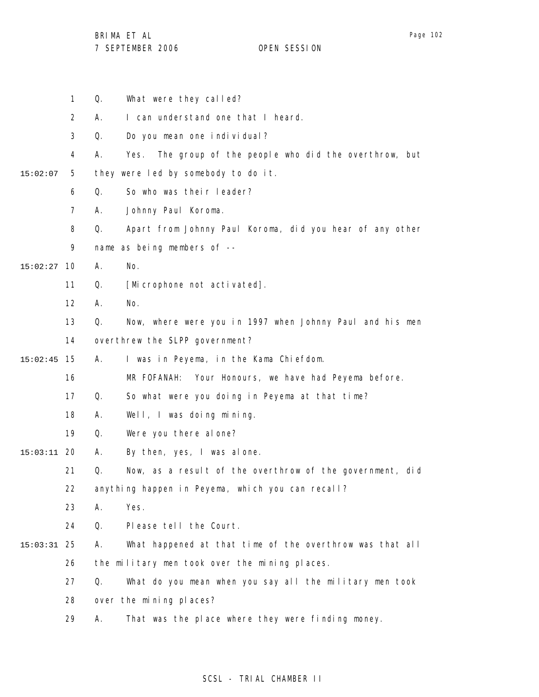|          | $\mathbf{1}$   | Q. | What were they called?                                     |
|----------|----------------|----|------------------------------------------------------------|
|          | $\overline{2}$ | А. | I can understand one that I heard.                         |
|          | 3              | Q. | Do you mean one individual?                                |
|          | 4              | А. | The group of the people who did the overthrow, but<br>Yes. |
| 15:02:07 | 5              |    | they were led by somebody to do it.                        |
|          | 6              | Q. | So who was their leader?                                   |
|          | $\overline{7}$ | А. | Johnny Paul Koroma.                                        |
|          | 8              | Q. | Apart from Johnny Paul Koroma, did you hear of any other   |
|          | 9              |    | name as being members of --                                |
| 15:02:27 | 10             | Α. | No.                                                        |
|          | 11             | Q. | [Microphone not activated].                                |
|          | 12             | А. | No.                                                        |
|          | 13             | Q. | Now, where were you in 1997 when Johnny Paul and his men   |
|          | 14             |    | overthrew the SLPP government?                             |
| 15:02:45 | 15             | А. | I was in Peyema, in the Kama Chiefdom.                     |
|          | 16             |    | MR FOFANAH: Your Honours, we have had Peyema before.       |
|          | 17             | Q. | So what were you doing in Peyema at that time?             |
|          | 18             | Α. | Well, I was doing mining.                                  |
|          | 19             | Q. | Were you there al one?                                     |
| 15:03:11 | -20            | Α. | By then, yes, I was alone.                                 |
|          | 21             | Q. | Now, as a result of the overthrow of the government, did   |
|          | 22             |    | anything happen in Peyema, which you can recall?           |
|          | 23             | Α. | Yes.                                                       |
|          | 24             | Q. | Please tell the Court.                                     |
| 15:03:31 | 25             | Α. | What happened at that time of the overthrow was that all   |
|          | 26             |    | the military men took over the mining places.              |
|          | 27             | Q. | What do you mean when you say all the military men took    |
|          | 28             |    | over the mining places?                                    |
|          | 29             | Α. | That was the place where they were finding money.          |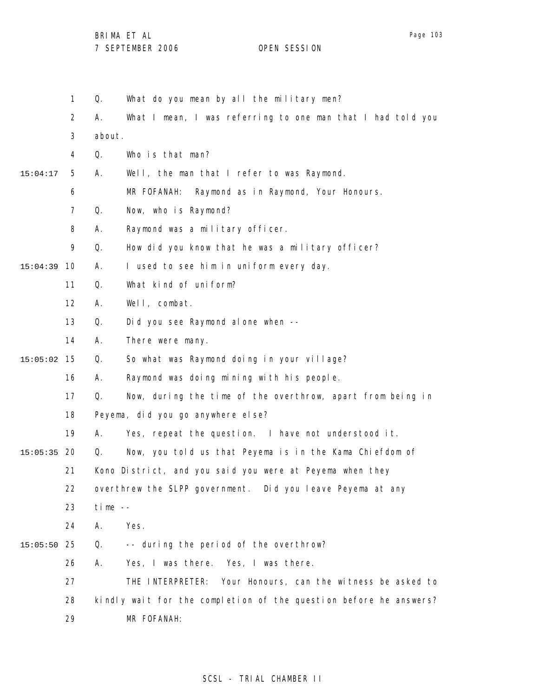BRIMA ET AL

|          | $\mathbf{1}$   | What do you mean by all the military men?                         |  |  |  |
|----------|----------------|-------------------------------------------------------------------|--|--|--|
|          | $\overline{2}$ | What I mean, I was referring to one man that I had told you<br>Α. |  |  |  |
|          | $\mathfrak{Z}$ | about.                                                            |  |  |  |
|          | 4              | Q.<br>Who is that man?                                            |  |  |  |
| 15:04:17 | 5              | Α.<br>Well, the man that I refer to was Raymond.                  |  |  |  |
|          | 6              | MR FOFANAH:<br>Raymond as in Raymond, Your Honours.               |  |  |  |
|          | $\overline{7}$ | Q.<br>Now, who is Raymond?                                        |  |  |  |
|          | 8              | Raymond was a military officer.<br>А.                             |  |  |  |
|          | 9              | How did you know that he was a military officer?<br>Q.            |  |  |  |
| 15:04:39 | 10             | I used to see him in uniform every day.<br>Α.                     |  |  |  |
|          | 11             | What kind of uniform?<br>Q.                                       |  |  |  |
|          | 12             | Well, combat.<br>А.                                               |  |  |  |
|          | 13             | Q.<br>Did you see Raymond alone when --                           |  |  |  |
|          | 14             | There were many.<br>Α.                                            |  |  |  |
| 15:05:02 | 15             | Q.<br>So what was Raymond doing in your village?                  |  |  |  |
|          | 16             | Raymond was doing mining with his people.<br>А.                   |  |  |  |
|          | 17             | Q.<br>Now, during the time of the overthrow, apart from being in  |  |  |  |
|          | 18             | Peyema, did you go anywhere else?                                 |  |  |  |
|          | 19             | Yes, repeat the question. I have not understood it.<br>А.         |  |  |  |
| 15:05:35 | -20            | Now, you told us that Peyema is in the Kama Chiefdom of<br>Q.     |  |  |  |
|          | 21             | Kono District, and you said you were at Peyema when they          |  |  |  |
|          | 22             | overthrew the SLPP government. Did you leave Peyema at any        |  |  |  |
|          | 23             | $time -$                                                          |  |  |  |
|          | 24             | А.<br>Yes.                                                        |  |  |  |
| 15:05:50 | 25             | Q.<br>-- during the period of the overthrow?                      |  |  |  |
|          | 26             | Yes, I was there. Yes, I was there.<br>А.                         |  |  |  |
|          | 27             | Your Honours, can the witness be asked to<br>THE INTERPRETER:     |  |  |  |
|          | 28             | kindly wait for the completion of the question before he answers? |  |  |  |
|          | 29             | MR FOFANAH:                                                       |  |  |  |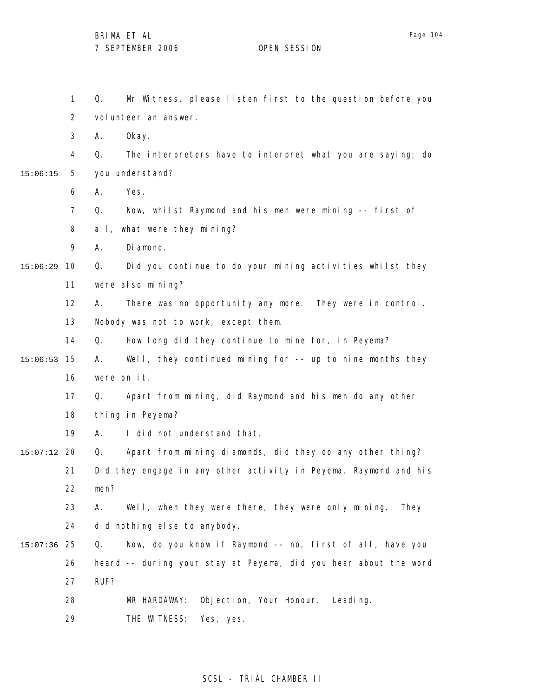1 2 3 4 5 6 7 8 9 10 15:06:29 11 12 13 14 15 15:06:53 16 17 18 19 20 15:07:12 21 22 23 24 25 15:07:36 26 27 28 29 15:06:15 Q. Mr Witness, please listen first to the question before you volunteer an answer. A. Okay. Q. The interpreters have to interpret what you are saying; do you understand? A. Yes. Q. Now, whilst Raymond and his men were mining -- first of all, what were they mining? A. Diamond. Q. Did you continue to do your mining activities whilst they were also mining? A. There was no opportunity any more. They were in control. Nobody was not to work, except them. Q. How long did they continue to mine for, in Peyema? A. Well, they continued mining for -- up to nine months they were on it. Q. Apart from mining, did Raymond and his men do any other thing in Peyema? A. I did not understand that. Q. Apart from mining diamonds, did they do any other thing? Did they engage in any other activity in Peyema, Raymond and his men? A. Well, when they were there, they were only mining. They did nothing else to anybody. Q. Now, do you know if Raymond -- no, first of all, have you heard -- during your stay at Peyema, did you hear about the word RUF? MR HARDAWAY: Objection, Your Honour. Leading. THE WITNESS: Yes, yes.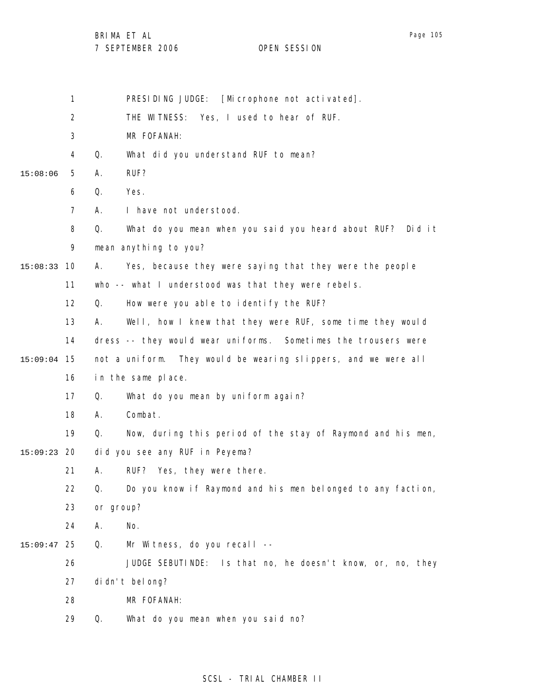BRIMA ET AL

|  | 7 JLI ILIMDLIN ZUUU |  |
|--|---------------------|--|
|  |                     |  |
|  |                     |  |
|  |                     |  |

|  | PRESIDING JUDGE: [Microphone not activated]. |
|--|----------------------------------------------|
|  |                                              |

2 THE WITNESS: Yes, I used to hear of RUF.

3 MR FOFANAH:

4 Q. What did you understand RUF to mean?

5 15:08:06 A. RUF?

6 Q. Yes.

7 A. I have not understood.

8 Q. What do you mean when you said you heard about RUF? Did it

9 mean anything to you?

10 15:08:33 A. Yes, because they were saying that they were the people

11 who -- what I understood was that they were rebels.

12 Q. How were you able to identify the RUF?

13 14 15 15:09:04 16 A. Well, how I knew that they were RUF, some time they would dress -- they would wear uniforms. Sometimes the trousers were not a uniform. They would be wearing slippers, and we were all in the same place.

> 17 Q. What do you mean by uniform again?

- 18 A. Combat.
- 19 Q. Now, during this period of the stay of Raymond and his men,

20 15:09:23 did you see any RUF in Peyema?

> 21 A. RUF? Yes, they were there.

22 Q. Do you know if Raymond and his men belonged to any faction,

- 23 or group?
- 24 A. No.
- 25 15:09:47 Q. Mr Witness, do you recall --

26 JUDGE SEBUTINDE: Is that no, he doesn't know, or, no, they

27 didn't belong?

28 MR FOFANAH:

29 Q. What do you mean when you said no?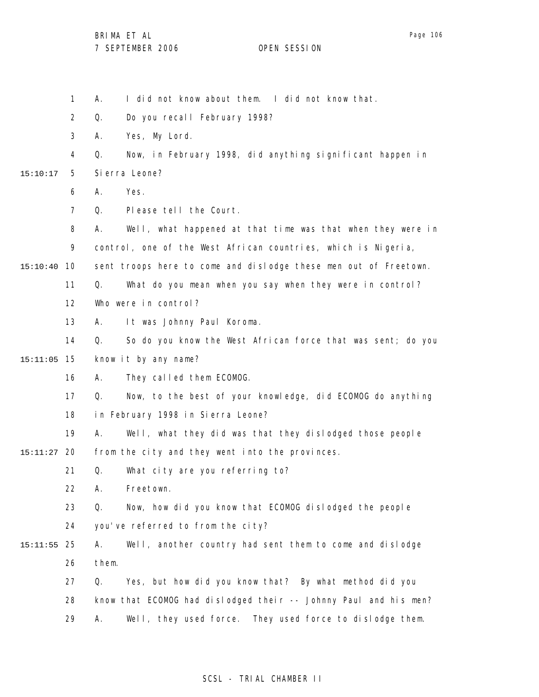1 2 3 4 5 6 7 8 9 10 15:10:40 11 12 13 14 15 15:11:05 16 17 18 19 20 15:11:27 21 22 23 24 25 15:11:55 26 27 28 29 15:10:17 A. I did not know about them. I did not know that. Q. Do you recall February 1998? A. Yes, My Lord. Q. Now, in February 1998, did anything significant happen in Sierra Leone? A. Yes. Q. Please tell the Court. A. Well, what happened at that time was that when they were in control, one of the West African countries, which is Nigeria, sent troops here to come and dislodge these men out of Freetown. Q. What do you mean when you say when they were in control? Who were in control? A. It was Johnny Paul Koroma. Q. So do you know the West African force that was sent; do you know it by any name? A. They called them ECOMOG. Q. Now, to the best of your knowledge, did ECOMOG do anything in February 1998 in Sierra Leone? A. Well, what they did was that they dislodged those people from the city and they went into the provinces. Q. What city are you referring to? A. Freetown. Q. Now, how did you know that ECOMOG dislodged the people you've referred to from the city? A. Well, another country had sent them to come and dislodge them. Q. Yes, but how did you know that? By what method did you know that ECOMOG had dislodged their -- Johnny Paul and his men? A. Well, they used force. They used force to dislodge them.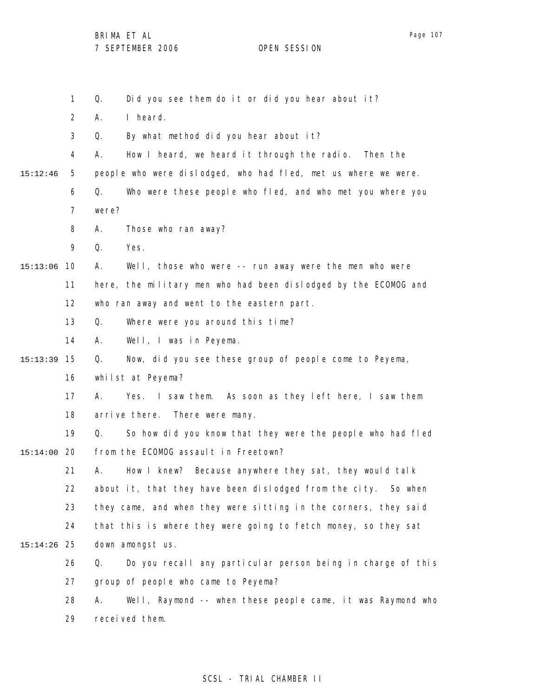|          | $\mathbf{1}$   | Did you see them do it or did you hear about it?<br>Q.            |
|----------|----------------|-------------------------------------------------------------------|
|          | $\overline{2}$ | I heard.<br>Α.                                                    |
|          | 3              | By what method did you hear about it?<br>Q.                       |
|          | 4              | How I heard, we heard it through the radio.<br>А.<br>Then the     |
| 15:12:46 | 5              | people who were dislodged, who had fled, met us where we were.    |
|          | 6              | Who were these people who fled, and who met you where you<br>Q.   |
|          | 7              | were?                                                             |
|          | 8              | Those who ran away?<br>Α.                                         |
|          | 9              | Q.<br>Yes.                                                        |
| 15:13:06 | 10             | Well, those who were -- run away were the men who were<br>Α.      |
|          | 11             | here, the military men who had been dislodged by the ECOMOG and   |
|          | 12             | who ran away and went to the eastern part.                        |
|          | 13             | Where were you around this time?<br>Q.                            |
|          | 14             | Well, I was in Peyema.<br>А.                                      |
| 15:13:39 | 15             | Now, did you see these group of people come to Peyema,<br>Q.      |
|          | 16             | whilst at Peyema?                                                 |
|          | 17             | Yes. I saw them. As soon as they left here, I saw them<br>А.      |
|          | 18             | arrive there. There were many.                                    |
|          | 19             | So how did you know that they were the people who had fled<br>Q.  |
| 15:14:00 | 20             | from the ECOMOG assault in Freetown?                              |
|          | 21             | How I knew? Because anywhere they sat, they would talk<br>Α.      |
|          | 22             | about it, that they have been dislodged from the city.<br>So when |
|          | 23             | they came, and when they were sitting in the corners, they said   |
|          | 24             | that this is where they were going to fetch money, so they sat    |
| 15:14:26 | 25             | down amongst us.                                                  |
|          | 26             | Do you recall any particular person being in charge of this<br>Q. |
|          | 27             | group of people who came to Peyema?                               |
|          | 28             | Well, Raymond -- when these people came, it was Raymond who<br>А. |
|          | 29             | received them.                                                    |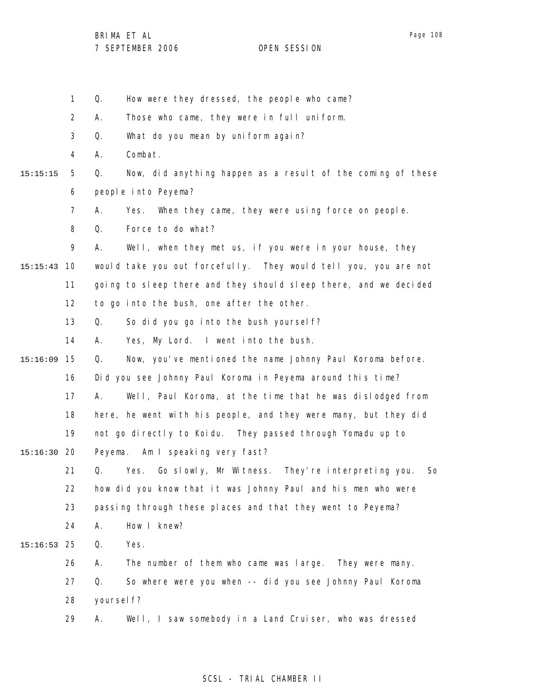1 2 3 4 5 6 7 8 9 10 15:15:43 11 12 13 14 15 15:16:09 16 17 18 19 20 15:16:30 21 22 23 24 25 15:16:53 26 27 28 29 15:15:15 Q. How were they dressed, the people who came? A. Those who came, they were in full uniform. Q. What do you mean by uniform again? A. Combat. Q. Now, did anything happen as a result of the coming of these people into Peyema? A. Yes. When they came, they were using force on people. Q. Force to do what? A. Well, when they met us, if you were in your house, they would take you out forcefully. They would tell you, you are not going to sleep there and they should sleep there, and we decided to go into the bush, one after the other. Q. So did you go into the bush yourself? A. Yes, My Lord. I went into the bush. Q. Now, you've mentioned the name Johnny Paul Koroma before. Did you see Johnny Paul Koroma in Peyema around this time? A. Well, Paul Koroma, at the time that he was dislodged from here, he went with his people, and they were many, but they did not go directly to Koidu. They passed through Yomadu up to Peyema. Am I speaking very fast? Q. Yes. Go slowly, Mr Witness. They're interpreting you. So how did you know that it was Johnny Paul and his men who were passing through these places and that they went to Peyema? A. How I knew? Q. Yes. A. The number of them who came was large. They were many. Q. So where were you when -- did you see Johnny Paul Koroma yoursel f? A. Well, I saw somebody in a Land Cruiser, who was dressed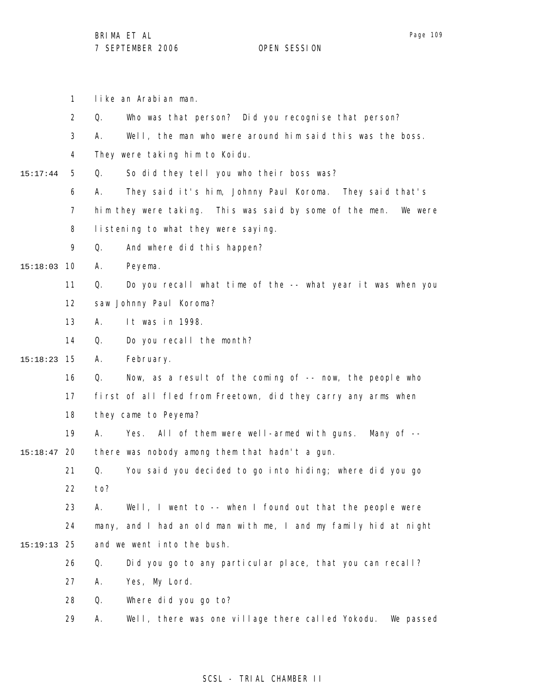1 like an Arabian man.

|          | $\overline{2}$ | Who was that person? Did you recognise that person?<br>Q.           |
|----------|----------------|---------------------------------------------------------------------|
|          | 3              | Well, the man who were around him said this was the boss.<br>А.     |
|          | 4              | They were taking him to Koidu.                                      |
| 15:17:44 | 5              | So did they tell you who their boss was?<br>Q.                      |
|          | 6              | They said it's him, Johnny Paul Koroma. They said that's<br>А.      |
|          | 7              | him they were taking. This was said by some of the men.<br>We were  |
|          | 8              | listening to what they were saying.                                 |
|          | 9              | Q.<br>And where did this happen?                                    |
| 15:18:03 | 10             | Peyema.<br>Α.                                                       |
|          | 11             | Do you recall what time of the -- what year it was when you<br>Q.   |
|          | 12             | saw Johnny Paul Koroma?                                             |
|          | 13             | It was in 1998.<br>Α.                                               |
|          | 14             | Do you recall the month?<br>Q.                                      |
| 15:18:23 | 15             | А.<br>February.                                                     |
|          | 16             | Now, as a result of the coming of -- now, the people who<br>Q.      |
|          | 17             | first of all fled from Freetown, did they carry any arms when       |
|          | 18             | they came to Peyema?                                                |
|          | 19             | Α.<br>All of them were well-armed with guns. Many of --<br>Yes.     |
| 15:18:47 | 20             | there was nobody among them that hadn't a gun.                      |
|          | 21             | Q.<br>You said you decided to go into hiding; where did you go      |
|          | 22             | to?                                                                 |
|          | 23             | Well, I went to -- when I found out that the people were<br>А.      |
|          | 24             | many, and I had an old man with me, I and my family hid at night    |
| 15:19:13 | 25             | and we went into the bush.                                          |
|          | 26             | Did you go to any particular place, that you can recall?<br>Q.      |
|          | 27             | Yes, My Lord.<br>Α.                                                 |
|          | 28             | Q.<br>Where did you go to?                                          |
|          | 29             | Well, there was one village there called Yokodu.<br>Α.<br>We passed |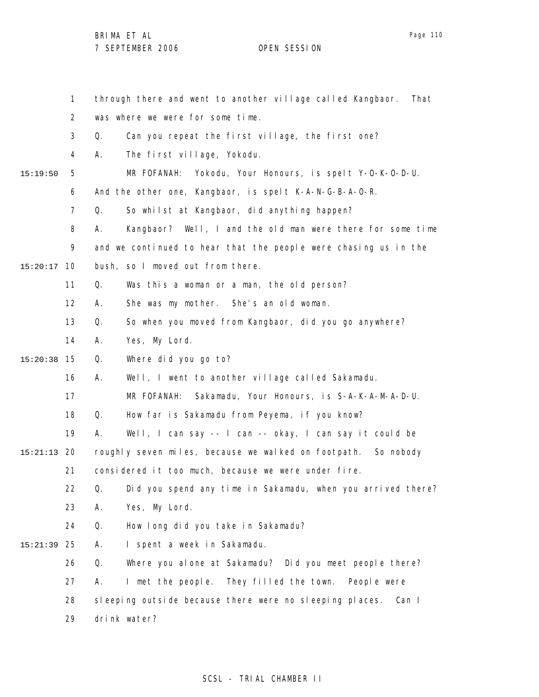1 2 3 4 5 6 7 8 9 10 15:20:17 11 12 13 14 15 15:20:38 16 17 18 19 20 15:21:13 21 22 23 24 25 15:21:39 26 27 28 29 15:19:50 through there and went to another village called Kangbaor. That was where we were for some time. Q. Can you repeat the first village, the first one? A. The first village, Yokodu. MR FOFANAH: Yokodu, Your Honours, is spelt Y-O-K-O-D-U. And the other one, Kangbaor, is spelt K-A-N-G-B-A-O-R. Q. So whilst at Kangbaor, did anything happen? A. Kangbaor? Well, I and the old man were there for some time and we continued to hear that the people were chasing us in the bush, so I moved out from there. Q. Was this a woman or a man, the old person? A. She was my mother. She's an old woman. Q. So when you moved from Kangbaor, did you go anywhere? A. Yes, My Lord. Q. Where did you go to? A. Well, I went to another village called Sakamadu. MR FOFANAH: Sakamadu, Your Honours, is S-A-K-A-M-A-D-U. Q. How far is Sakamadu from Peyema, if you know? A. Well, I can say -- I can -- okay, I can say it could be roughly seven miles, because we walked on footpath. So nobody considered it too much, because we were under fire. Q. Did you spend any time in Sakamadu, when you arrived there? A. Yes, My Lord. Q. How long did you take in Sakamadu? A. I spent a week in Sakamadu. Q. Where you alone at Sakamadu? Did you meet people there? A. I met the people. They filled the town. People were sleeping outside because there were no sleeping places. Can I drink water?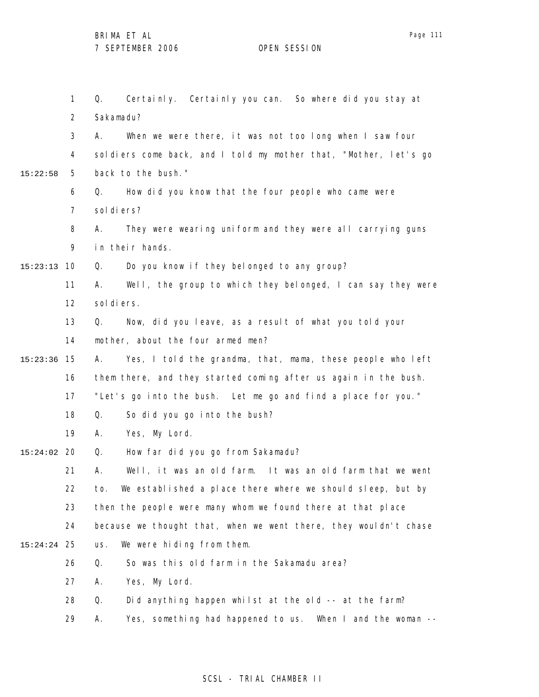1 2 3 4 5 6 7 8 9 10 15:23:13 11 12 13 14 15 15:23:36 16 17 18 19 20 15:24:02 21 22 23 24 25 15:24:24 26 27 28 29 15:22:58 Q. Certainly. Certainly you can. So where did you stay at Sakamadu? A. When we were there, it was not too long when I saw four soldiers come back, and I told my mother that, "Mother, let's go back to the bush." Q. How did you know that the four people who came were sol di ers? A. They were wearing uniform and they were all carrying guns in their hands. Q. Do you know if they belonged to any group? A. Well, the group to which they belonged, I can say they were sol di ers. Q. Now, did you leave, as a result of what you told your mother, about the four armed men? A. Yes, I told the grandma, that, mama, these people who left them there, and they started coming after us again in the bush. "Let's go into the bush. Let me go and find a place for you." Q. So did you go into the bush? A. Yes, My Lord. Q. How far did you go from Sakamadu? A. Well, it was an old farm. It was an old farm that we went to. We established a place there where we should sleep, but by then the people were many whom we found there at that place because we thought that, when we went there, they wouldn't chase us. We were hiding from them. Q. So was this old farm in the Sakamadu area? A. Yes, My Lord. Q. Did anything happen whilst at the old -- at the farm? A. Yes, something had happened to us. When I and the woman --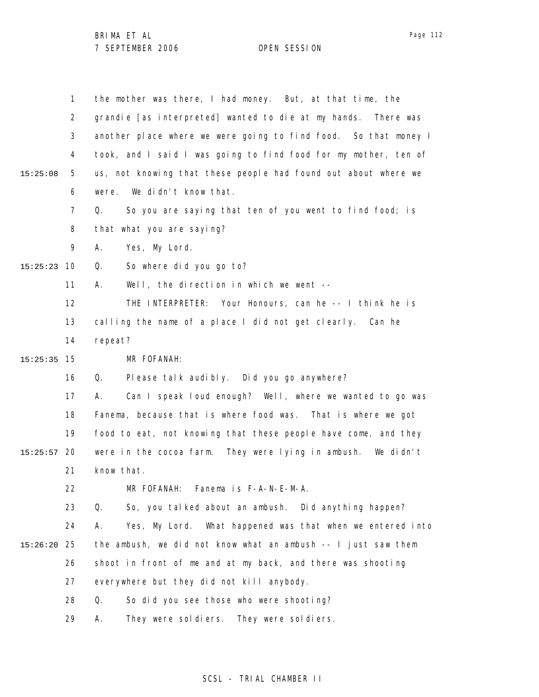|          | $\mathbf{1}$ | the mother was there, I had money. But, at that time, the        |
|----------|--------------|------------------------------------------------------------------|
|          | 2            | grandie [as interpreted] wanted to die at my hands. There was    |
|          | 3            | another place where we were going to find food. So that money I  |
|          | 4            | took, and I said I was going to find food for my mother, ten of  |
| 15:25:08 | 5            | us, not knowing that these people had found out about where we   |
|          | 6            | We didn't know that.<br>were.                                    |
|          | 7            | So you are saying that ten of you went to find food; is<br>Q.    |
|          | 8            | that what you are saying?                                        |
|          | 9            | Yes, My Lord.<br>А.                                              |
| 15:25:23 | 10           | So where did you go to?<br>Q.                                    |
|          | 11           | Well, the direction in which we went --<br>А.                    |
|          | 12           | THE INTERPRETER: Your Honours, can he -- I think he is           |
|          | 13           | calling the name of a place I did not get clearly. Can he        |
|          | 14           | repeat?                                                          |
| 15:25:35 | 15           | MR FOFANAH:                                                      |
|          | 16           | Please talk audibly. Did you go anywhere?<br>Q.                  |
|          | 17           | Can I speak loud enough? Well, where we wanted to go was<br>А.   |
|          | 18           | Fanema, because that is where food was. That is where we got     |
|          | 19           | food to eat, not knowing that these people have come, and they   |
| 15:25:57 | 20           | were in the cocoa farm. They were lying in ambush. We didn't     |
|          | 21           | know that.                                                       |
|          | 22           | MR FOFANAH: Fanema is F-A-N-E-M-A.                               |
|          | 23           | Q.<br>So, you talked about an ambush. Did anything happen?       |
|          | 24           | Α.<br>Yes, My Lord. What happened was that when we entered into  |
| 15:26:20 | 25           | the ambush, we did not know what an ambush $- - 1$ just saw them |
|          | 26           | shoot in front of me and at my back, and there was shooting      |
|          | 27           | everywhere but they did not kill anybody.                        |
|          | 28           | Q.<br>So did you see those who were shooting?                    |
|          | 29           | They were soldiers. They were soldiers.<br>Α.                    |

## SCSL - TRIAL CHAMBER II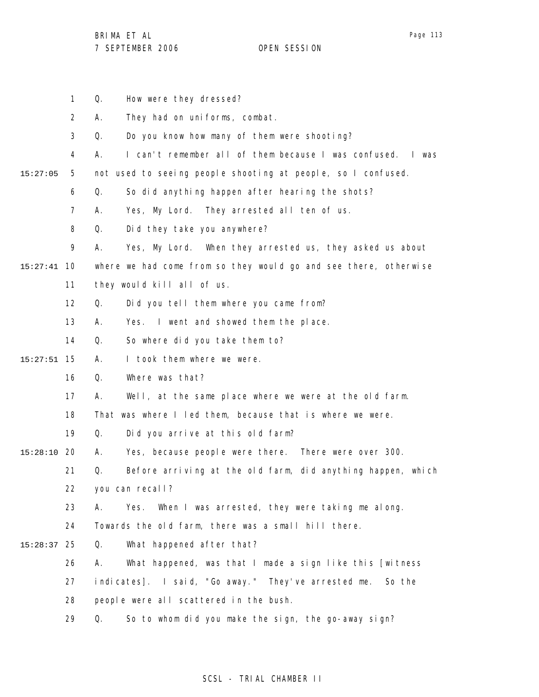Page 113

BRIMA ET AL 7 SEPTEMBER 2006 OPEN SESSION

1 Q. How were they dressed?

|               | $\overline{2}$ | А.              | They had on uniforms, combat.                                    |
|---------------|----------------|-----------------|------------------------------------------------------------------|
|               | 3              | Q.              | Do you know how many of them were shooting?                      |
|               | 4              | А.              | I can't remember all of them because I was confused. I was       |
| 15:27:05      | 5              |                 | not used to seeing people shooting at people, so I confused.     |
|               | 6              | Q.              | So did anything happen after hearing the shots?                  |
|               | 7              | А.              | Yes, My Lord. They arrested all ten of us.                       |
|               | 8              | Q.              | Did they take you anywhere?                                      |
|               | 9              | А.              | Yes, My Lord. When they arrested us, they asked us about         |
| $15:27:41$ 10 |                |                 | where we had come from so they would go and see there, otherwise |
|               | 11             |                 | they would kill all of us.                                       |
|               | 12             | Q.              | Did you tell them where you came from?                           |
|               | 13             | А.              | Yes. I went and showed them the place.                           |
|               | 14             | Q.              | So where did you take them to?                                   |
| $15:27:51$ 15 |                | А.              | I took them where we were.                                       |
|               | 16             | Q.              | Where was that?                                                  |
|               | 17             | А.              | Well, at the same place where we were at the old farm.           |
|               | 18             |                 | That was where I led them, because that is where we were.        |
|               | 19             | Q.              | Did you arrive at this old farm?                                 |
| 15:28:10      | -20            | А.              | Yes, because people were there. There were over 300.             |
|               | 21             | Q.              | Before arriving at the old farm, did anything happen, which      |
|               | 22             | you can recall? |                                                                  |
|               | 23             | А.              | When I was arrested, they were taking me along.<br>Yes.          |
|               | 24             |                 | Towards the old farm, there was a small hill there.              |
| 15:28:37      | 25             | Q.              | What happened after that?                                        |
|               | 26             | А.              | What happened, was that I made a sign like this [witness         |
|               | 27             |                 | indicates]. I said, "Go away." They've arrested me. So the       |
|               | 28             |                 | people were all scattered in the bush.                           |
|               | 29             | Q.              | So to whom did you make the sign, the go-away sign?              |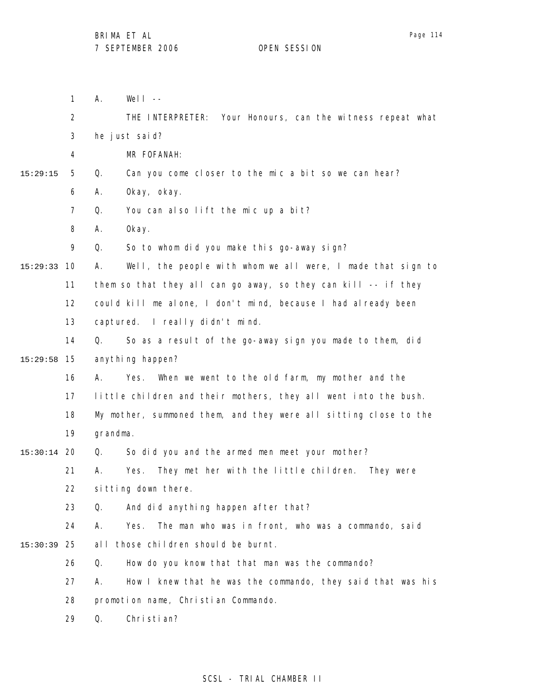1 2 3 4 5 6 7 8 9 10 15:29:33 11 12 13 14 15 15:29:58 16 17 18 19 20 15:30:14 21 22 23 24 25 15:30:39 26 27 28 29 15:29:15  $A.$  Well  $-$ THE INTERPRETER: Your Honours, can the witness repeat what he just said? MR FOFANAH: Q. Can you come closer to the mic a bit so we can hear? A. Okay, okay. Q. You can also lift the mic up a bit? A. Okay. Q. So to whom did you make this go-away sign? A. Well, the people with whom we all were, I made that sign to them so that they all can go away, so they can kill -- if they could kill me alone, I don't mind, because I had already been captured. I really didn't mind. Q. So as a result of the go-away sign you made to them, did anything happen? A. Yes. When we went to the old farm, my mother and the little children and their mothers, they all went into the bush. My mother, summoned them, and they were all sitting close to the grandma. Q. So did you and the armed men meet your mother? A. Yes. They met her with the little children. They were sitting down there. Q. And did anything happen after that? A. Yes. The man who was in front, who was a commando, said all those children should be burnt. Q. How do you know that that man was the commando? A. How I knew that he was the commando, they said that was his promotion name, Christian Commando. Q. Christian?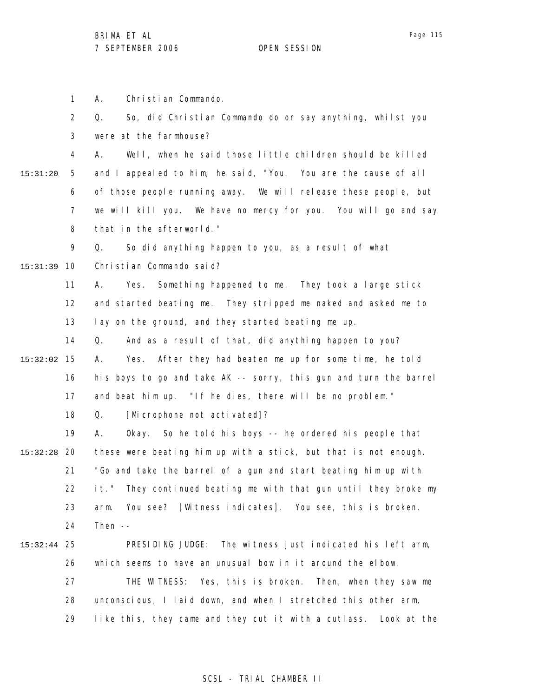1 A. Christian Commando.

|          | $\overline{2}$ | So, did Christian Commando do or say anything, whilst you<br>Q.     |
|----------|----------------|---------------------------------------------------------------------|
|          | 3              | were at the farmhouse?                                              |
|          | 4              | Well, when he said those little children should be killed<br>А.     |
| 15:31:20 | 5              | and I appealed to him, he said, "You. You are the cause of all      |
|          | 6              | of those people running away. We will release these people, but     |
|          | $\overline{7}$ | we will kill you. We have no mercy for you. You will go and say     |
|          | 8              | that in the afterworld."                                            |
|          | 9              | So did anything happen to you, as a result of what<br>Q.            |
| 15:31:39 | 10             | Christian Commando said?                                            |
|          | 11             | Something happened to me. They took a large stick<br>Yes.<br>А.     |
|          | 12             | and started beating me. They stripped me naked and asked me to      |
|          | 13             | lay on the ground, and they started beating me up.                  |
|          | 14             | And as a result of that, did anything happen to you?<br>Q.          |
| 15:32:02 | 15             | Yes. After they had beaten me up for some time, he told<br>А.       |
|          | 16             | his boys to go and take AK -- sorry, this gun and turn the barrel   |
|          | 17             | and beat him up. "If he dies, there will be no problem."            |
|          | 18             | [Microphone not activated]?<br>Q.                                   |
|          | 19             | Okay. So he told his boys -- he ordered his people that<br>А.       |
| 15:32:28 | 20             | these were beating him up with a stick, but that is not enough.     |
|          | 21             | "Go and take the barrel of a gun and start beating him up with      |
|          | 22             | They continued beating me with that gun until they broke my<br>it." |
|          | 23             | You see? [Witness indicates]. You see, this is broken.<br>arm.      |
|          | 24             | Then $--$                                                           |
| 15:32:44 | 25             | PRESIDING JUDGE:<br>The witness just indicated his left arm,        |
|          | 26             | which seems to have an unusual bow in it around the elbow.          |
|          | 27             | THE WITNESS: Yes, this is broken. Then, when they saw me            |
|          | 28             | unconscious, I laid down, and when I stretched this other arm,      |
|          | 29             | like this, they came and they cut it with a cutlass. Look at the    |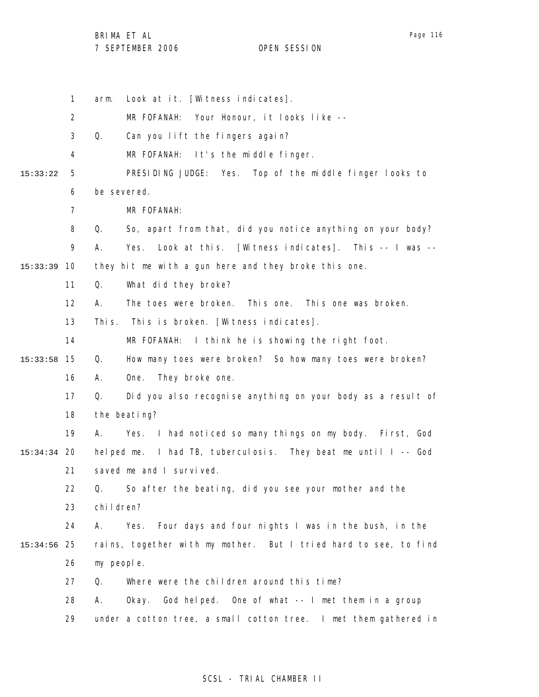BRIMA ET AL

7 SEPTEMBER 2006 OPEN SESSION

1 2 3 4 5 6 7 8 9 10 15:33:39 11 12 13 14 15 15:33:58 16 17 18 19 20 15:34:34 21 22 23 24 25 15:34:56 26 27 28 29 15:33:22 arm. Look at it. [Witness indicates]. MR FOFANAH: Your Honour, it looks like -- Q. Can you lift the fingers again? MR FOFANAH: It's the middle finger. PRESIDING JUDGE: Yes. Top of the middle finger looks to be severed. MR FOFANAH: Q. So, apart from that, did you notice anything on your body? A. Yes. Look at this. [Witness indicates]. This -- I was - they hit me with a gun here and they broke this one. Q. What did they broke? A. The toes were broken. This one. This one was broken. This. This is broken. [Witness indicates]. MR FOFANAH: I think he is showing the right foot. Q. How many toes were broken? So how many toes were broken? A. One. They broke one. Q. Did you also recognise anything on your body as a result of the beating? A. Yes. I had noticed so many things on my body. First, God helped me. I had TB, tuberculosis. They beat me until I -- God saved me and I survived. Q. So after the beating, did you see your mother and the children? A. Yes. Four days and four nights I was in the bush, in the rains, together with my mother. But I tried hard to see, to find my people. Q. Where were the children around this time? A. Okay. God helped. One of what -- I met them in a group under a cotton tree, a small cotton tree. I met them gathered in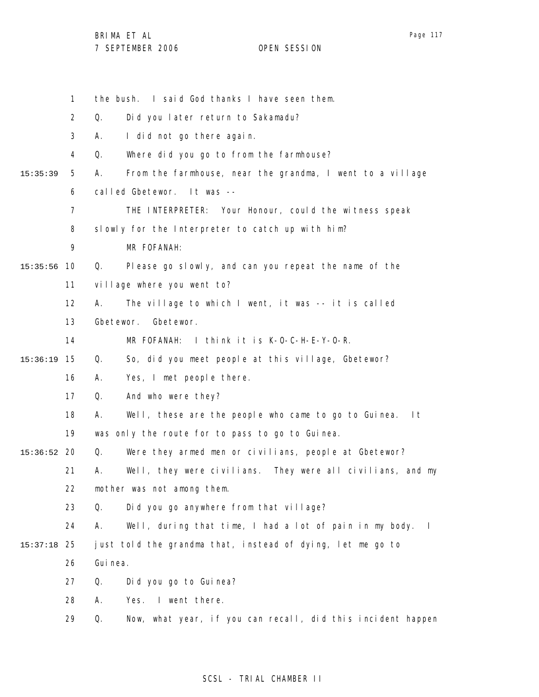Page 117

|               | $\mathbf{1}$   |           | the bush. I said God thanks I have seen them.                           |
|---------------|----------------|-----------|-------------------------------------------------------------------------|
|               | 2              | Q.        | Did you later return to Sakamadu?                                       |
|               | 3              | А.        | I did not go there again.                                               |
|               | 4              | Q.        | Where did you go to from the farmhouse?                                 |
| 15:35:39      | 5              | А.        | From the farmhouse, near the grandma, I went to a village               |
|               | 6              |           | called Gbetewor.<br>It was --                                           |
|               | $\overline{7}$ |           | THE INTERPRETER: Your Honour, could the witness speak                   |
|               | 8              |           | slowly for the Interpreter to catch up with him?                        |
|               | 9              |           | MR FOFANAH:                                                             |
| 15:35:56      | 10             | Q.        | Please go slowly, and can you repeat the name of the                    |
|               | 11             |           | village where you went to?                                              |
|               | 12             | А.        | The village to which I went, it was -- it is called                     |
|               | 13             | Gbetewor. | Gbetewor.                                                               |
|               | 14             |           | MR FOFANAH:<br>I think it is K-O-C-H-E-Y-O-R.                           |
| 15:36:19      | 15             | Q.        | So, did you meet people at this village, Gbetewor?                      |
|               | 16             | Α.        | Yes, I met people there.                                                |
|               | 17             | Q.        | And who were they?                                                      |
|               | 18             | А.        | Well, these are the people who came to go to Guinea.<br>l t             |
|               | 19             |           | was only the route for to pass to go to Guinea.                         |
| $15:36:52$ 20 |                | Q.        | Were they armed men or civilians, people at Gbetewor?                   |
|               | 21             | А.        | Well, they were civilians. They were all civilians, and my              |
|               | 22             |           | mother was not among them.                                              |
|               | 23             | Q.        | Did you go anywhere from that village?                                  |
|               | 24             | Α.        | Well, during that time, I had a lot of pain in my body.<br>$\mathbf{I}$ |
| 15:37:18      | 25             |           | just told the grandma that, instead of dying, let me go to              |
|               | 26             | Gui nea.  |                                                                         |
|               | 27             | Q.        | Did you go to Guinea?                                                   |
|               | 28             | А.        | Yes.<br>I went there.                                                   |
|               | 29             | Q.        | Now, what year, if you can recall, did this incident happen             |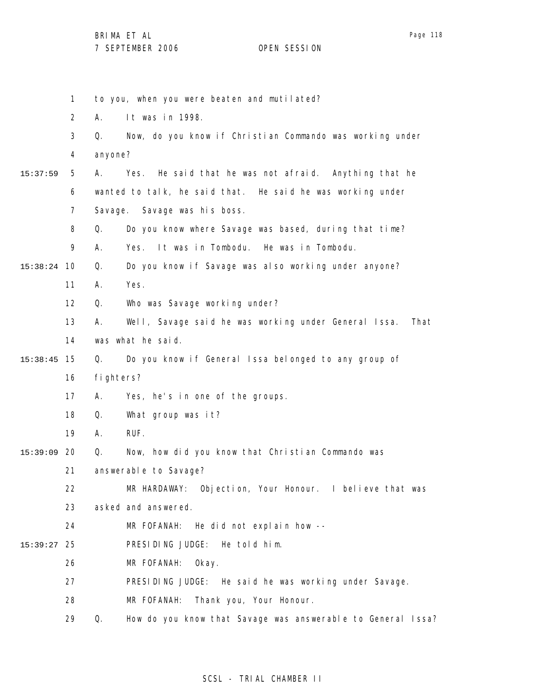|          | $\mathbf{1}$      | to you, when you were beaten and mutilated?                        |
|----------|-------------------|--------------------------------------------------------------------|
|          | $\overline{2}$    | Α.<br>It was in 1998.                                              |
|          | 3                 | Now, do you know if Christian Commando was working under<br>Q.     |
|          | 4                 | anyone?                                                            |
| 15:37:59 | 5                 | He said that he was not afraid. Anything that he<br>Yes.<br>А.     |
|          | 6                 | wanted to talk, he said that. He said he was working under         |
|          | 7                 | Savage. Savage was his boss.                                       |
|          | 8                 | Do you know where Savage was based, during that time?<br>Q.        |
|          | 9                 | It was in Tombodu. He was in Tombodu.<br>А.<br>Yes.                |
| 15:38:24 | 10                | Do you know if Savage was also working under anyone?<br>Q.         |
|          | 11                | Yes.<br>Α.                                                         |
|          | $12 \overline{ }$ | Q.<br>Who was Savage working under?                                |
|          | 13                | Well, Savage said he was working under General Issa.<br>That<br>А. |
|          | 14                | was what he said.                                                  |
| 15:38:45 | 15                | Do you know if General Issa belonged to any group of<br>Q.         |
|          | 16                | fighters?                                                          |
|          | 17                | Yes, he's in one of the groups.<br>А.                              |
|          | 18                | What group was it?<br>Q.                                           |
|          | 19                | RUF.<br>А.                                                         |
| 15:39:09 | 20                | Q.<br>Now, how did you know that Christian Commando was            |
|          | 21                | answerable to Savage?                                              |
|          | 22                | MR HARDAWAY: Objection, Your Honour. I believe that was            |
|          | 23                | asked and answered.                                                |
|          | 24                | He did not explain how --<br>MR FOFANAH:                           |
| 15:39:27 | 25                | PRESIDING JUDGE: He told him.                                      |
|          | 26                | MR FOFANAH:<br>Okay.                                               |
|          | 27                | PRESIDING JUDGE: He said he was working under Savage.              |
|          | 28                | MR FOFANAH:<br>Thank you, Your Honour.                             |
|          | 29                | How do you know that Savage was answerable to General Issa?<br>Q.  |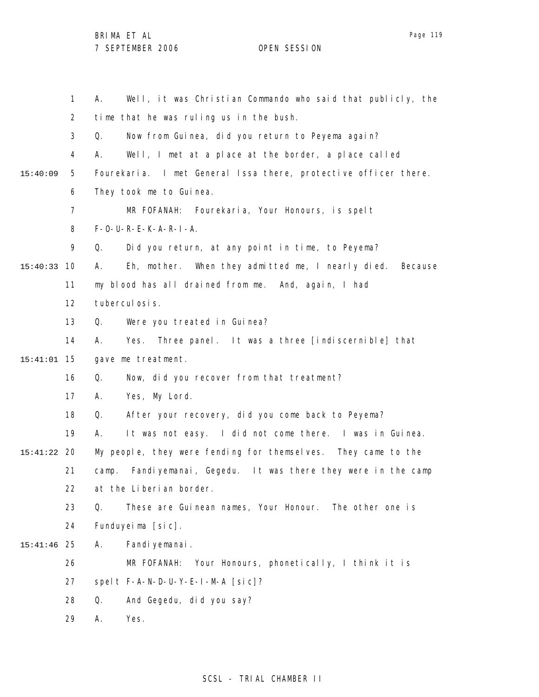1 2 3 4 5 6 7 8 9 10 15:40:33 11 12 13 14 15 15:41:01 16 17 18 19 20 15:41:22 21 22 23 24 25 15:41:46 26 27 28 29 15:40:09 A. Well, it was Christian Commando who said that publicly, the time that he was ruling us in the bush. Q. Now from Guinea, did you return to Peyema again? A. Well, I met at a place at the border, a place called Fourekaria. I met General Issa there, protective officer there. They took me to Guinea. MR FOFANAH: Fourekaria, Your Honours, is spelt F-O-U-R-E-K-A-R-I-A. Q. Did you return, at any point in time, to Peyema? A. Eh, mother. When they admitted me, I nearly died. Because my blood has all drained from me. And, again, I had tuberculosis. Q. Were you treated in Guinea? A. Yes. Three panel. It was a three [indiscernible] that gave me treatment. Q. Now, did you recover from that treatment? A. Yes, My Lord. Q. After your recovery, did you come back to Peyema? A. It was not easy. I did not come there. I was in Guinea. My people, they were fending for themselves. They came to the camp. Fandiyemanai, Gegedu. It was there they were in the camp at the Liberian border. Q. These are Guinean names, Your Honour. The other one is Funduyeima [sic]. A. Fandiyemanai. MR FOFANAH: Your Honours, phonetically, I think it is spelt F-A-N-D-U-Y-E-I-M-A [sic]? Q. And Gegedu, did you say? A. Yes.

#### SCSL - TRIAL CHAMBER II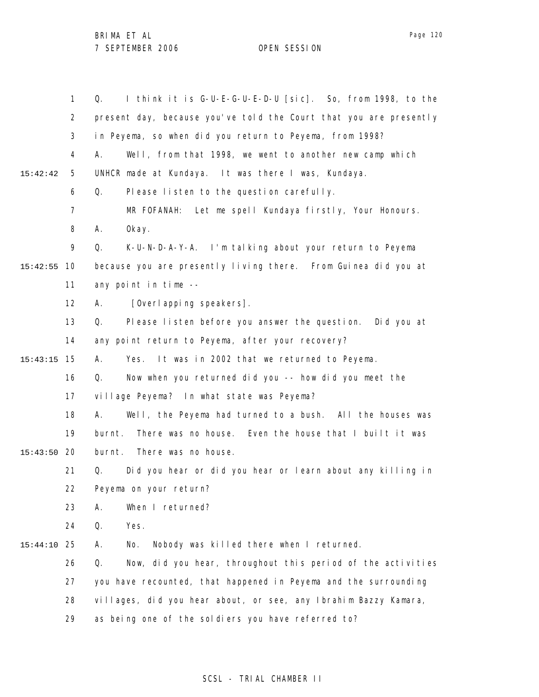1 2 3 4 5 6 7 8 9 10 15:42:55 11 12 13 14 15 15:43:15 16 17 18 19 20 15:43:50 21 22 23 24 25 15:44:10 26 27 28 29 15:42:42 Q. I think it is G-U-E-G-U-E-D-U [sic]. So, from 1998, to the present day, because you've told the Court that you are presently in Peyema, so when did you return to Peyema, from 1998? A. Well, from that 1998, we went to another new camp which UNHCR made at Kundaya. It was there I was, Kundaya. Q. Please listen to the question carefully. MR FOFANAH: Let me spell Kundaya firstly, Your Honours. A. Okay. Q. K-U-N-D-A-Y-A. I'm talking about your return to Peyema because you are presently living there. From Guinea did you at any point in time -- A. [Overlapping speakers]. Q. Please listen before you answer the question. Did you at any point return to Peyema, after your recovery? A. Yes. It was in 2002 that we returned to Peyema. Q. Now when you returned did you -- how did you meet the village Peyema? In what state was Peyema? A. Well, the Peyema had turned to a bush. All the houses was burnt. There was no house. Even the house that I built it was burnt. There was no house. Q. Did you hear or did you hear or learn about any killing in Peyema on your return? A. When I returned? Q. Yes. A. No. Nobody was killed there when I returned. Q. Now, did you hear, throughout this period of the activities you have recounted, that happened in Peyema and the surrounding villages, did you hear about, or see, any Ibrahim Bazzy Kamara, as being one of the soldiers you have referred to?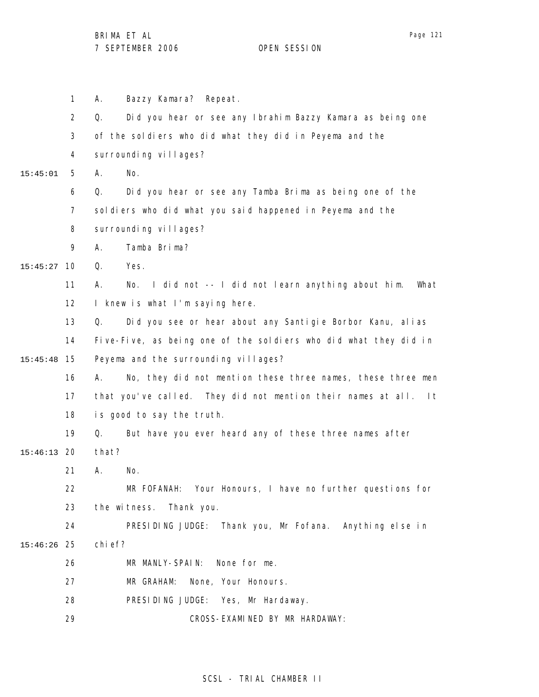1 2 3 4 5 6 7 8 9 10 15:45:27 11 12 13 14 15 15:45:48 16 17 18 19 20 15:46:13 21 22 23 24 25 15:46:26 26 27 28 29 15:45:01 A. Bazzy Kamara? Repeat. Q. Did you hear or see any Ibrahim Bazzy Kamara as being one of the soldiers who did what they did in Peyema and the surrounding villages? A. No. Q. Did you hear or see any Tamba Brima as being one of the soldiers who did what you said happened in Peyema and the surrounding villages? A. Tamba Brima? Q. Yes. A. No. I did not -- I did not learn anything about him. What I knew is what I'm saying here. Q. Did you see or hear about any Santigie Borbor Kanu, alias Five-Five, as being one of the soldiers who did what they did in Peyema and the surrounding villages? A. No, they did not mention these three names, these three men that you've called. They did not mention their names at all. It is good to say the truth. Q. But have you ever heard any of these three names after that? A. No. MR FOFANAH: Your Honours, I have no further questions for the witness. Thank you. PRESIDING JUDGE: Thank you, Mr Fofana. Anything else in chief? MR MANLY-SPAIN: None for me. MR GRAHAM: None, Your Honours. PRESIDING JUDGE: Yes, Mr Hardaway. CROSS-EXAMINED BY MR HARDAWAY:

#### SCSL - TRIAL CHAMBER II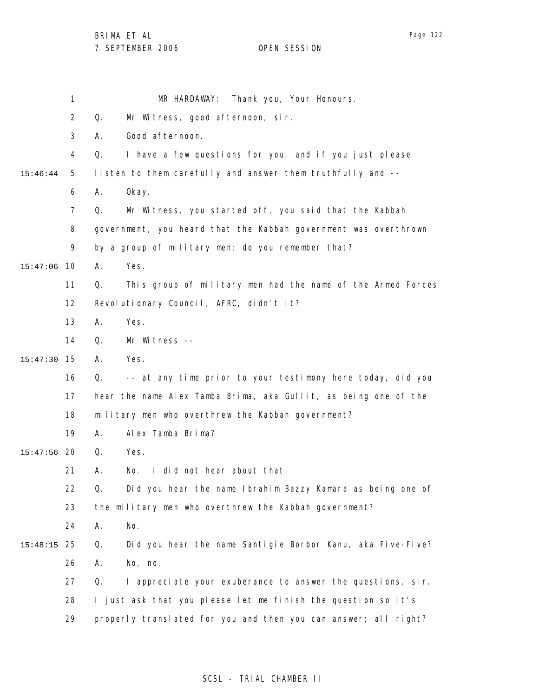|          | 1              | Thank you, Your Honours.<br>MR HARDAWAY:                          |
|----------|----------------|-------------------------------------------------------------------|
|          | $\overline{2}$ | Mr Witness, good afternoon, sir.<br>Q.                            |
|          | 3              | Good afternoon.<br>Α.                                             |
|          | 4              | I have a few questions for you, and if you just please<br>Q.      |
| 15:46:44 | 5              | listen to them carefully and answer them truthfully and --        |
|          | 6              | 0kay.<br>Α.                                                       |
|          | $\overline{7}$ | Mr Witness, you started off, you said that the Kabbah<br>Q.       |
|          | 8              | government, you heard that the Kabbah government was overthrown   |
|          | 9              | by a group of military men; do you remember that?                 |
| 15:47:06 | 10             | Yes.<br>А.                                                        |
|          | 11             | Q.<br>This group of military men had the name of the Armed Forces |
|          | 12             | Revolutionary Council, AFRC, didn't it?                           |
|          | 13             | Yes.<br>А.                                                        |
|          | 14             | Q.<br>Mr Witness --                                               |
| 15:47:30 | 15             | Yes.<br>Α.                                                        |
|          | 16             | -- at any time prior to your testimony here today, did you<br>Q.  |
|          | 17             | hear the name Alex Tamba Brima, aka Gullit, as being one of the   |
|          | 18             | military men who overthrew the Kabbah government?                 |
|          | 19             | Alex Tamba Brima?<br>Α.                                           |
| 15:47:56 | 20             | Yes.<br>Q.                                                        |
|          | 21             | I did not hear about that.<br>No.<br>А.                           |
|          | 22             | Q.<br>Did you hear the name Ibrahim Bazzy Kamara as being one of  |
|          | 23             | the military men who overthrew the Kabbah government?             |
|          | 24             | No.<br>Α.                                                         |
| 15:48:15 | 25             | Did you hear the name Santigie Borbor Kanu, aka Five-Five?<br>Q.  |
|          | 26             | No, no.<br>Α.                                                     |
|          | 27             | I appreciate your exuberance to answer the questions, sir.<br>Q.  |
|          | 28             | I just ask that you please let me finish the question so it's     |
|          | 29             | properly translated for you and then you can answer; all right?   |
|          |                |                                                                   |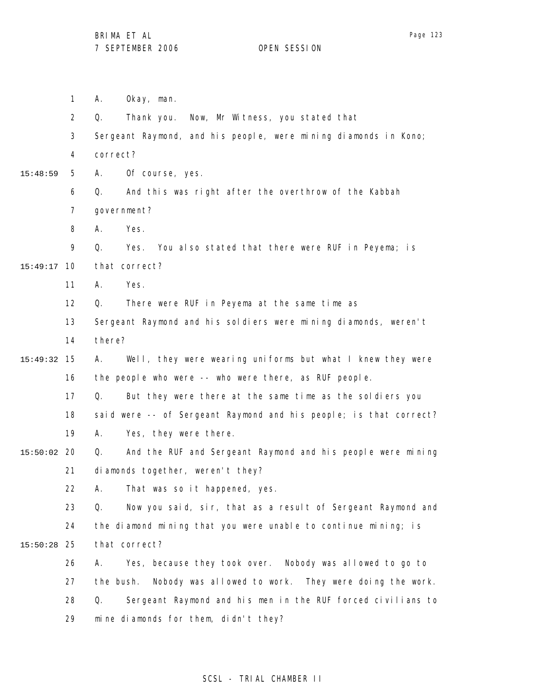1 2 3 4 5 6 7 8 9 10 15:49:17 11 12 13 14 15 15:49:32 16 17 18 19 20 15:50:02 21 22 23 24 25 15:50:28 26 27 28 29 15:48:59 A. Okay, man. Q. Thank you. Now, Mr Witness, you stated that Sergeant Raymond, and his people, were mining diamonds in Kono; correct? A. Of course, yes. Q. And this was right after the overthrow of the Kabbah government? A. Yes. Q. Yes. You also stated that there were RUF in Peyema; is that correct? A. Yes. Q. There were RUF in Peyema at the same time as Sergeant Raymond and his soldiers were mining diamonds, weren't there? A. Well, they were wearing uniforms but what I knew they were the people who were -- who were there, as RUF people. Q. But they were there at the same time as the soldiers you said were -- of Sergeant Raymond and his people; is that correct? A. Yes, they were there. Q. And the RUF and Sergeant Raymond and his people were mining diamonds together, weren't they? A. That was so it happened, yes. Q. Now you said, sir, that as a result of Sergeant Raymond and the diamond mining that you were unable to continue mining; is that correct? A. Yes, because they took over. Nobody was allowed to go to the bush. Nobody was allowed to work. They were doing the work. Q. Sergeant Raymond and his men in the RUF forced civilians to mine diamonds for them, didn't they?

## Page 123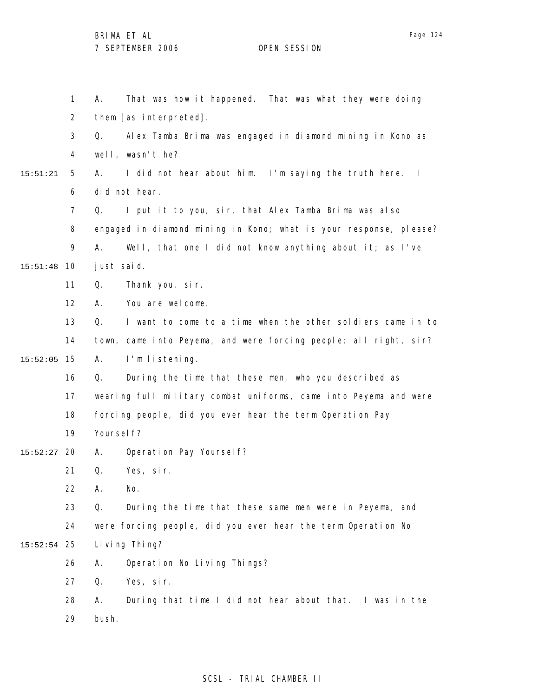1 2 3 4 5 6 7 8 9 10 15:51:48 11 12 13 14 15 15:52:05 16 17 18 19 20 15:52:27 21 22 23 24 25 15:52:54 26 27 28 29 15:51:21 A. That was how it happened. That was what they were doing them [as interpreted]. Q. Alex Tamba Brima was engaged in diamond mining in Kono as well, wasn't he? A. I did not hear about him. I'm saying the truth here. I did not hear. Q. I put it to you, sir, that Alex Tamba Brima was also engaged in diamond mining in Kono; what is your response, please? A. Well, that one I did not know anything about it; as I've just said. Q. Thank you, sir. A. You are welcome. Q. I want to come to a time when the other soldiers came in to town, came into Peyema, and were forcing people; all right, sir? A. I'm listening. Q. During the time that these men, who you described as wearing full military combat uniforms, came into Peyema and were forcing people, did you ever hear the term Operation Pay Yoursel f? A. Operation Pay Yourself? Q. Yes, sir. A. No. Q. During the time that these same men were in Peyema, and were forcing people, did you ever hear the term Operation No Li ving Thing? A. Operation No Living Things? Q. Yes, sir. A. During that time I did not hear about that. I was in the bush.

#### SCSL - TRIAL CHAMBER II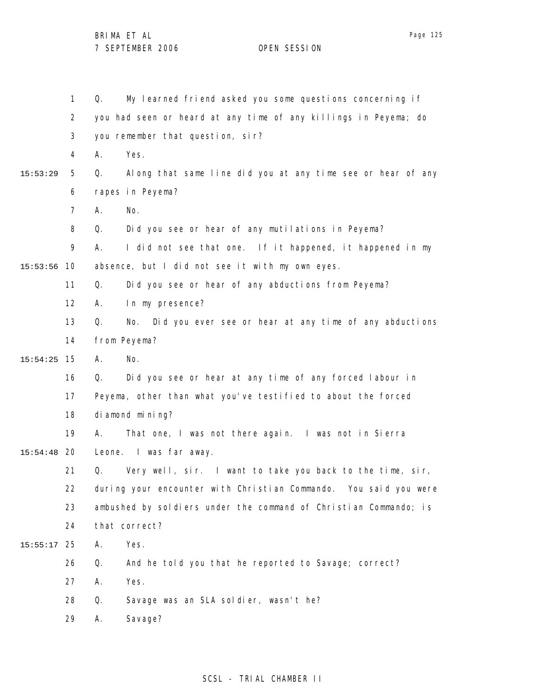|          | 1              | My learned friend asked you some questions concerning if<br>Q.      |
|----------|----------------|---------------------------------------------------------------------|
|          | $\overline{2}$ | you had seen or heard at any time of any killings in Peyema; do     |
|          | 3              | you remember that question, sir?                                    |
|          | 4              | Yes.<br>А.                                                          |
| 15:53:29 | 5              | Along that same line did you at any time see or hear of any<br>Q.   |
|          | 6              | rapes in Peyema?                                                    |
|          | $\overline{7}$ | Α.<br>No.                                                           |
|          | 8              | Q.<br>Did you see or hear of any mutilations in Peyema?             |
|          | 9              | I did not see that one. If it happened, it happened in my<br>А.     |
| 15:53:56 | 10             | absence, but I did not see it with my own eyes.                     |
|          | 11             | Q.<br>Did you see or hear of any abductions from Peyema?            |
|          | 12             | In my presence?<br>А.                                               |
|          | 13             | Q.<br>Did you ever see or hear at any time of any abductions<br>No. |
|          | 14             | from Peyema?                                                        |
| 15:54:25 | 15             | No.<br>А.                                                           |
|          | 16             | Did you see or hear at any time of any forced labour in<br>Q.       |
|          | 17             | Peyema, other than what you've testified to about the forced        |
|          | 18             | di amond mi ni ng?                                                  |
|          | 19             | That one, I was not there again. I was not in Sierra<br>А.          |
| 15:54:48 | 20             | Leone. I was far away.                                              |
|          | 21             | Q.<br>Very well, sir. I want to take you back to the time, sir,     |
|          | 22             | during your encounter with Christian Commando. You said you were    |
|          | 23             | ambushed by soldiers under the command of Christian Commando; is    |
|          | 24             | that correct?                                                       |
| 15:55:17 | 25             | Yes.<br>Α.                                                          |
|          | 26             | Q.<br>And he told you that he reported to Savage; correct?          |
|          | 27             | Yes.<br>Α.                                                          |
|          | 28             | Q.<br>Savage was an SLA soldier, wasn't he?                         |
|          | 29             | Savage?<br>Α.                                                       |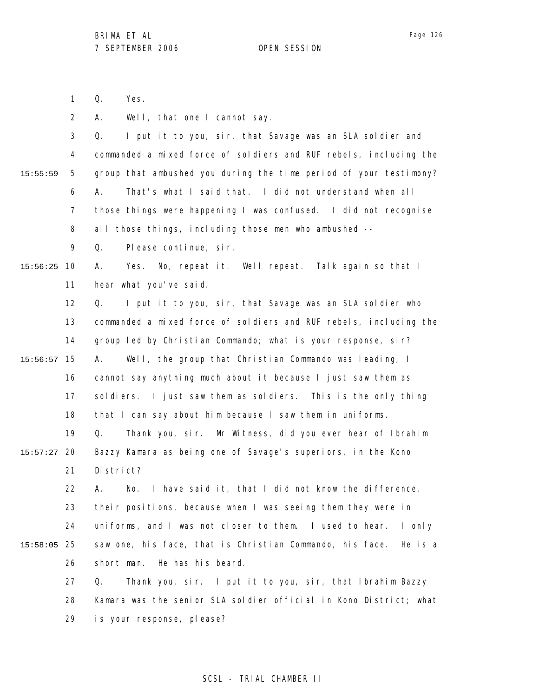1 Q. Yes.

2 A. Well, that one I cannot say.

|          | 3              | I put it to you, sir, that Savage was an SLA soldier and<br>Q.      |
|----------|----------------|---------------------------------------------------------------------|
|          | 4              | commanded a mixed force of soldiers and RUF rebels, including the   |
| 15:55:59 | 5              | group that ambushed you during the time period of your testimony?   |
|          | 6              | That's what I said that. I did not understand when all<br>А.        |
|          | $\overline{7}$ | those things were happening I was confused. I did not recognise     |
|          | 8              | all those things, including those men who ambushed --               |
|          | 9              | Please continue, sir.<br>Q.                                         |
| 15:56:25 | 10             | No, repeat it. Well repeat. Talk again so that I<br>А.<br>Yes.      |
|          | 11             | hear what you've said.                                              |
|          | 12             | I put it to you, sir, that Savage was an SLA soldier who<br>Q.      |
|          | 13             | commanded a mixed force of soldiers and RUF rebels, including the   |
|          | 14             | group led by Christian Commando; what is your response, sir?        |
| 15:56:57 | 15             | Well, the group that Christian Commando was leading, I<br>А.        |
|          | 16             | cannot say anything much about it because I just saw them as        |
|          | 17             | soldiers. I just saw them as soldiers. This is the only thing       |
|          | 18             | that I can say about him because I saw them in uniforms.            |
|          | 19             | Thank you, sir. Mr Witness, did you ever hear of Ibrahim<br>Q.      |
| 15:57:27 | 20             | Bazzy Kamara as being one of Savage's superiors, in the Kono        |
|          | 21             | District?                                                           |
|          | 22             | I have said it, that I did not know the difference,<br>Α.<br>No.    |
|          | 23             | their positions, because when I was seeing them they were in        |
|          | 24             | uniforms, and I was not closer to them. I used to hear.<br>I only   |
| 15:58:05 | 25             | saw one, his face, that is Christian Commando, his face.<br>He is a |
|          | 26             | He has his beard.<br>short man.                                     |
|          | 27             | Thank you, sir. I put it to you, sir, that Ibrahim Bazzy<br>Q.      |
|          | 28             | Kamara was the senior SLA soldier official in Kono District; what   |
|          | 29             | is your response, please?                                           |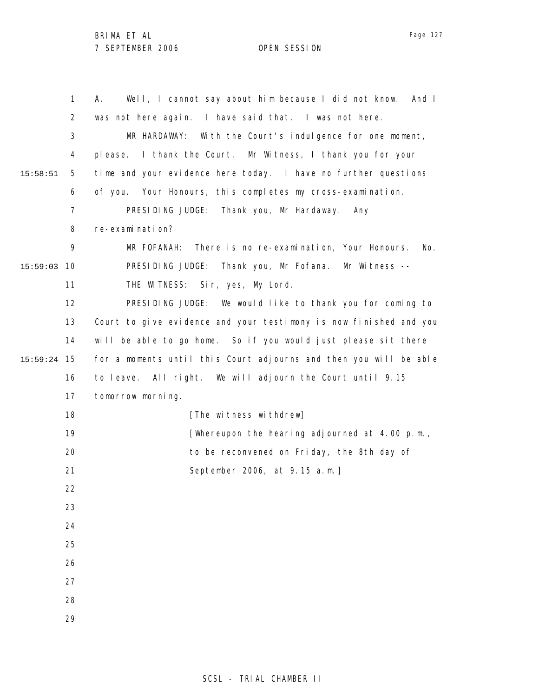1 2 3 4 5 6 7 8 9 10 15:59:03 11 12 13 14 15 15:59:24 16 17 18 19 20 21 22 23 24 25 26 27 28 29 15:58:51 A. Well, I cannot say about him because I did not know. And I was not here again. I have said that. I was not here. MR HARDAWAY: With the Court's indulgence for one moment, please. I thank the Court. Mr Witness, I thank you for your time and your evidence here today. I have no further questions of you. Your Honours, this completes my cross-examination. PRESIDING JUDGE: Thank you, Mr Hardaway. Any re-examination? MR FOFANAH: There is no re-examination, Your Honours. No. PRESIDING JUDGE: Thank you, Mr Fofana. Mr Witness --THE WITNESS: Sir, yes, My Lord. PRESIDING JUDGE: We would like to thank you for coming to Court to give evidence and your testimony is now finished and you will be able to go home. So if you would just please sit there for a moments until this Court adjourns and then you will be able to leave. All right. We will adjourn the Court until 9.15 tomorrow morning. [The witness withdrew] [Whereupon the hearing adjourned at 4.00 p.m., to be reconvened on Friday, the 8th day of September 2006, at 9.15 a.m.]